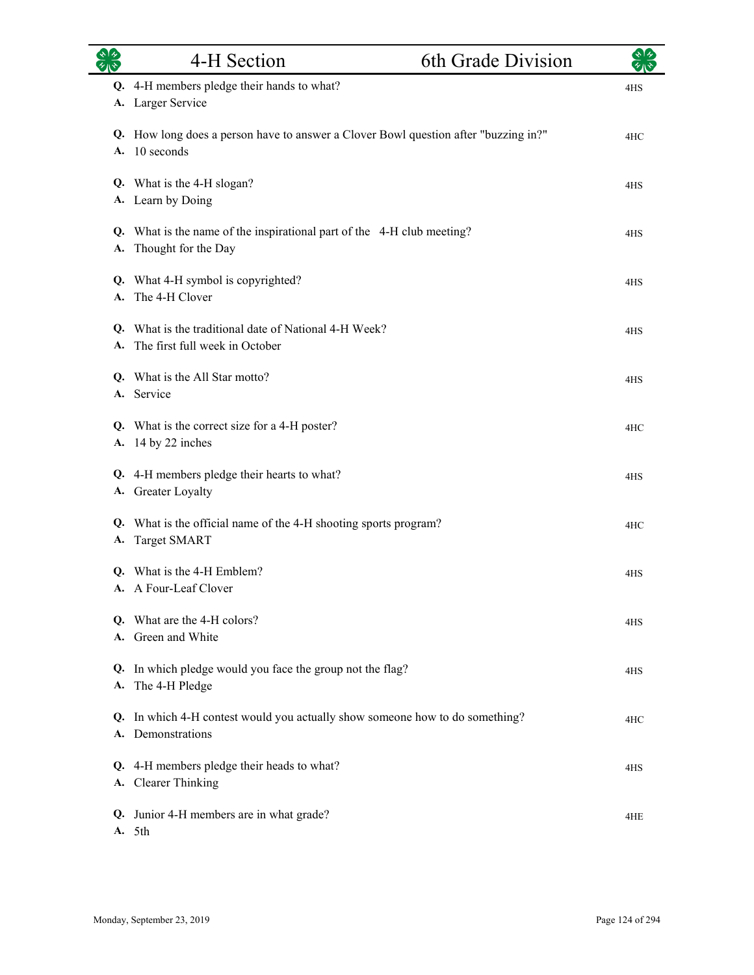|                 | 4-H Section                                                                                       | 6th Grade Division |     |
|-----------------|---------------------------------------------------------------------------------------------------|--------------------|-----|
| A.              | Q. 4-H members pledge their hands to what?<br>Larger Service                                      |                    | 4HS |
| А.              | Q. How long does a person have to answer a Clover Bowl question after "buzzing in?"<br>10 seconds |                    | 4HC |
|                 | Q. What is the 4-H slogan?<br>A. Learn by Doing                                                   |                    | 4HS |
| Q.<br>A.        | What is the name of the inspirational part of the 4-H club meeting?<br>Thought for the Day        |                    | 4HS |
| А.              | Q. What 4-H symbol is copyrighted?<br>The 4-H Clover                                              |                    | 4HS |
| Q.<br>A.        | What is the traditional date of National 4-H Week?<br>The first full week in October              |                    | 4HS |
| Q.<br>А.        | What is the All Star motto?<br>Service                                                            |                    | 4HS |
| А.              | Q. What is the correct size for a 4-H poster?<br>14 by 22 inches                                  |                    | 4HC |
| А.              | Q. 4-H members pledge their hearts to what?<br>Greater Loyalty                                    |                    | 4HS |
| Q.<br>A.        | What is the official name of the 4-H shooting sports program?<br><b>Target SMART</b>              |                    | 4HC |
|                 | Q. What is the 4-H Emblem?<br>A. A Four-Leaf Clover                                               |                    | 4HS |
|                 | Q. What are the 4-H colors?<br>A. Green and White                                                 |                    | 4HS |
|                 | Q. In which pledge would you face the group not the flag?<br>A. The 4-H Pledge                    |                    | 4HS |
| A.              | Q. In which 4-H contest would you actually show someone how to do something?<br>Demonstrations    |                    | 4HC |
| А.              | Q. 4-H members pledge their heads to what?<br><b>Clearer Thinking</b>                             |                    | 4HS |
| Q.<br><b>A.</b> | Junior 4-H members are in what grade?<br>5th                                                      |                    | 4HE |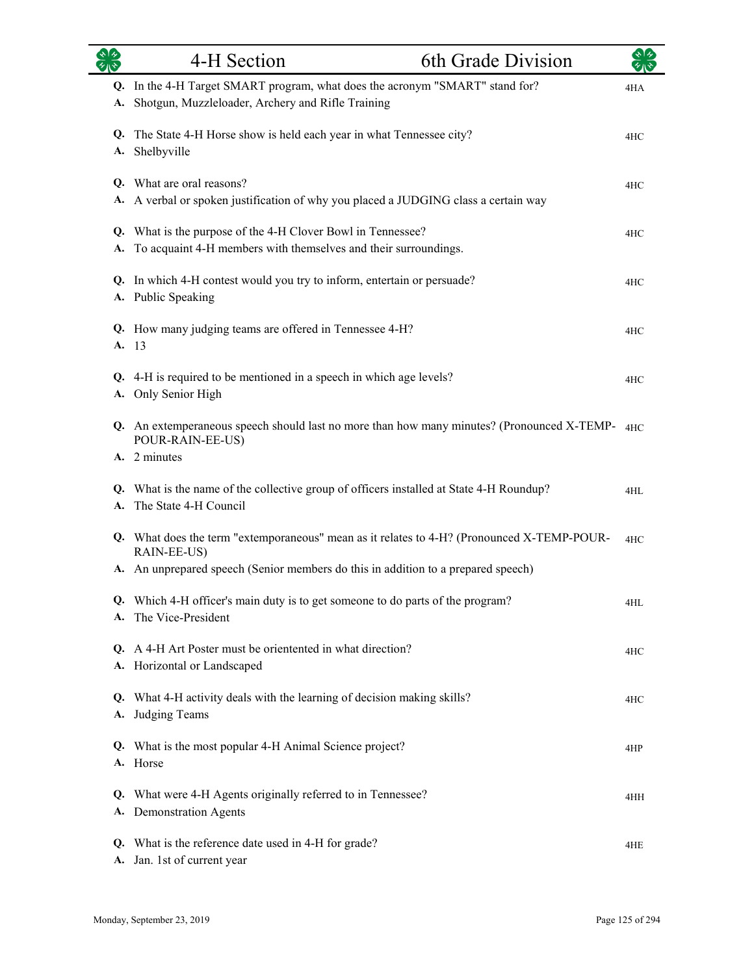|    | 4-H Section                                                                                                                        | 6th Grade Division |     |
|----|------------------------------------------------------------------------------------------------------------------------------------|--------------------|-----|
| A. | Q. In the 4-H Target SMART program, what does the acronym "SMART" stand for?<br>Shotgun, Muzzleloader, Archery and Rifle Training  |                    | 4HA |
| А. | Q. The State 4-H Horse show is held each year in what Tennessee city?<br>Shelbyville                                               |                    | 4HC |
|    | Q. What are oral reasons?<br>A. A verbal or spoken justification of why you placed a JUDGING class a certain way                   |                    | 4HC |
| A. | Q. What is the purpose of the 4-H Clover Bowl in Tennessee?<br>To acquaint 4-H members with themselves and their surroundings.     |                    | 4HC |
|    | Q. In which 4-H contest would you try to inform, entertain or persuade?<br>A. Public Speaking                                      |                    | 4HC |
|    | Q. How many judging teams are offered in Tennessee 4-H?<br>A. 13                                                                   |                    | 4HC |
|    | Q. 4-H is required to be mentioned in a speech in which age levels?<br>A. Only Senior High                                         |                    | 4HC |
|    | Q. An extemperaneous speech should last no more than how many minutes? (Pronounced X-TEMP-4HC)<br>POUR-RAIN-EE-US)<br>A. 2 minutes |                    |     |
|    | Q. What is the name of the collective group of officers installed at State 4-H Roundup?<br>A. The State 4-H Council                |                    | 4HL |
|    | Q. What does the term "extemporaneous" mean as it relates to 4-H? (Pronounced X-TEMP-POUR-<br>RAIN-EE-US)                          |                    | 4HC |
|    | A. An unprepared speech (Senior members do this in addition to a prepared speech)                                                  |                    |     |
|    | Q. Which 4-H officer's main duty is to get someone to do parts of the program?<br>A. The Vice-President                            |                    | 4HL |
|    | Q. A 4-H Art Poster must be orientented in what direction?<br>A. Horizontal or Landscaped                                          |                    | 4HC |
|    | Q. What 4-H activity deals with the learning of decision making skills?<br>A. Judging Teams                                        |                    | 4HC |
|    | Q. What is the most popular 4-H Animal Science project?<br>A. Horse                                                                |                    | 4HP |
|    | Q. What were 4-H Agents originally referred to in Tennessee?<br>A. Demonstration Agents                                            |                    | 4HH |
|    | Q. What is the reference date used in 4-H for grade?<br>A. Jan. 1st of current year                                                |                    | 4HE |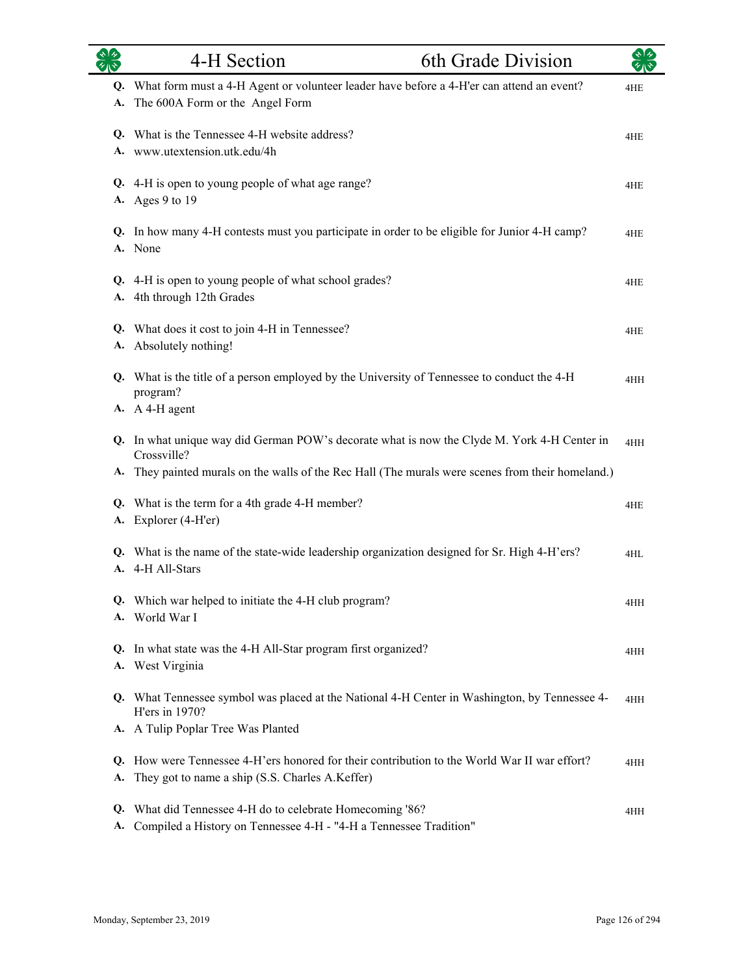|          | 4-H Section                                                                                                                                     | 6th Grade Division |     |
|----------|-------------------------------------------------------------------------------------------------------------------------------------------------|--------------------|-----|
| A.       | Q. What form must a 4-H Agent or volunteer leader have before a 4-H'er can attend an event?<br>The 600A Form or the Angel Form                  |                    | 4HE |
|          | Q. What is the Tennessee 4-H website address?<br>A. www.utextension.utk.edu/4h                                                                  |                    | 4HE |
|          | Q. 4-H is open to young people of what age range?<br>A. Ages 9 to 19                                                                            |                    | 4HE |
|          | Q. In how many 4-H contests must you participate in order to be eligible for Junior 4-H camp?<br>A. None                                        |                    | 4HE |
| А.       | Q. 4-H is open to young people of what school grades?<br>4th through 12th Grades                                                                |                    | 4HE |
| Q.<br>А. | What does it cost to join 4-H in Tennessee?<br>Absolutely nothing!                                                                              |                    | 4HE |
|          | Q. What is the title of a person employed by the University of Tennessee to conduct the 4-H<br>program?                                         |                    | 4HH |
|          | A. A 4-H agent                                                                                                                                  |                    |     |
|          | Q. In what unique way did German POW's decorate what is now the Clyde M. York 4-H Center in<br>Crossville?                                      |                    | 4HH |
|          | A. They painted murals on the walls of the Rec Hall (The murals were scenes from their homeland.)                                               |                    |     |
| А.       | Q. What is the term for a 4th grade 4-H member?<br>Explorer (4-H'er)                                                                            |                    | 4HE |
| A.       | Q. What is the name of the state-wide leadership organization designed for Sr. High 4-H'ers?<br>4-H All-Stars                                   |                    | 4HL |
|          | Q. Which war helped to initiate the 4-H club program?<br>A. World War I                                                                         |                    | 4HH |
|          | Q. In what state was the 4-H All-Star program first organized?<br>A. West Virginia                                                              |                    | 4HH |
|          | Q. What Tennessee symbol was placed at the National 4-H Center in Washington, by Tennessee 4-<br>H'ers in 1970?                                 |                    | 4HH |
|          | A. A Tulip Poplar Tree Was Planted                                                                                                              |                    |     |
| A.       | Q. How were Tennessee 4-H'ers honored for their contribution to the World War II war effort?<br>They got to name a ship (S.S. Charles A.Keffer) |                    | 4HH |
| Q.<br>A. | What did Tennessee 4-H do to celebrate Homecoming '86?<br>Compiled a History on Tennessee 4-H - "4-H a Tennessee Tradition"                     |                    | 4HH |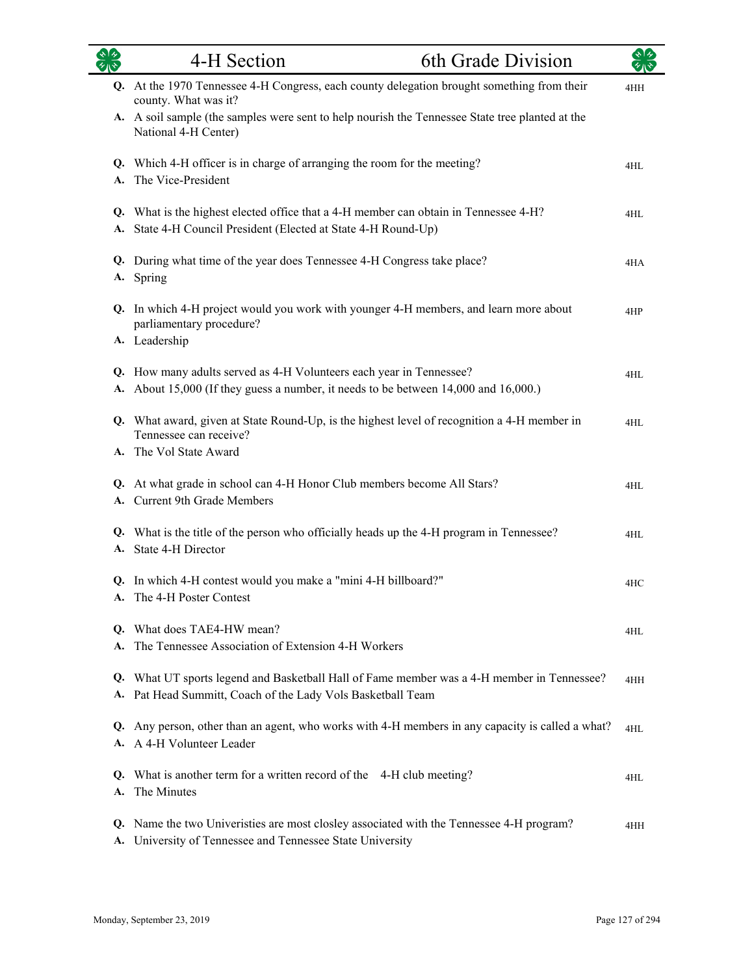|          | 4-H Section                                                                                                                                         | 6th Grade Division |     |
|----------|-----------------------------------------------------------------------------------------------------------------------------------------------------|--------------------|-----|
|          | Q. At the 1970 Tennessee 4-H Congress, each county delegation brought something from their<br>county. What was it?                                  |                    | 4HH |
|          | A. A soil sample (the samples were sent to help nourish the Tennessee State tree planted at the<br>National 4-H Center)                             |                    |     |
| А.       | Q. Which 4-H officer is in charge of arranging the room for the meeting?<br>The Vice-President                                                      |                    | 4HL |
| A.       | Q. What is the highest elected office that a 4-H member can obtain in Tennessee 4-H?<br>State 4-H Council President (Elected at State 4-H Round-Up) |                    | 4HL |
| Q.<br>А. | During what time of the year does Tennessee 4-H Congress take place?<br>Spring                                                                      |                    | 4HA |
|          | Q. In which 4-H project would you work with younger 4-H members, and learn more about<br>parliamentary procedure?<br>A. Leadership                  |                    | 4HP |
|          |                                                                                                                                                     |                    |     |
|          | Q. How many adults served as 4-H Volunteers each year in Tennessee?                                                                                 |                    | 4HL |
|          | A. About 15,000 (If they guess a number, it needs to be between 14,000 and 16,000.)                                                                 |                    |     |
| Q.       | What award, given at State Round-Up, is the highest level of recognition a 4-H member in<br>Tennessee can receive?                                  |                    | 4HL |
|          | A. The Vol State Award                                                                                                                              |                    |     |
| Q.<br>А. | At what grade in school can 4-H Honor Club members become All Stars?<br><b>Current 9th Grade Members</b>                                            |                    | 4HL |
| Q.       | What is the title of the person who officially heads up the 4-H program in Tennessee?<br>A. State 4-H Director                                      |                    | 4HL |
|          | Q. In which 4-H contest would you make a "mini 4-H billboard?"<br>A. The 4-H Poster Contest                                                         |                    | 4HC |
| Q.       | What does TAE4-HW mean?                                                                                                                             |                    | 4HL |
| А.       | The Tennessee Association of Extension 4-H Workers                                                                                                  |                    |     |
| Q.       | What UT sports legend and Basketball Hall of Fame member was a 4-H member in Tennessee?                                                             |                    | 4HH |
| А.       | Pat Head Summitt, Coach of the Lady Vols Basketball Team                                                                                            |                    |     |
| Q.       | Any person, other than an agent, who works with 4-H members in any capacity is called a what?<br>A. A 4-H Volunteer Leader                          |                    | 4HL |
| Q.       | What is another term for a written record of the 4-H club meeting?                                                                                  |                    | 4HL |
| А.       | The Minutes                                                                                                                                         |                    |     |
| Q.       | Name the two Universities are most closley associated with the Tennessee 4-H program?<br>A. University of Tennessee and Tennessee State University  |                    | 4HH |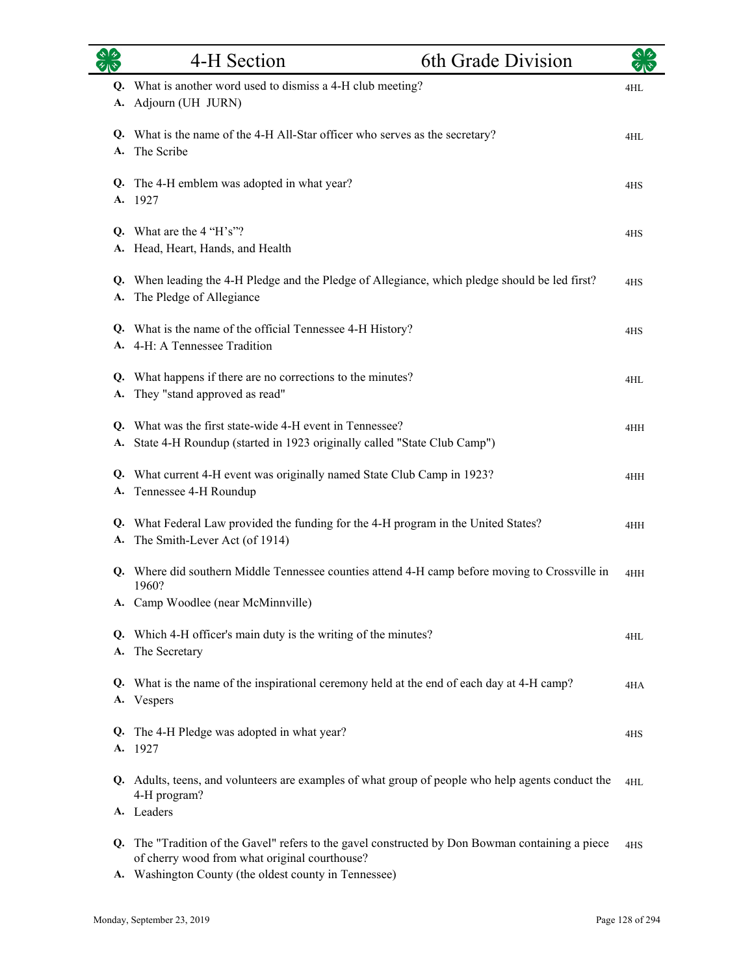|          | 4-H Section                                                                                                                                                                                             | 6th Grade Division |     |
|----------|---------------------------------------------------------------------------------------------------------------------------------------------------------------------------------------------------------|--------------------|-----|
| Q.<br>А. | What is another word used to dismiss a 4-H club meeting?<br>Adjourn (UH JURN)                                                                                                                           |                    | 4HL |
| Q.<br>А. | What is the name of the 4-H All-Star officer who serves as the secretary?<br>The Scribe                                                                                                                 |                    | 4HL |
| Q.       | The 4-H emblem was adopted in what year?<br>A. 1927                                                                                                                                                     |                    | 4HS |
| А.       | Q. What are the 4 "H's"?<br>Head, Heart, Hands, and Health                                                                                                                                              |                    | 4HS |
| А.       | Q. When leading the 4-H Pledge and the Pledge of Allegiance, which pledge should be led first?<br>The Pledge of Allegiance                                                                              |                    | 4HS |
|          | Q. What is the name of the official Tennessee 4-H History?<br>A. 4-H: A Tennessee Tradition                                                                                                             |                    | 4HS |
| Q.<br>А. | What happens if there are no corrections to the minutes?<br>They "stand approved as read"                                                                                                               |                    | 4HL |
| Q.<br>А. | What was the first state-wide 4-H event in Tennessee?<br>State 4-H Roundup (started in 1923 originally called "State Club Camp")                                                                        |                    | 4HH |
| Q.<br>А. | What current 4-H event was originally named State Club Camp in 1923?<br>Tennessee 4-H Roundup                                                                                                           |                    | 4HH |
| A.       | Q. What Federal Law provided the funding for the 4-H program in the United States?<br>The Smith-Lever Act (of 1914)                                                                                     |                    | 4HH |
| Q.       | Where did southern Middle Tennessee counties attend 4-H camp before moving to Crossville in<br>1960?                                                                                                    |                    | 4HH |
| А.       | A. Camp Woodlee (near McMinnville)<br>Q. Which 4-H officer's main duty is the writing of the minutes?<br>The Secretary                                                                                  |                    | 4HL |
| Q.       | What is the name of the inspirational ceremony held at the end of each day at 4-H camp?<br>A. Vespers                                                                                                   |                    | 4HA |
| A.       | Q. The 4-H Pledge was adopted in what year?<br>1927                                                                                                                                                     |                    | 4HS |
| Q.       | Adults, teens, and volunteers are examples of what group of people who help agents conduct the<br>4-H program?<br>A. Leaders                                                                            |                    | 4HL |
| Q.       | The "Tradition of the Gavel" refers to the gavel constructed by Don Bowman containing a piece<br>of cherry wood from what original courthouse?<br>A. Washington County (the oldest county in Tennessee) |                    | 4HS |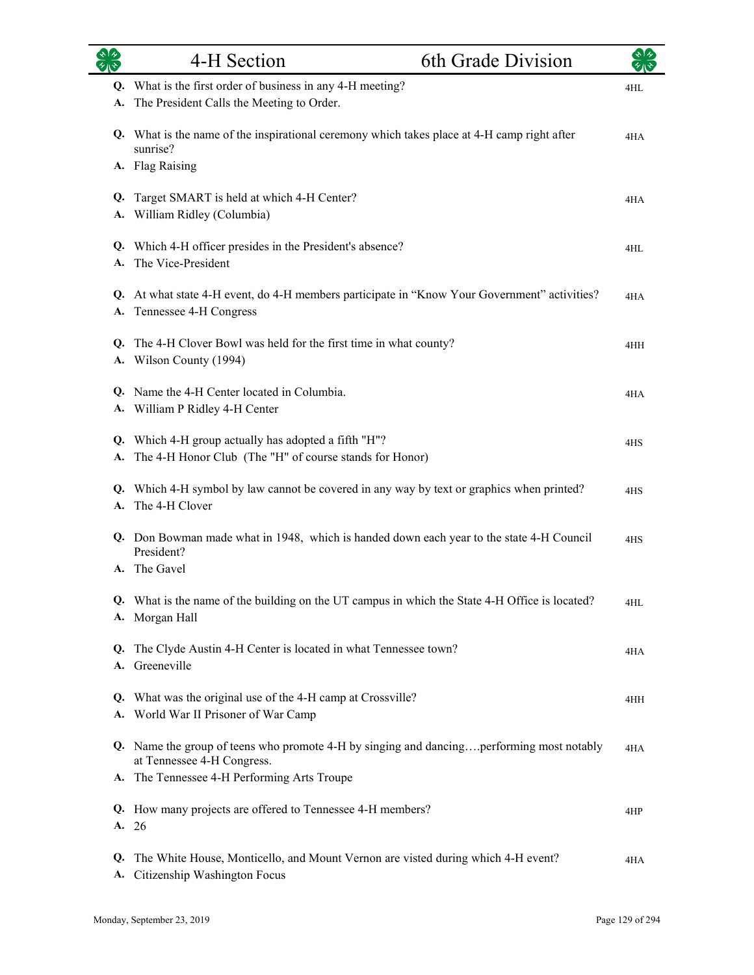| 多心             | 4-H Section                                                                                                                               | 6th Grade Division |     |
|----------------|-------------------------------------------------------------------------------------------------------------------------------------------|--------------------|-----|
| Q.<br>A.       | What is the first order of business in any 4-H meeting?<br>The President Calls the Meeting to Order.                                      |                    | 4HL |
|                | Q. What is the name of the inspirational ceremony which takes place at 4-H camp right after<br>sunrise?                                   |                    | 4HA |
| Q.             | A. Flag Raising<br>Target SMART is held at which 4-H Center?                                                                              |                    | 4HA |
| A.<br>Q.       | William Ridley (Columbia)<br>Which 4-H officer presides in the President's absence?                                                       |                    | 4HL |
| A.<br>Q.<br>A. | The Vice-President<br>At what state 4-H event, do 4-H members participate in "Know Your Government" activities?<br>Tennessee 4-H Congress |                    | 4HA |
| Q.<br>A.       | The 4-H Clover Bowl was held for the first time in what county?<br>Wilson County (1994)                                                   |                    | 4HH |
|                | Q. Name the 4-H Center located in Columbia.<br>A. William P Ridley 4-H Center                                                             |                    | 4HA |
| Q.<br>A.       | Which 4-H group actually has adopted a fifth "H"?<br>The 4-H Honor Club (The "H" of course stands for Honor)                              |                    | 4HS |
| Q.<br>A.       | Which 4-H symbol by law cannot be covered in any way by text or graphics when printed?<br>The 4-H Clover                                  |                    | 4HS |
| Q.             | Don Bowman made what in 1948, which is handed down each year to the state 4-H Council<br>President?                                       |                    | 4HS |
|                | A. The Gavel                                                                                                                              |                    |     |
|                | Q. What is the name of the building on the UT campus in which the State 4-H Office is located?<br>A. Morgan Hall                          |                    | 4HL |
| Q.             | The Clyde Austin 4-H Center is located in what Tennessee town?<br>A. Greeneville                                                          |                    | 4HA |
| Q.<br>A.       | What was the original use of the 4-H camp at Crossville?<br>World War II Prisoner of War Camp                                             |                    | 4HH |
|                | Q. Name the group of teens who promote 4-H by singing and dancingperforming most notably<br>at Tennessee 4-H Congress.                    |                    | 4HA |
|                | A. The Tennessee 4-H Performing Arts Troupe                                                                                               |                    |     |
|                | Q. How many projects are offered to Tennessee 4-H members?<br>A. 26                                                                       |                    | 4HP |
| Q.<br>A.       | The White House, Monticello, and Mount Vernon are visted during which 4-H event?<br>Citizenship Washington Focus                          |                    | 4HA |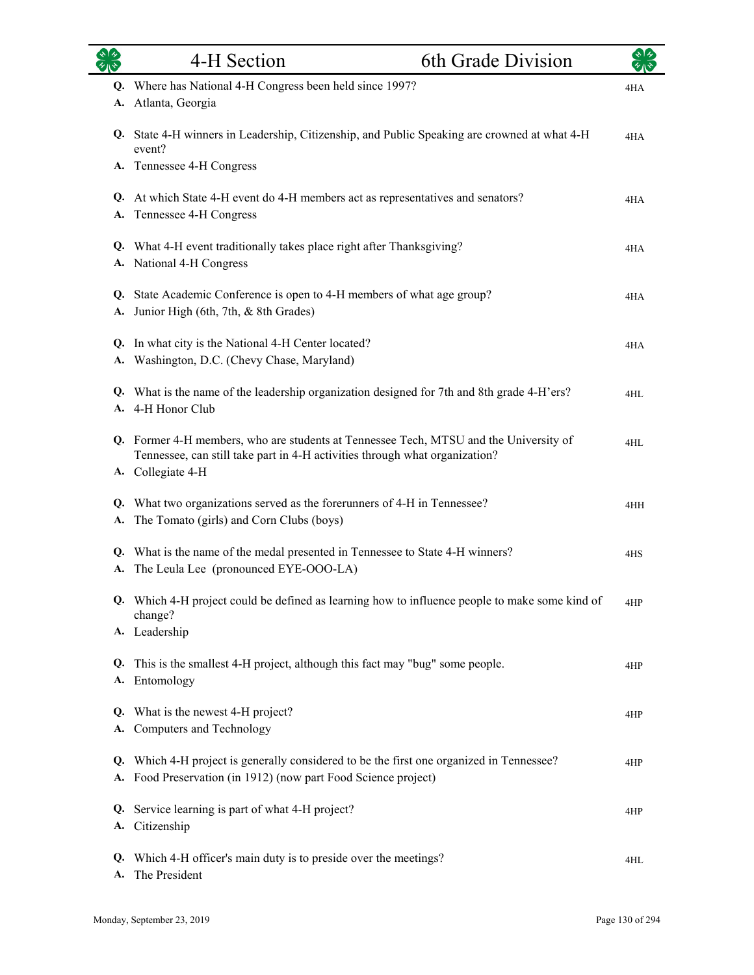|    | 4-H Section                                                                                                                                                                               | 6th Grade Division |     |
|----|-------------------------------------------------------------------------------------------------------------------------------------------------------------------------------------------|--------------------|-----|
|    | Q. Where has National 4-H Congress been held since 1997?<br>A. Atlanta, Georgia                                                                                                           |                    | 4HA |
|    | Q. State 4-H winners in Leadership, Citizenship, and Public Speaking are crowned at what 4-H<br>event?<br>A. Tennessee 4-H Congress                                                       |                    | 4HA |
|    | Q. At which State 4-H event do 4-H members act as representatives and senators?<br>A. Tennessee 4-H Congress                                                                              |                    | 4HA |
|    | Q. What 4-H event traditionally takes place right after Thanksgiving?<br>A. National 4-H Congress                                                                                         |                    | 4HA |
|    | Q. State Academic Conference is open to 4-H members of what age group?<br>A. Junior High (6th, 7th, & 8th Grades)                                                                         |                    | 4HA |
|    | Q. In what city is the National 4-H Center located?<br>A. Washington, D.C. (Chevy Chase, Maryland)                                                                                        |                    | 4HA |
|    | Q. What is the name of the leadership organization designed for 7th and 8th grade 4-H'ers?<br>A. 4-H Honor Club                                                                           |                    | 4HL |
|    | Q. Former 4-H members, who are students at Tennessee Tech, MTSU and the University of<br>Tennessee, can still take part in 4-H activities through what organization?<br>A. Collegiate 4-H |                    | 4HL |
|    | Q. What two organizations served as the forerunners of 4-H in Tennessee?<br>A. The Tomato (girls) and Corn Clubs (boys)                                                                   |                    | 4HH |
| А. | Q. What is the name of the medal presented in Tennessee to State 4-H winners?<br>The Leula Lee (pronounced EYE-OOO-LA)                                                                    |                    | 4HS |
|    | Q. Which 4-H project could be defined as learning how to influence people to make some kind of<br>change?<br>A. Leadership                                                                |                    | 4HP |
|    | Q. This is the smallest 4-H project, although this fact may "bug" some people.<br>A. Entomology                                                                                           |                    | 4HP |
|    | Q. What is the newest 4-H project?<br>A. Computers and Technology                                                                                                                         |                    | 4HP |
| Q. | Which 4-H project is generally considered to be the first one organized in Tennessee?<br>A. Food Preservation (in 1912) (now part Food Science project)                                   |                    | 4HP |
| Q. | Service learning is part of what 4-H project?<br>A. Citizenship                                                                                                                           |                    | 4HP |
| А. | Q. Which 4-H officer's main duty is to preside over the meetings?<br>The President                                                                                                        |                    | 4HL |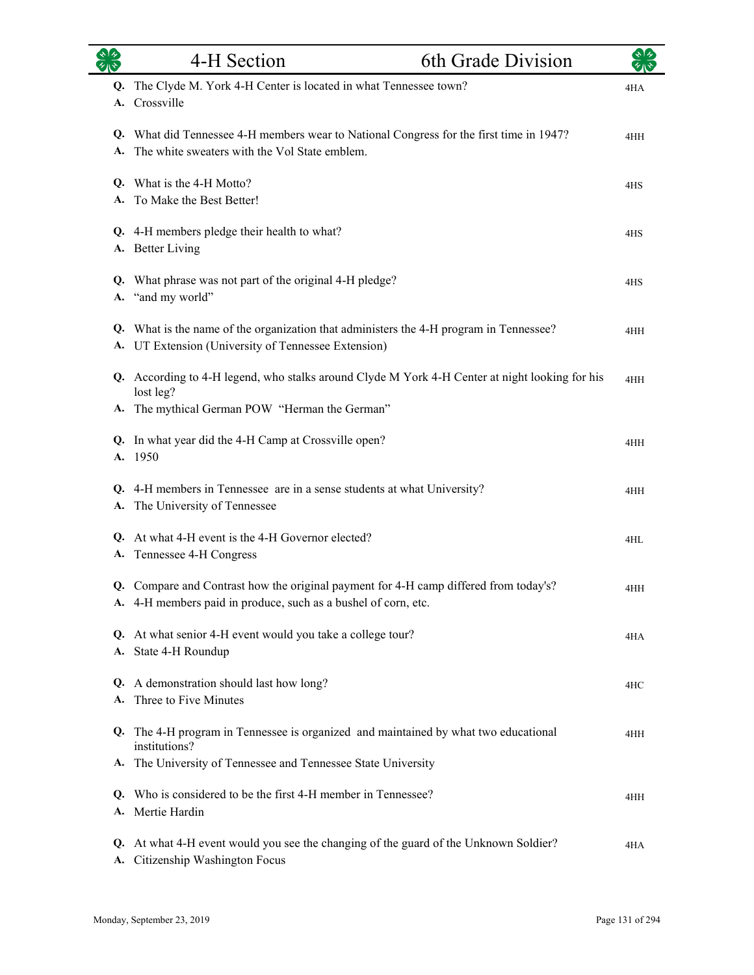|          | 4-H Section                                                                                                                                            | 6th Grade Division |     |
|----------|--------------------------------------------------------------------------------------------------------------------------------------------------------|--------------------|-----|
| А.       | Q. The Clyde M. York 4-H Center is located in what Tennessee town?<br>Crossville                                                                       |                    | 4HA |
| А.       | Q. What did Tennessee 4-H members wear to National Congress for the first time in 1947?<br>The white sweaters with the Vol State emblem.               |                    | 4HH |
|          | Q. What is the 4-H Motto?<br>A. To Make the Best Better!                                                                                               |                    | 4HS |
|          | Q. 4-H members pledge their health to what?<br>A. Better Living                                                                                        |                    | 4HS |
| А.       | Q. What phrase was not part of the original 4-H pledge?<br>"and my world"                                                                              |                    | 4HS |
|          | Q. What is the name of the organization that administers the 4-H program in Tennessee?<br>A. UT Extension (University of Tennessee Extension)          |                    | 4HH |
|          | Q. According to 4-H legend, who stalks around Clyde M York 4-H Center at night looking for his<br>lost leg?                                            |                    | 4HH |
|          | A. The mythical German POW "Herman the German"<br>Q. In what year did the 4-H Camp at Crossville open?                                                 |                    | 4HH |
|          | A. 1950                                                                                                                                                |                    |     |
| А.       | Q. 4-H members in Tennessee are in a sense students at what University?<br>The University of Tennessee                                                 |                    | 4HH |
| А.       | Q. At what 4-H event is the 4-H Governor elected?<br>Tennessee 4-H Congress                                                                            |                    | 4HL |
|          | Q. Compare and Contrast how the original payment for 4-H camp differed from today's?<br>A. 4-H members paid in produce, such as a bushel of corn, etc. |                    | 4HH |
|          | Q. At what senior 4-H event would you take a college tour?<br>A. State 4-H Roundup                                                                     |                    | 4HA |
| Q.       | A demonstration should last how long?<br>A. Three to Five Minutes                                                                                      |                    | 4HC |
|          | Q. The 4-H program in Tennessee is organized and maintained by what two educational<br>institutions?                                                   |                    | 4HH |
|          | A. The University of Tennessee and Tennessee State University                                                                                          |                    |     |
| O.       | Who is considered to be the first 4-H member in Tennessee?<br>A. Mertie Hardin                                                                         |                    | 4HH |
| Q.<br>A. | At what 4-H event would you see the changing of the guard of the Unknown Soldier?<br>Citizenship Washington Focus                                      |                    | 4HA |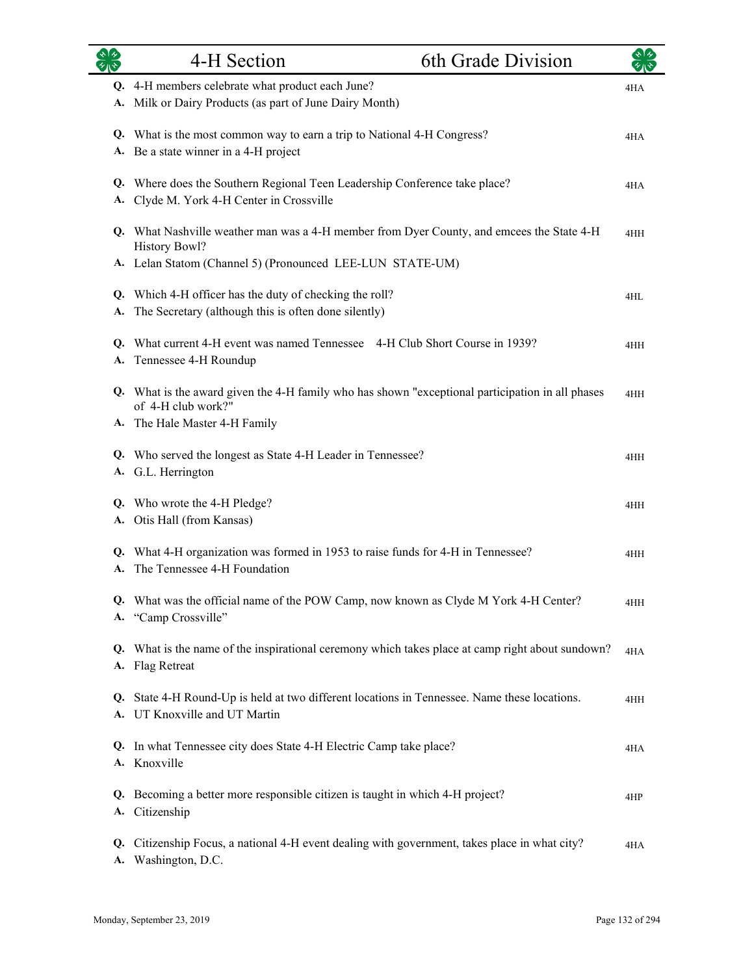| लारु<br>列 | 4-H Section<br>6th Grade Division                                                                                          |     |
|-----------|----------------------------------------------------------------------------------------------------------------------------|-----|
| A.        | Q. 4-H members celebrate what product each June?<br>Milk or Dairy Products (as part of June Dairy Month)                   | 4HA |
|           | Q. What is the most common way to earn a trip to National 4-H Congress?<br>A. Be a state winner in a 4-H project           | 4HA |
|           | Q. Where does the Southern Regional Teen Leadership Conference take place?<br>A. Clyde M. York 4-H Center in Crossville    | 4HA |
|           | Q. What Nashville weather man was a 4-H member from Dyer County, and emcees the State 4-H<br>History Bowl?                 | 4HH |
|           | A. Lelan Statom (Channel 5) (Pronounced LEE-LUN STATE-UM)                                                                  |     |
| A.        | Q. Which 4-H officer has the duty of checking the roll?<br>The Secretary (although this is often done silently)            | 4HL |
| Q.<br>A.  | What current 4-H event was named Tennessee 4-H Club Short Course in 1939?<br>Tennessee 4-H Roundup                         | 4HH |
|           | Q. What is the award given the 4-H family who has shown "exceptional participation in all phases<br>of 4-H club work?"     | 4HH |
|           | A. The Hale Master 4-H Family                                                                                              |     |
|           | Q. Who served the longest as State 4-H Leader in Tennessee?<br>A. G.L. Herrington                                          | 4HH |
|           | Q. Who wrote the 4-H Pledge?<br>A. Otis Hall (from Kansas)                                                                 | 4HH |
| Q.<br>А.  | What 4-H organization was formed in 1953 to raise funds for 4-H in Tennessee?<br>The Tennessee 4-H Foundation              | 4HH |
|           | Q. What was the official name of the POW Camp, now known as Clyde M York 4-H Center?<br>A. "Camp Crossville"               | 4HH |
| Q.<br>A.  | What is the name of the inspirational ceremony which takes place at camp right about sundown?<br>Flag Retreat              | 4HA |
| Q.        | State 4-H Round-Up is held at two different locations in Tennessee. Name these locations.<br>A. UT Knoxville and UT Martin | 4HH |
|           | Q. In what Tennessee city does State 4-H Electric Camp take place?<br>A. Knoxville                                         | 4HA |
| Q.        | Becoming a better more responsible citizen is taught in which 4-H project?<br>A. Citizenship                               | 4HP |
| Q.<br>А.  | Citizenship Focus, a national 4-H event dealing with government, takes place in what city?<br>Washington, D.C.             | 4HA |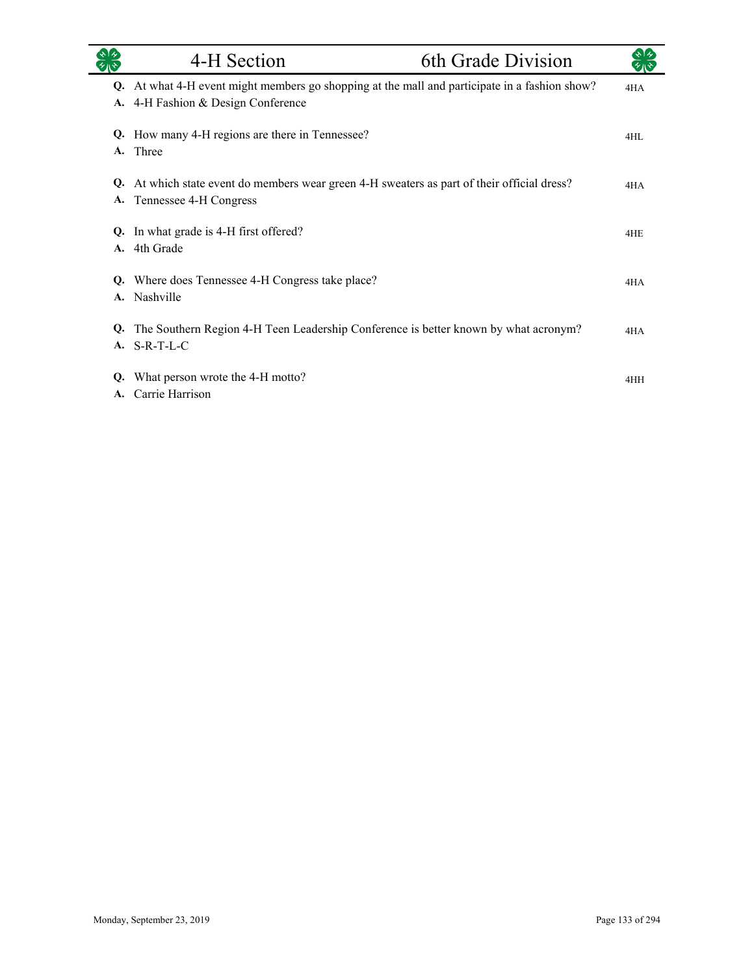|           | 4-H Section                                                                                                                         | 6th Grade Division |     |
|-----------|-------------------------------------------------------------------------------------------------------------------------------------|--------------------|-----|
|           | Q. At what 4-H event might members go shopping at the mall and participate in a fashion show?<br>A. 4-H Fashion & Design Conference |                    | 4HA |
| <b>A.</b> | Q. How many 4-H regions are there in Tennessee?<br>Three                                                                            |                    | 4HL |
| Q.<br>A.  | At which state event do members wear green 4-H sweaters as part of their official dress?<br>Tennessee 4-H Congress                  |                    | 4HA |
| Q.<br>A.  | In what grade is 4-H first offered?<br>4th Grade                                                                                    |                    | 4HE |
| Q.<br>A.  | Where does Tennessee 4-H Congress take place?<br>Nashville                                                                          |                    | 4HA |
| Q.<br>A.  | The Southern Region 4-H Teen Leadership Conference is better known by what acronym?<br>S-R-T-L-C                                    |                    | 4HA |
| Q.<br>A.  | What person wrote the 4-H motto?<br>Carrie Harrison                                                                                 |                    | 4HH |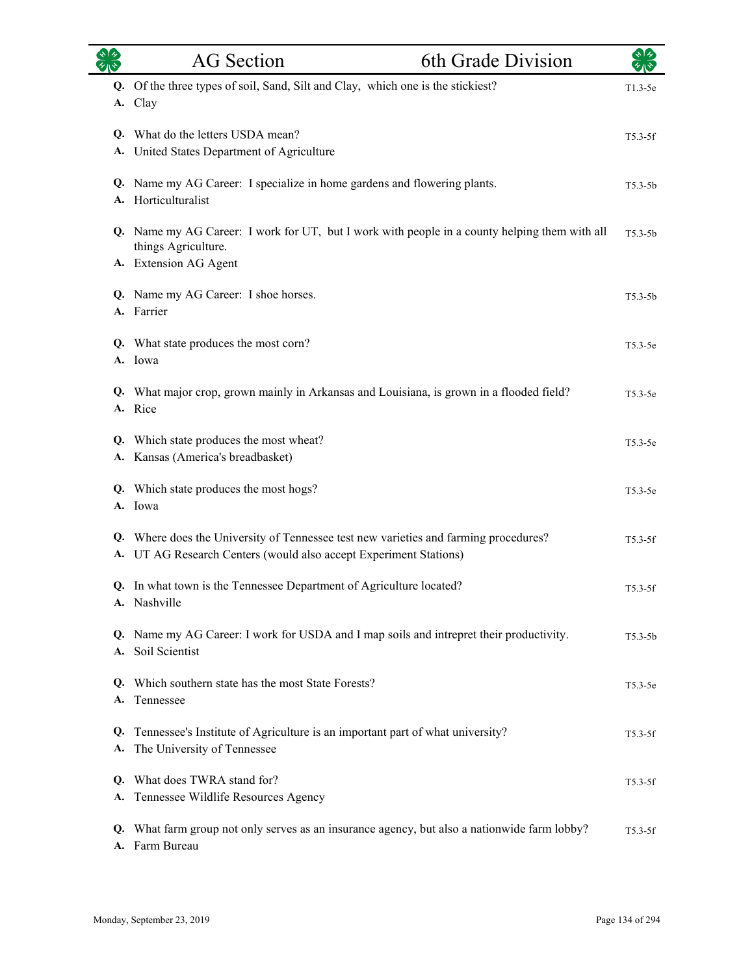|                 | <b>AG</b> Section                                                                                                                                         | 6th Grade Division |             |
|-----------------|-----------------------------------------------------------------------------------------------------------------------------------------------------------|--------------------|-------------|
|                 | Q. Of the three types of soil, Sand, Silt and Clay, which one is the stickiest?                                                                           |                    | $T1.3-5e$   |
|                 | A. Clay                                                                                                                                                   |                    |             |
|                 | Q. What do the letters USDA mean?                                                                                                                         |                    | $T5.3-5f$   |
|                 | A. United States Department of Agriculture                                                                                                                |                    |             |
|                 | Q. Name my AG Career: I specialize in home gardens and flowering plants.<br>A. Horticulturalist                                                           |                    | $T5.3 - 5b$ |
|                 | Q. Name my AG Career: I work for UT, but I work with people in a county helping them with all<br>things Agriculture.                                      |                    | $T5.3-5b$   |
|                 | A. Extension AG Agent                                                                                                                                     |                    |             |
|                 | Q. Name my AG Career: I shoe horses.<br>A. Farrier                                                                                                        |                    | $T5.3-5b$   |
|                 | Q. What state produces the most corn?                                                                                                                     |                    | $T5.3-5e$   |
|                 | A. Iowa                                                                                                                                                   |                    |             |
| Q.              | What major crop, grown mainly in Arkansas and Louisiana, is grown in a flooded field?<br>A. Rice                                                          |                    | $T5.3-5e$   |
|                 | Q. Which state produces the most wheat?                                                                                                                   |                    | T5.3-5e     |
|                 | A. Kansas (America's breadbasket)                                                                                                                         |                    |             |
|                 | Q. Which state produces the most hogs?                                                                                                                    |                    | $T5.3-5e$   |
|                 | A. Iowa                                                                                                                                                   |                    |             |
|                 | Q. Where does the University of Tennessee test new varieties and farming procedures?<br>A. UT AG Research Centers (would also accept Experiment Stations) |                    | $T5.3-5f$   |
|                 | Q. In what town is the Tennessee Department of Agriculture located?<br>A. Nashville                                                                       |                    | $T5.3-5f$   |
|                 | Q. Name my AG Career: I work for USDA and I map soils and intrepret their productivity.<br>A. Soil Scientist                                              |                    | $T5.3-5b$   |
| Q.<br>A.        | Which southern state has the most State Forests?<br>Tennessee                                                                                             |                    | T5.3-5e     |
| Q.              | Tennessee's Institute of Agriculture is an important part of what university?                                                                             |                    | $T5.3-5f$   |
| A.              | The University of Tennessee                                                                                                                               |                    |             |
| Q.              | What does TWRA stand for?                                                                                                                                 |                    | $T5.3-5f$   |
| A.              | Tennessee Wildlife Resources Agency                                                                                                                       |                    |             |
| Q.<br><b>A.</b> | What farm group not only serves as an insurance agency, but also a nationwide farm lobby?<br>Farm Bureau                                                  |                    | $T5.3-5f$   |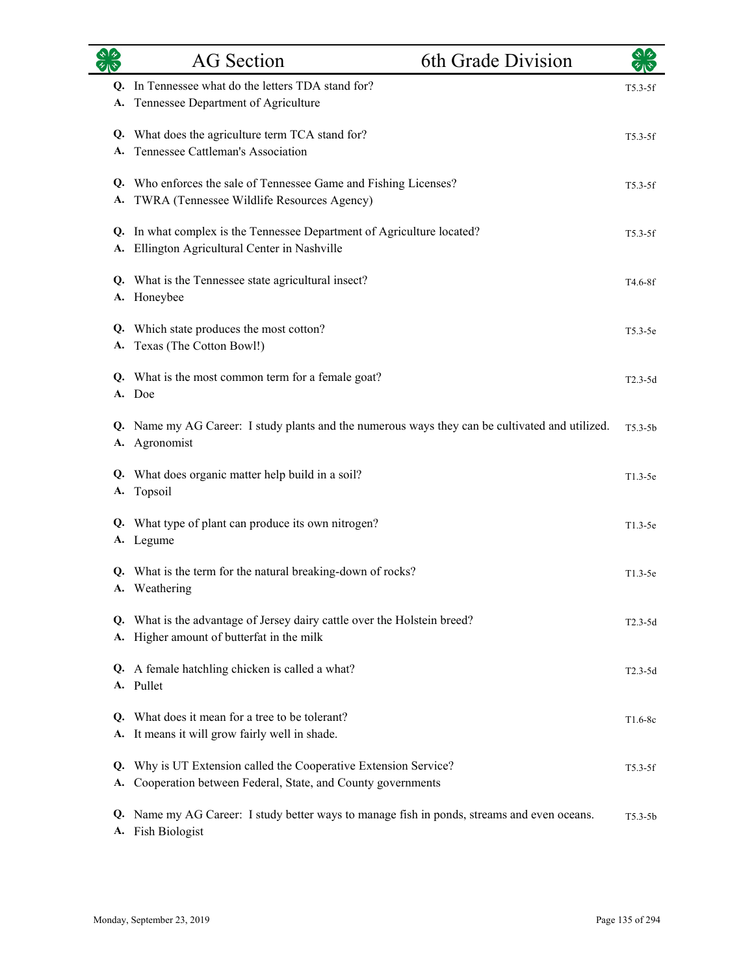|    | <b>AG</b> Section                                                                                                              | 6th Grade Division | ৰ কি        |
|----|--------------------------------------------------------------------------------------------------------------------------------|--------------------|-------------|
| А. | Q. In Tennessee what do the letters TDA stand for?<br>Tennessee Department of Agriculture                                      |                    | $T5.3-5f$   |
|    | Q. What does the agriculture term TCA stand for?<br>Tennessee Cattleman's Association                                          |                    | $T5.3-5f$   |
| А. | Q. Who enforces the sale of Tennessee Game and Fishing Licenses?<br>TWRA (Tennessee Wildlife Resources Agency)                 |                    | $T5.3-5f$   |
| А. | Q. In what complex is the Tennessee Department of Agriculture located?<br>Ellington Agricultural Center in Nashville           |                    | $T5.3-5f$   |
|    | Q. What is the Tennessee state agricultural insect?<br>A. Honeybee                                                             |                    | T4.6-8f     |
|    | Q. Which state produces the most cotton?<br>A. Texas (The Cotton Bowl!)                                                        |                    | $T5.3-5e$   |
|    | Q. What is the most common term for a female goat?<br>A. Doe                                                                   |                    | $T2.3-5d$   |
|    | Q. Name my AG Career: I study plants and the numerous ways they can be cultivated and utilized.<br>A. Agronomist               |                    | $T5.3 - 5b$ |
|    | Q. What does organic matter help build in a soil?<br>A. Topsoil                                                                |                    | $T1.3-5e$   |
|    | Q. What type of plant can produce its own nitrogen?<br>A. Legume                                                               |                    | $T1.3-5e$   |
|    | Q. What is the term for the natural breaking-down of rocks?<br>A. Weathering                                                   |                    | $T1.3-5e$   |
|    | Q. What is the advantage of Jersey dairy cattle over the Holstein breed?<br>A. Higher amount of butterfat in the milk          |                    | $T2.3-5d$   |
|    | Q. A female hatchling chicken is called a what?<br>A. Pullet                                                                   |                    | $T2.3-5d$   |
| Q. | What does it mean for a tree to be tolerant?<br>A. It means it will grow fairly well in shade.                                 |                    | $T1.6-8c$   |
| A. | Q. Why is UT Extension called the Cooperative Extension Service?<br>Cooperation between Federal, State, and County governments |                    | $T5.3-5f$   |
| Q. | Name my AG Career: I study better ways to manage fish in ponds, streams and even oceans.<br>A. Fish Biologist                  |                    | $T5.3-5b$   |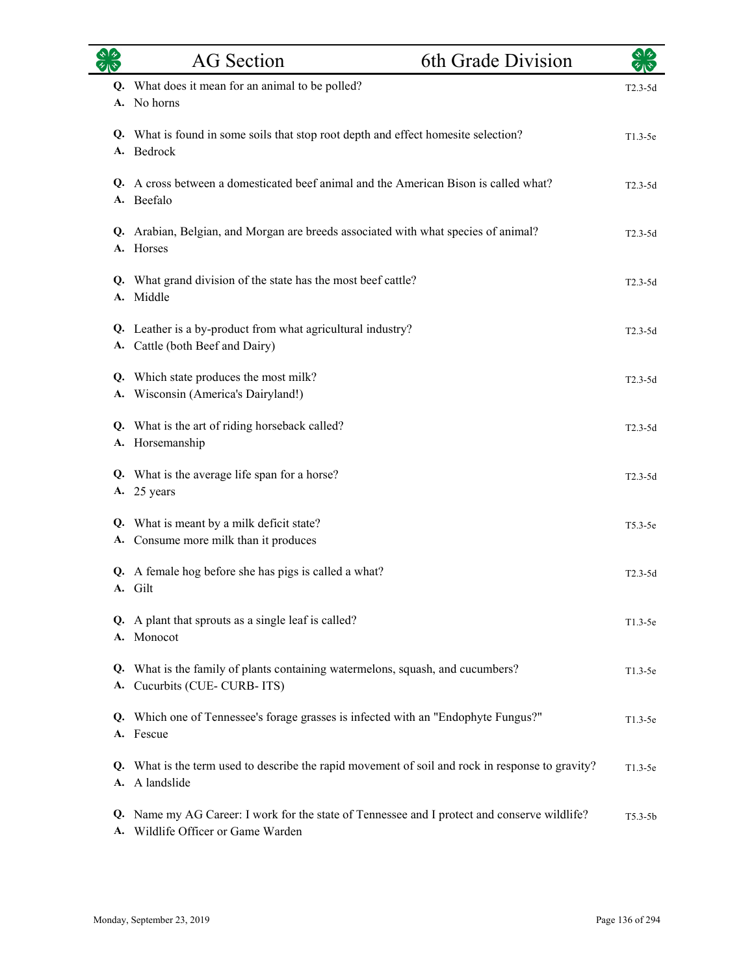|          | <b>AG</b> Section                                                                                                               | 6th Grade Division | $\star$ 1 $\star$ |
|----------|---------------------------------------------------------------------------------------------------------------------------------|--------------------|-------------------|
|          | Q. What does it mean for an animal to be polled?<br>A. No horns                                                                 |                    | $T2.3-5d$         |
|          | Q. What is found in some soils that stop root depth and effect homesite selection?<br>A. Bedrock                                |                    | $T1.3-5e$         |
|          | Q. A cross between a domesticated beef animal and the American Bison is called what?<br>A. Beefalo                              |                    | $T2.3-5d$         |
|          | Q. Arabian, Belgian, and Morgan are breeds associated with what species of animal?<br>A. Horses                                 |                    | $T2.3-5d$         |
|          | Q. What grand division of the state has the most beef cattle?<br>A. Middle                                                      |                    | $T2.3-5d$         |
|          | Q. Leather is a by-product from what agricultural industry?<br>A. Cattle (both Beef and Dairy)                                  |                    | $T2.3-5d$         |
|          | Q. Which state produces the most milk?<br>A. Wisconsin (America's Dairyland!)                                                   |                    | $T2.3-5d$         |
|          | Q. What is the art of riding horseback called?<br>A. Horsemanship                                                               |                    | $T2.3-5d$         |
|          | Q. What is the average life span for a horse?<br>A. 25 years                                                                    |                    | $T2.3-5d$         |
|          | Q. What is meant by a milk deficit state?<br>A. Consume more milk than it produces                                              |                    | $T5.3-5e$         |
|          | Q. A female hog before she has pigs is called a what?<br>A. Gilt                                                                |                    | $T2.3-5d$         |
|          | Q. A plant that sprouts as a single leaf is called?<br>A. Monocot                                                               |                    | $T1.3-5e$         |
| Q.<br>А. | What is the family of plants containing watermelons, squash, and cucumbers?<br>Cucurbits (CUE-CURB-ITS)                         |                    | $T1.3-5e$         |
| Q.       | Which one of Tennessee's forage grasses is infected with an "Endophyte Fungus?"<br>A. Fescue                                    |                    | $T1.3-5e$         |
|          | Q. What is the term used to describe the rapid movement of soil and rock in response to gravity?<br>A. A landslide              |                    | $T1.3-5e$         |
| A.       | Q. Name my AG Career: I work for the state of Tennessee and I protect and conserve wildlife?<br>Wildlife Officer or Game Warden |                    | $T5.3 - 5b$       |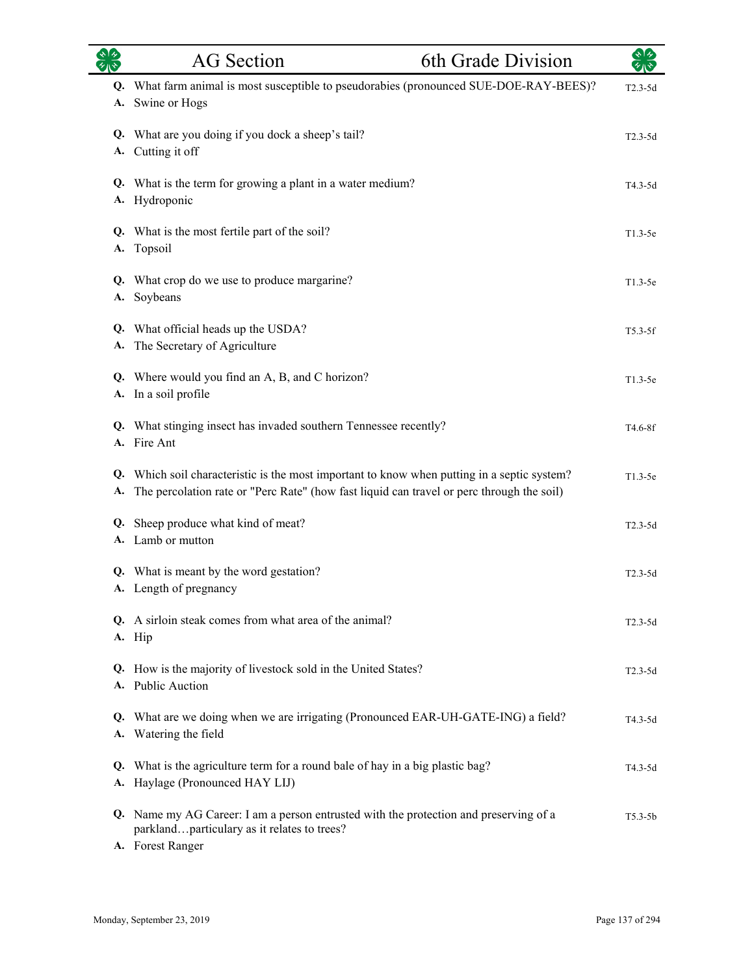|          | <b>AG</b> Section                                                                                                                                                                     | 6th Grade Division |             |
|----------|---------------------------------------------------------------------------------------------------------------------------------------------------------------------------------------|--------------------|-------------|
| Q.<br>A. | What farm animal is most susceptible to pseudorabies (pronounced SUE-DOE-RAY-BEES)?<br>Swine or Hogs                                                                                  |                    | $T2.3-5d$   |
| Q.<br>А. | What are you doing if you dock a sheep's tail?<br>Cutting it off                                                                                                                      |                    | $T2.3-5d$   |
| А.       | Q. What is the term for growing a plant in a water medium?<br>Hydroponic                                                                                                              |                    | $T4.3-5d$   |
| А.       | Q. What is the most fertile part of the soil?<br>Topsoil                                                                                                                              |                    | $T1.3-5e$   |
| Q.<br>А. | What crop do we use to produce margarine?<br>Soybeans                                                                                                                                 |                    | $T1.3-5e$   |
| Q.<br>А. | What official heads up the USDA?<br>The Secretary of Agriculture                                                                                                                      |                    | $T5.3-5f$   |
| Q.       | Where would you find an A, B, and C horizon?<br>A. In a soil profile                                                                                                                  |                    | $T1.3-5e$   |
| Q.<br>А. | What stinging insect has invaded southern Tennessee recently?<br>Fire Ant                                                                                                             |                    | T4.6-8f     |
| Q.<br>А. | Which soil characteristic is the most important to know when putting in a septic system?<br>The percolation rate or "Perc Rate" (how fast liquid can travel or perc through the soil) |                    | $T1.3-5e$   |
| Q.<br>А. | Sheep produce what kind of meat?<br>Lamb or mutton                                                                                                                                    |                    | $T2.3-5d$   |
|          | Q. What is meant by the word gestation?<br>A. Length of pregnancy                                                                                                                     |                    | $T2.3-5d$   |
|          | Q. A sirloin steak comes from what area of the animal?<br>A. Hip                                                                                                                      |                    | $T2.3 - 5d$ |
|          | Q. How is the majority of livestock sold in the United States?<br>A. Public Auction                                                                                                   |                    | $T2.3-5d$   |
|          | Q. What are we doing when we are irrigating (Pronounced EAR-UH-GATE-ING) a field?<br>A. Watering the field                                                                            |                    | $T4.3-5d$   |
| A.       | Q. What is the agriculture term for a round bale of hay in a big plastic bag?<br>Haylage (Pronounced HAY LIJ)                                                                         |                    | T4.3-5d     |
|          | Q. Name my AG Career: I am a person entrusted with the protection and preserving of a<br>parklandparticulary as it relates to trees?<br>A. Forest Ranger                              |                    | $T5.3 - 5b$ |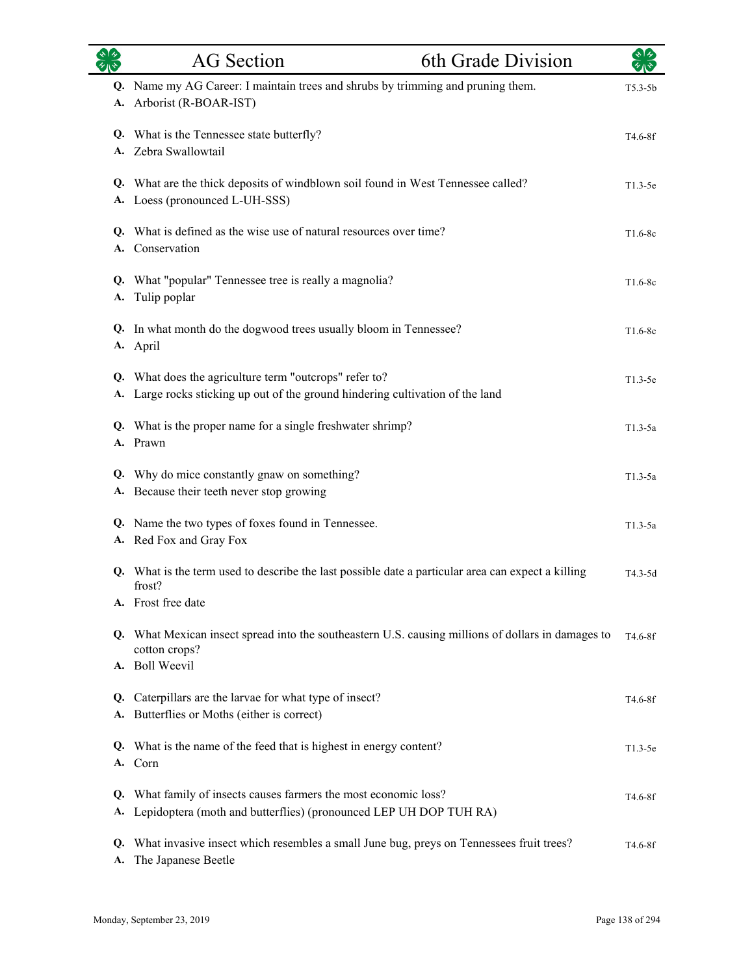|          | <b>AG</b> Section                                                                                                                        | 6th Grade Division | ৰ কি                 |
|----------|------------------------------------------------------------------------------------------------------------------------------------------|--------------------|----------------------|
| А.       | Q. Name my AG Career: I maintain trees and shrubs by trimming and pruning them.<br>Arborist (R-BOAR-IST)                                 |                    | $T5.3 - 5b$          |
|          | Q. What is the Tennessee state butterfly?<br>A. Zebra Swallowtail                                                                        |                    | T4.6-8f              |
|          | Q. What are the thick deposits of windblown soil found in West Tennessee called?<br>A. Loess (pronounced L-UH-SSS)                       |                    | $T1.3-5e$            |
| Q.<br>А. | What is defined as the wise use of natural resources over time?<br>Conservation                                                          |                    | $T1.6-8c$            |
| А.       | Q. What "popular" Tennessee tree is really a magnolia?<br>Tulip poplar                                                                   |                    | $T1.6-8c$            |
|          | Q. In what month do the dogwood trees usually bloom in Tennessee?<br>A. April                                                            |                    | $T1.6-8c$            |
|          | Q. What does the agriculture term "outcrops" refer to?<br>A. Large rocks sticking up out of the ground hindering cultivation of the land |                    | $T1.3-5e$            |
|          | Q. What is the proper name for a single freshwater shrimp?<br>A. Prawn                                                                   |                    | $T1.3-5a$            |
|          | Q. Why do mice constantly gnaw on something?<br>A. Because their teeth never stop growing                                                |                    | $T1.3-5a$            |
| А.       | Q. Name the two types of foxes found in Tennessee.<br>Red Fox and Gray Fox                                                               |                    | $T1.3-5a$            |
|          | Q. What is the term used to describe the last possible date a particular area can expect a killing<br>frost?                             |                    | T4.3-5d              |
|          | A. Frost free date                                                                                                                       |                    |                      |
|          | Q. What Mexican insect spread into the southeastern U.S. causing millions of dollars in damages to<br>cotton crops?<br>A. Boll Weevil    |                    | T4.6-8f              |
|          | Q. Caterpillars are the larvae for what type of insect?<br>A. Butterflies or Moths (either is correct)                                   |                    | T <sub>4.6</sub> -8f |
|          | Q. What is the name of the feed that is highest in energy content?<br>A. Corn                                                            |                    | $T1.3-5e$            |
| Q.       | What family of insects causes farmers the most economic loss?<br>A. Lepidoptera (moth and butterflies) (pronounced LEP UH DOP TUH RA)    |                    | T <sub>4.6</sub> -8f |
| Q.<br>А. | What invasive insect which resembles a small June bug, preys on Tennessees fruit trees?<br>The Japanese Beetle                           |                    | T4.6-8f              |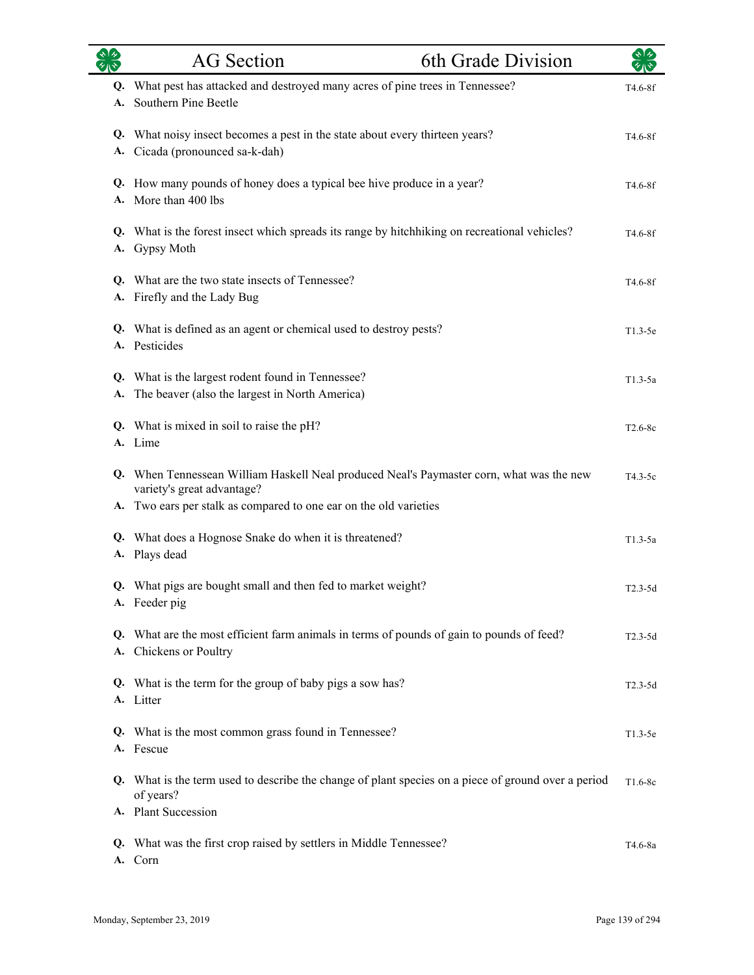|          | <b>AG</b> Section                                                                                                      | 6th Grade Division | ৰ কি                 |
|----------|------------------------------------------------------------------------------------------------------------------------|--------------------|----------------------|
| Q.<br>А. | What pest has attacked and destroyed many acres of pine trees in Tennessee?<br>Southern Pine Beetle                    |                    | T4.6-8f              |
| А.       | Q. What noisy insect becomes a pest in the state about every thirteen years?<br>Cicada (pronounced sa-k-dah)           |                    | T <sub>4.6</sub> -8f |
| A.       | Q. How many pounds of honey does a typical bee hive produce in a year?<br>More than 400 lbs                            |                    | T4.6-8f              |
| А.       | Q. What is the forest insect which spreads its range by hitchhiking on recreational vehicles?<br>Gypsy Moth            |                    | T4.6-8f              |
|          | Q. What are the two state insects of Tennessee?<br>A. Firefly and the Lady Bug                                         |                    | T4.6-8f              |
|          | Q. What is defined as an agent or chemical used to destroy pests?<br>A. Pesticides                                     |                    | $T1.3-5e$            |
| А.       | Q. What is the largest rodent found in Tennessee?<br>The beaver (also the largest in North America)                    |                    | $T1.3-5a$            |
|          | Q. What is mixed in soil to raise the pH?<br>A. Lime                                                                   |                    | $T2.6-8c$            |
|          | Q. When Tennessean William Haskell Neal produced Neal's Paymaster corn, what was the new<br>variety's great advantage? |                    | $T4.3-5c$            |
|          | A. Two ears per stalk as compared to one ear on the old varieties                                                      |                    |                      |
|          | Q. What does a Hognose Snake do when it is threatened?<br>A. Plays dead                                                |                    | $T1.3-5a$            |
|          | Q. What pigs are bought small and then fed to market weight?<br>A. Feeder pig                                          |                    | $T2.3-5d$            |
| А.       | Q. What are the most efficient farm animals in terms of pounds of gain to pounds of feed?<br>Chickens or Poultry       |                    | $T2.3-5d$            |
|          | Q. What is the term for the group of baby pigs a sow has?<br>A. Litter                                                 |                    | $T2.3-5d$            |
|          | Q. What is the most common grass found in Tennessee?<br>A. Fescue                                                      |                    | $T1.3-5e$            |
|          | Q. What is the term used to describe the change of plant species on a piece of ground over a period<br>of years?       |                    | $T1.6-8c$            |
| Q.<br>А. | A. Plant Succession<br>What was the first crop raised by settlers in Middle Tennessee?<br>Corn                         |                    | T4.6-8a              |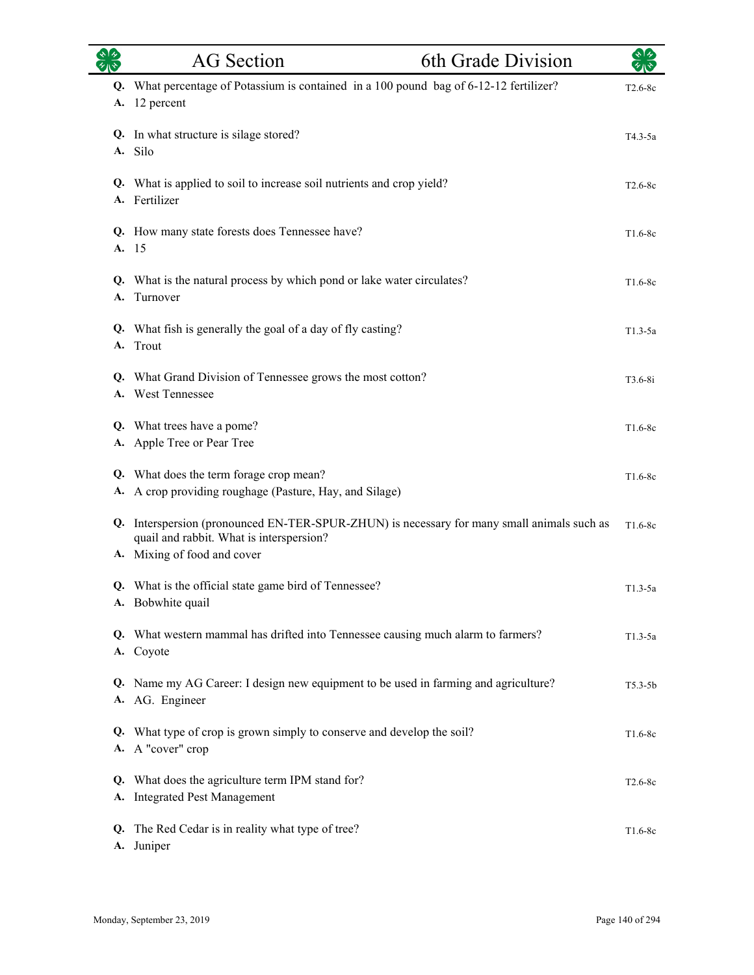|          | <b>AG</b> Section                                                                                                                                                  | 6th Grade Division | কাৰ         |
|----------|--------------------------------------------------------------------------------------------------------------------------------------------------------------------|--------------------|-------------|
| А.       | Q. What percentage of Potassium is contained in a 100 pound bag of 6-12-12 fertilizer?<br>12 percent                                                               |                    | $T2.6-8c$   |
|          | Q. In what structure is silage stored?<br>A. Silo                                                                                                                  |                    | $T4.3-5a$   |
|          | Q. What is applied to soil to increase soil nutrients and crop yield?<br>A. Fertilizer                                                                             |                    | $T2.6-8c$   |
|          | Q. How many state forests does Tennessee have?<br>A. 15                                                                                                            |                    | $T1.6-8c$   |
| A.       | Q. What is the natural process by which pond or lake water circulates?<br>Turnover                                                                                 |                    | $T1.6-8c$   |
| A.       | Q. What fish is generally the goal of a day of fly casting?<br>Trout                                                                                               |                    | $T1.3-5a$   |
|          | Q. What Grand Division of Tennessee grows the most cotton?<br>A. West Tennessee                                                                                    |                    | $T3.6 - 8i$ |
|          | Q. What trees have a pome?<br>A. Apple Tree or Pear Tree                                                                                                           |                    | $T1.6-8c$   |
|          | Q. What does the term forage crop mean?<br>A. A crop providing roughage (Pasture, Hay, and Silage)                                                                 |                    | $T1.6-8c$   |
| Q.       | Interspersion (pronounced EN-TER-SPUR-ZHUN) is necessary for many small animals such as<br>quail and rabbit. What is interspersion?<br>A. Mixing of food and cover |                    | $T1.6-8c$   |
|          | Q. What is the official state game bird of Tennessee?<br>A. Bobwhite quail                                                                                         |                    | $T1.3-5a$   |
|          | Q. What western mammal has drifted into Tennessee causing much alarm to farmers?<br>A. Coyote                                                                      |                    | $T1.3-5a$   |
|          | Q. Name my AG Career: I design new equipment to be used in farming and agriculture?<br>A. AG. Engineer                                                             |                    | $T5.3-5b$   |
|          | Q. What type of crop is grown simply to conserve and develop the soil?<br>A. A "cover" crop                                                                        |                    | $T1.6-8c$   |
| Q.<br>A. | What does the agriculture term IPM stand for?<br><b>Integrated Pest Management</b>                                                                                 |                    | $T2.6-8c$   |
| Q.<br>A. | The Red Cedar is in reality what type of tree?<br>Juniper                                                                                                          |                    | $T1.6-8c$   |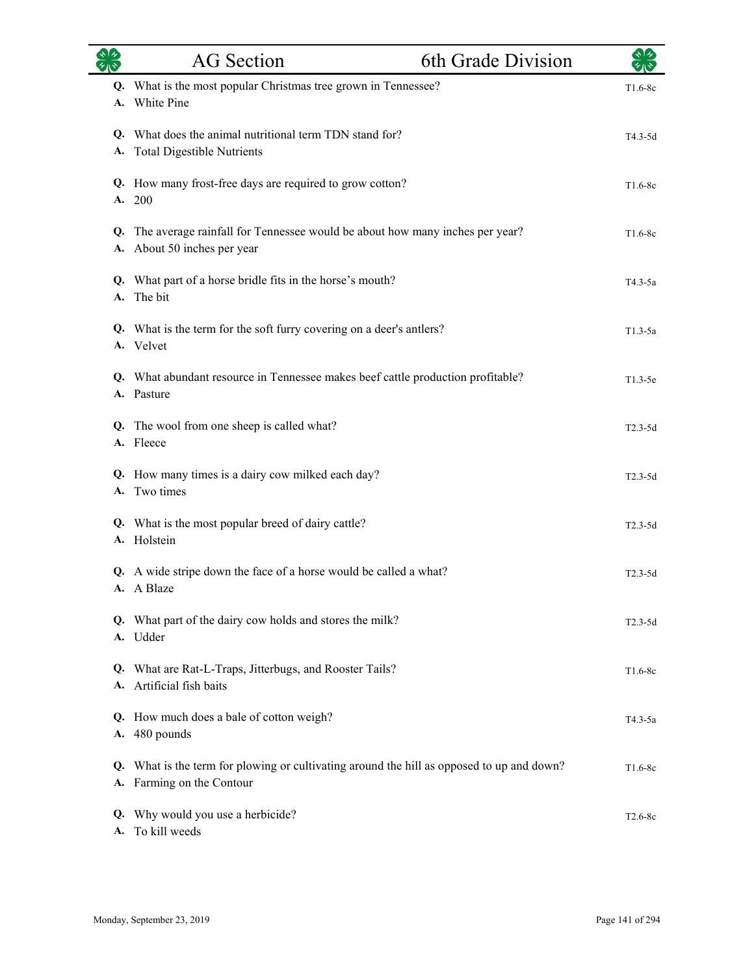|          | <b>AG</b> Section                                                                                                | 6th Grade Division | $\sqrt[3]{2}$ |
|----------|------------------------------------------------------------------------------------------------------------------|--------------------|---------------|
|          | Q. What is the most popular Christmas tree grown in Tennessee?<br>A. White Pine                                  |                    | $T1.6-8c$     |
| Q.<br>А. | What does the animal nutritional term TDN stand for?<br><b>Total Digestible Nutrients</b>                        |                    | T4.3-5d       |
|          | Q. How many frost-free days are required to grow cotton?<br>A. 200                                               |                    | $T1.6-8c$     |
| Q.<br>A. | The average rainfall for Tennessee would be about how many inches per year?<br>About 50 inches per year          |                    | $T1.6-8c$     |
| A.       | Q. What part of a horse bridle fits in the horse's mouth?<br>The bit                                             |                    | T4.3-5a       |
|          | Q. What is the term for the soft furry covering on a deer's antlers?<br>A. Velvet                                |                    | $T1.3-5a$     |
|          | Q. What abundant resource in Tennessee makes beef cattle production profitable?<br>A. Pasture                    |                    | $T1.3-5e$     |
|          | Q. The wool from one sheep is called what?<br>A. Fleece                                                          |                    | $T2.3-5d$     |
| A.       | Q. How many times is a dairy cow milked each day?<br>Two times                                                   |                    | $T2.3-5d$     |
|          | Q. What is the most popular breed of dairy cattle?<br>A. Holstein                                                |                    | $T2.3-5d$     |
|          | Q. A wide stripe down the face of a horse would be called a what?<br>A. A Blaze                                  |                    | $T2.3-5d$     |
|          | Q. What part of the dairy cow holds and stores the milk?<br>A. Udder                                             |                    | $T2.3-5d$     |
| Q.<br>A. | What are Rat-L-Traps, Jitterbugs, and Rooster Tails?<br>Artificial fish baits                                    |                    | $T1.6-8c$     |
|          | Q. How much does a bale of cotton weigh?<br>A. 480 pounds                                                        |                    | T4.3-5a       |
| Q.<br>А. | What is the term for plowing or cultivating around the hill as opposed to up and down?<br>Farming on the Contour |                    | $T1.6-8c$     |
| Q.<br>А. | Why would you use a herbicide?<br>To kill weeds                                                                  |                    | $T2.6-8c$     |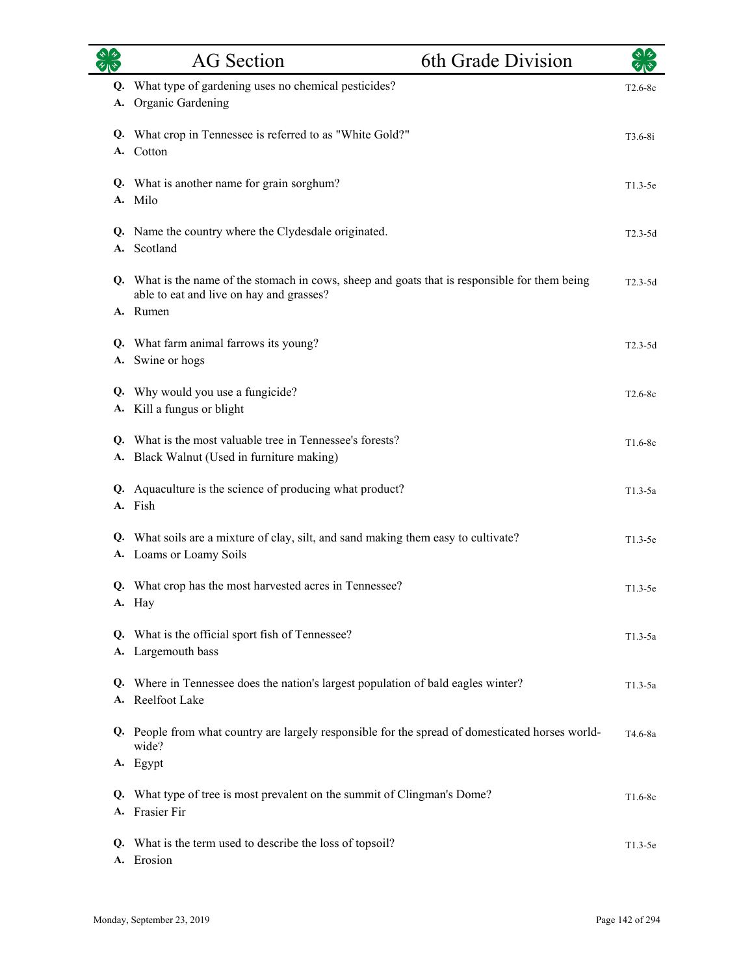|          | <b>AG</b> Section                                                                                                                                      | 6th Grade Division |                      |
|----------|--------------------------------------------------------------------------------------------------------------------------------------------------------|--------------------|----------------------|
| Q.<br>A. | What type of gardening uses no chemical pesticides?<br>Organic Gardening                                                                               |                    | T2.6-8c              |
|          | Q. What crop in Tennessee is referred to as "White Gold?"<br>A. Cotton                                                                                 |                    | $T3.6-8i$            |
|          | Q. What is another name for grain sorghum?<br>A. Milo                                                                                                  |                    | $T1.3-5e$            |
| A.       | Q. Name the country where the Clydesdale originated.<br>Scotland                                                                                       |                    | $T2.3-5d$            |
|          | Q. What is the name of the stomach in cows, sheep and goats that is responsible for them being<br>able to eat and live on hay and grasses?<br>A. Rumen |                    | $T2.3-5d$            |
|          | Q. What farm animal farrows its young?<br>A. Swine or hogs                                                                                             |                    | $T2.3-5d$            |
| Q.<br>А. | Why would you use a fungicide?<br>Kill a fungus or blight                                                                                              |                    | T <sub>2.6-8</sub> c |
| A.       | Q. What is the most valuable tree in Tennessee's forests?<br>Black Walnut (Used in furniture making)                                                   |                    | T1.6-8c              |
| Q.       | Aquaculture is the science of producing what product?<br>A. Fish                                                                                       |                    | $T1.3-5a$            |
|          | Q. What soils are a mixture of clay, silt, and sand making them easy to cultivate?<br>A. Loams or Loamy Soils                                          |                    | $T1.3-5e$            |
|          | Q. What crop has the most harvested acres in Tennessee?<br>A. Hay                                                                                      |                    | $T1.3-5e$            |
| A.       | Q. What is the official sport fish of Tennessee?<br>Largemouth bass                                                                                    |                    | $T1.3-5a$            |
| Q.       | Where in Tennessee does the nation's largest population of bald eagles winter?<br>A. Reelfoot Lake                                                     |                    | $T1.3-5a$            |
|          | Q. People from what country are largely responsible for the spread of domesticated horses world-<br>wide?                                              |                    | T4.6-8a              |
|          | A. Egypt                                                                                                                                               |                    |                      |
| Q.       | What type of tree is most prevalent on the summit of Clingman's Dome?<br>A. Frasier Fir                                                                |                    | $T1.6-8c$            |
|          | Q. What is the term used to describe the loss of topsoil?<br>A. Erosion                                                                                |                    | $T1.3-5e$            |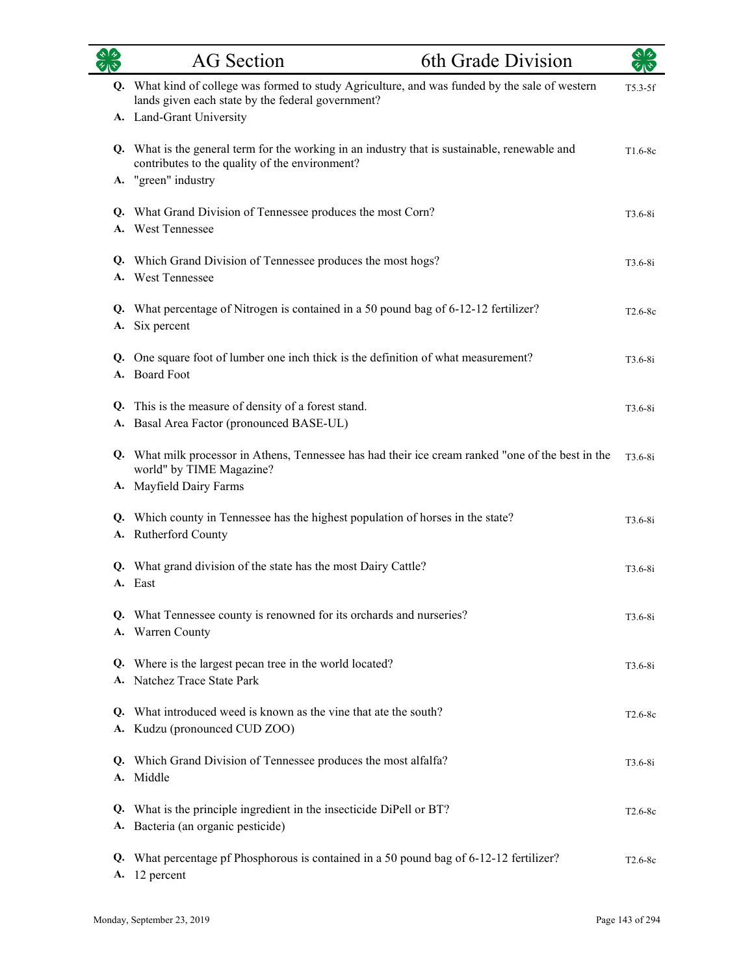|          | <b>AG</b> Section                                                                                                                                                               | 6th Grade Division |             |
|----------|---------------------------------------------------------------------------------------------------------------------------------------------------------------------------------|--------------------|-------------|
|          | Q. What kind of college was formed to study Agriculture, and was funded by the sale of western<br>lands given each state by the federal government?<br>A. Land-Grant University |                    | $T5.3-5f$   |
|          | Q. What is the general term for the working in an industry that is sustainable, renewable and<br>contributes to the quality of the environment?<br>A. "green" industry          |                    | $T1.6-8c$   |
|          | Q. What Grand Division of Tennessee produces the most Corn?<br>A. West Tennessee                                                                                                |                    | $T3.6-8i$   |
|          | Q. Which Grand Division of Tennessee produces the most hogs?<br>A. West Tennessee                                                                                               |                    | $T3.6 - 8i$ |
|          | Q. What percentage of Nitrogen is contained in a 50 pound bag of 6-12-12 fertilizer?<br>A. Six percent                                                                          |                    | $T2.6-8c$   |
|          | Q. One square foot of lumber one inch thick is the definition of what measurement?<br>A. Board Foot                                                                             |                    | $T3.6 - 8i$ |
|          | Q. This is the measure of density of a forest stand.<br>A. Basal Area Factor (pronounced BASE-UL)                                                                               |                    | T3.6-8i     |
|          | Q. What milk processor in Athens, Tennessee has had their ice cream ranked "one of the best in the<br>world" by TIME Magazine?<br>A. Mayfield Dairy Farms                       |                    | $T3.6-8i$   |
|          | Q. Which county in Tennessee has the highest population of horses in the state?<br>A. Rutherford County                                                                         |                    | $T3.6-8i$   |
|          | Q. What grand division of the state has the most Dairy Cattle?<br>A. East                                                                                                       |                    | $T3.6 - 8i$ |
|          | Q. What Tennessee county is renowned for its orchards and nurseries?<br>A. Warren County                                                                                        |                    | $T3.6-8i$   |
|          | Q. Where is the largest pecan tree in the world located?<br>A. Natchez Trace State Park                                                                                         |                    | $T3.6-8i$   |
| Q.<br>A. | What introduced weed is known as the vine that ate the south?<br>Kudzu (pronounced CUD ZOO)                                                                                     |                    | $T2.6-8c$   |
|          | Q. Which Grand Division of Tennessee produces the most alfalfa?<br>A. Middle                                                                                                    |                    | $T3.6-8i$   |
| Q.<br>A. | What is the principle ingredient in the insecticide DiPell or BT?<br>Bacteria (an organic pesticide)                                                                            |                    | $T2.6-8c$   |
| Q.<br>A. | What percentage pf Phosphorous is contained in a 50 pound bag of 6-12-12 fertilizer?<br>12 percent                                                                              |                    | $T2.6-8c$   |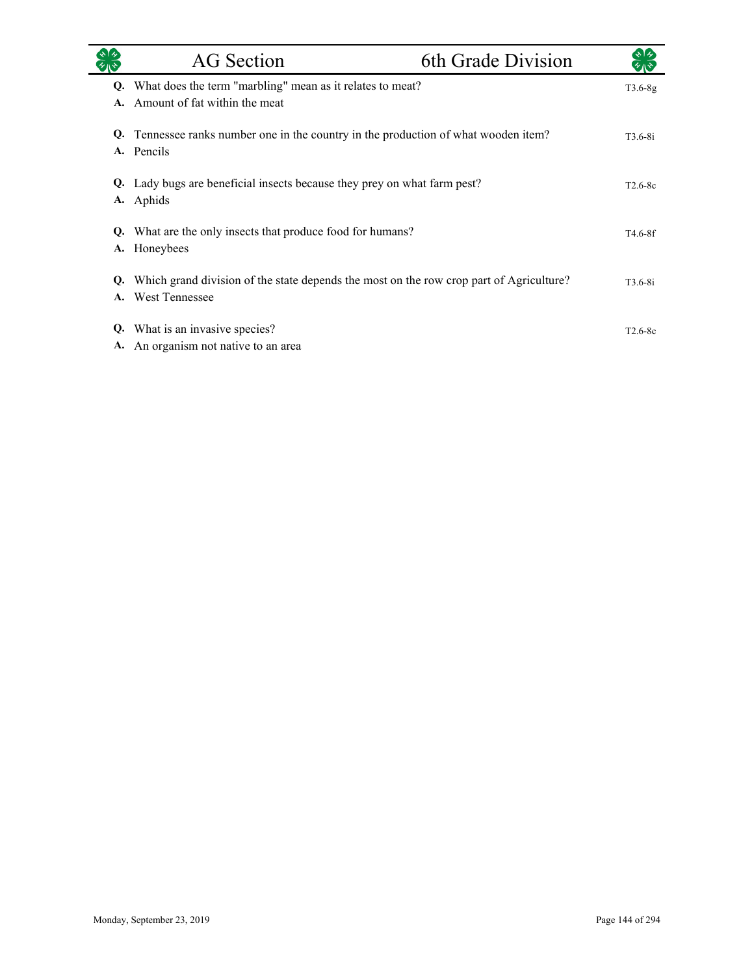|    | <b>AG</b> Section                                                                       | 6th Grade Division |           |
|----|-----------------------------------------------------------------------------------------|--------------------|-----------|
| Q. | What does the term "marbling" mean as it relates to meat?                               |                    | $T3.6-8g$ |
|    | Amount of fat within the meat                                                           |                    |           |
| Q. | Tennessee ranks number one in the country in the production of what wooden item?        |                    | $T3.6-8i$ |
| A. | Pencils                                                                                 |                    |           |
| Q. | Lady bugs are beneficial insects because they prey on what farm pest?                   |                    | $T2.6-8c$ |
|    | A. Aphids                                                                               |                    |           |
| Q. | What are the only insects that produce food for humans?                                 |                    | T4.6-8f   |
| A. | Honeybees                                                                               |                    |           |
| Q. | Which grand division of the state depends the most on the row crop part of Agriculture? |                    | $T3.6-8i$ |
| A. | <b>West Tennessee</b>                                                                   |                    |           |
| Q. | What is an invasive species?                                                            |                    | $T2.6-8c$ |
|    | An organism not native to an area                                                       |                    |           |

 $\overline{\phantom{0}}$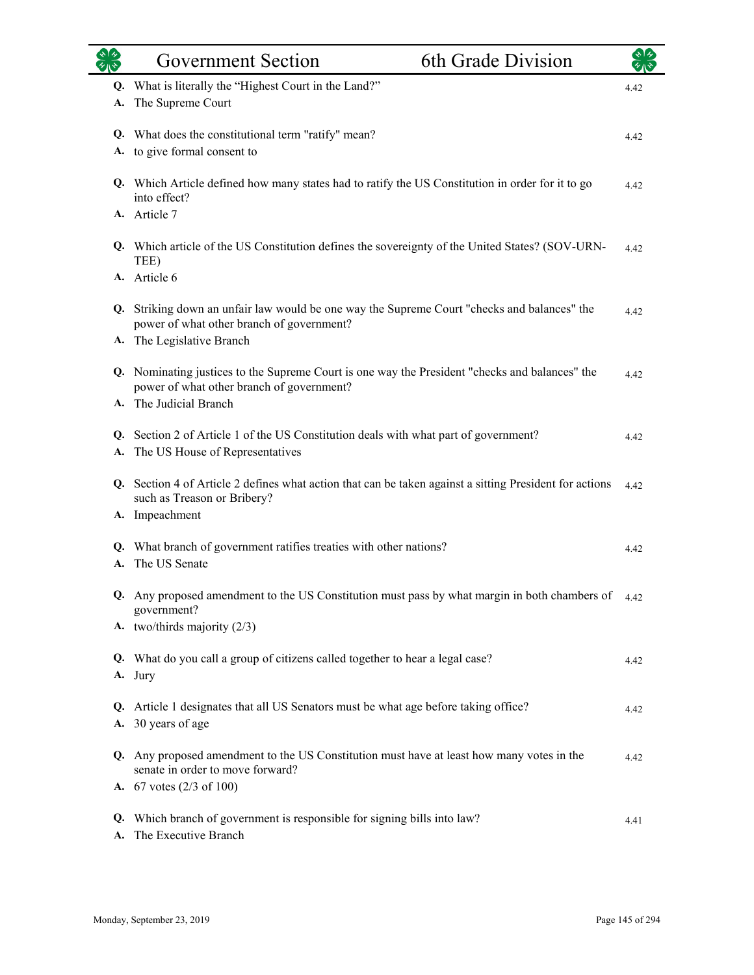|    | 6th Grade Division<br><b>Government Section</b>                                                                                             |      |
|----|---------------------------------------------------------------------------------------------------------------------------------------------|------|
| А. | Q. What is literally the "Highest Court in the Land?"<br>The Supreme Court                                                                  | 4.42 |
|    | Q. What does the constitutional term "ratify" mean?                                                                                         | 4.42 |
|    | A. to give formal consent to                                                                                                                |      |
|    | Q. Which Article defined how many states had to ratify the US Constitution in order for it to go<br>into effect?                            | 4.42 |
|    | A. Article 7                                                                                                                                |      |
|    | Q. Which article of the US Constitution defines the sovereignty of the United States? (SOV-URN-<br>TEE)                                     | 4.42 |
|    | A. Article 6                                                                                                                                |      |
|    | Q. Striking down an unfair law would be one way the Supreme Court "checks and balances" the<br>power of what other branch of government?    | 4.42 |
|    | A. The Legislative Branch                                                                                                                   |      |
|    | Q. Nominating justices to the Supreme Court is one way the President "checks and balances" the<br>power of what other branch of government? | 4.42 |
| A. | The Judicial Branch                                                                                                                         |      |
|    | Q. Section 2 of Article 1 of the US Constitution deals with what part of government?                                                        |      |
| A. | The US House of Representatives                                                                                                             | 4.42 |
|    | Q. Section 4 of Article 2 defines what action that can be taken against a sitting President for actions<br>such as Treason or Bribery?      | 4.42 |
|    | A. Impeachment                                                                                                                              |      |
|    |                                                                                                                                             |      |
|    | Q. What branch of government ratifies treaties with other nations?<br>A. The US Senate                                                      | 4.42 |
|    | Q. Any proposed amendment to the US Constitution must pass by what margin in both chambers of<br>government?                                | 4.42 |
|    | A. two/thirds majority $(2/3)$                                                                                                              |      |
|    | Q. What do you call a group of citizens called together to hear a legal case?                                                               | 4.42 |
|    | A. Jury                                                                                                                                     |      |
|    | Q. Article 1 designates that all US Senators must be what age before taking office?                                                         | 4.42 |
|    | A. 30 years of age                                                                                                                          |      |
|    | Q. Any proposed amendment to the US Constitution must have at least how many votes in the<br>senate in order to move forward?               | 4.42 |
|    | A. $67$ votes $(2/3 \text{ of } 100)$                                                                                                       |      |
| А. | Q. Which branch of government is responsible for signing bills into law?<br>The Executive Branch                                            | 4.41 |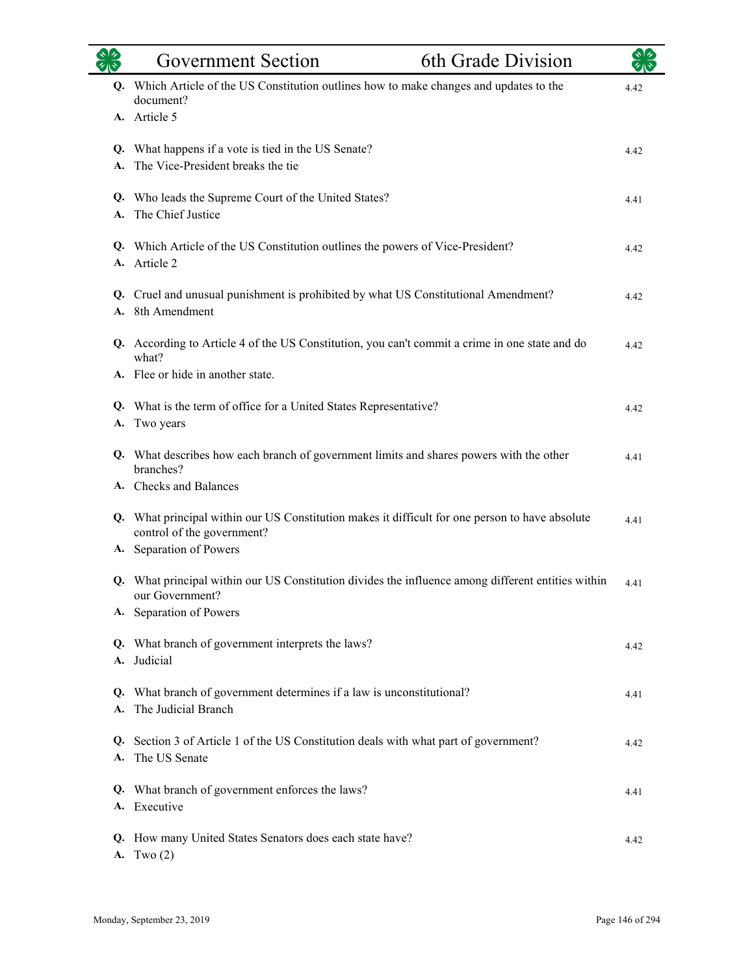|          | <b>Government Section</b>                                                                                                     | 6th Grade Division |      |
|----------|-------------------------------------------------------------------------------------------------------------------------------|--------------------|------|
|          | Q. Which Article of the US Constitution outlines how to make changes and updates to the<br>document?                          |                    | 4.42 |
|          | A. Article 5                                                                                                                  |                    |      |
| Q.<br>A. | What happens if a vote is tied in the US Senate?<br>The Vice-President breaks the tie                                         |                    | 4.42 |
| Q.<br>A. | Who leads the Supreme Court of the United States?<br>The Chief Justice                                                        |                    | 4.41 |
| Q.<br>A. | Which Article of the US Constitution outlines the powers of Vice-President?<br>Article 2                                      |                    | 4.42 |
| Q.<br>A. | Cruel and unusual punishment is prohibited by what US Constitutional Amendment?<br>8th Amendment                              |                    | 4.42 |
|          | Q. According to Article 4 of the US Constitution, you can't commit a crime in one state and do<br>what?                       |                    | 4.42 |
|          | A. Flee or hide in another state.                                                                                             |                    |      |
| Q.<br>А. | What is the term of office for a United States Representative?<br>Two years                                                   |                    | 4.42 |
|          | Q. What describes how each branch of government limits and shares powers with the other<br>branches?                          |                    | 4.41 |
|          | A. Checks and Balances                                                                                                        |                    |      |
|          | Q. What principal within our US Constitution makes it difficult for one person to have absolute<br>control of the government? |                    | 4.41 |
| А.       | Separation of Powers                                                                                                          |                    |      |
|          | Q. What principal within our US Constitution divides the influence among different entities within<br>our Government?         |                    | 4.41 |
| А.       | Separation of Powers                                                                                                          |                    |      |
| Q.       | What branch of government interprets the laws?<br>A. Judicial                                                                 |                    | 4.42 |
| Q.<br>A. | What branch of government determines if a law is unconstitutional?<br>The Judicial Branch                                     |                    | 4.41 |
| O.<br>A. | Section 3 of Article 1 of the US Constitution deals with what part of government?<br>The US Senate                            |                    | 4.42 |
|          | Q. What branch of government enforces the laws?<br>A. Executive                                                               |                    | 4.41 |
|          | Q. How many United States Senators does each state have?<br>A. Two $(2)$                                                      |                    | 4.42 |

L.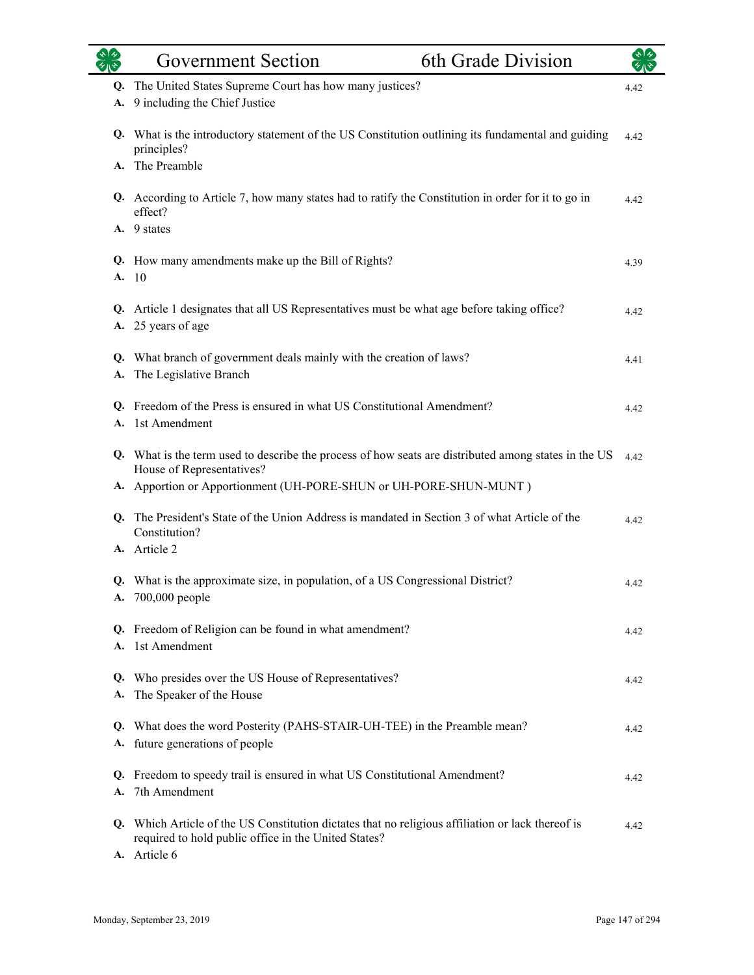| <b>els</b><br>Vie | 6th Grade Division<br><b>Government Section</b>                                                                                                                        |      |
|-------------------|------------------------------------------------------------------------------------------------------------------------------------------------------------------------|------|
| Q.<br>A.          | The United States Supreme Court has how many justices?<br>9 including the Chief Justice                                                                                | 4.42 |
|                   | Q. What is the introductory statement of the US Constitution outlining its fundamental and guiding<br>principles?                                                      | 4.42 |
|                   | A. The Preamble                                                                                                                                                        |      |
|                   | Q. According to Article 7, how many states had to ratify the Constitution in order for it to go in<br>effect?                                                          | 4.42 |
|                   | A. 9 states                                                                                                                                                            |      |
| А.                | Q. How many amendments make up the Bill of Rights?<br>- 10                                                                                                             | 4.39 |
| A.                | Q. Article 1 designates that all US Representatives must be what age before taking office?<br>25 years of age                                                          | 4.42 |
| Q.<br>A.          | What branch of government deals mainly with the creation of laws?<br>The Legislative Branch                                                                            | 4.41 |
|                   | Q. Freedom of the Press is ensured in what US Constitutional Amendment?<br>A. 1st Amendment                                                                            | 4.42 |
|                   | Q. What is the term used to describe the process of how seats are distributed among states in the US<br>House of Representatives?                                      | 4.42 |
|                   | A. Apportion or Apportionment (UH-PORE-SHUN or UH-PORE-SHUN-MUNT)                                                                                                      |      |
|                   | Q. The President's State of the Union Address is mandated in Section 3 of what Article of the<br>Constitution?                                                         | 4.42 |
|                   | A. Article 2                                                                                                                                                           |      |
| Q.<br>A.          | What is the approximate size, in population, of a US Congressional District?<br>700,000 people                                                                         | 4.42 |
| Q.<br>A.          | Freedom of Religion can be found in what amendment?<br>1st Amendment                                                                                                   | 4.42 |
| Q.<br>A.          | Who presides over the US House of Representatives?<br>The Speaker of the House                                                                                         | 4.42 |
| Q.<br>А.          | What does the word Posterity (PAHS-STAIR-UH-TEE) in the Preamble mean?<br>future generations of people                                                                 | 4.42 |
|                   |                                                                                                                                                                        |      |
| Q.<br>A.          | Freedom to speedy trail is ensured in what US Constitutional Amendment?<br>7th Amendment                                                                               | 4.42 |
| Q.                | Which Article of the US Constitution dictates that no religious affiliation or lack thereof is<br>required to hold public office in the United States?<br>A. Article 6 | 4.42 |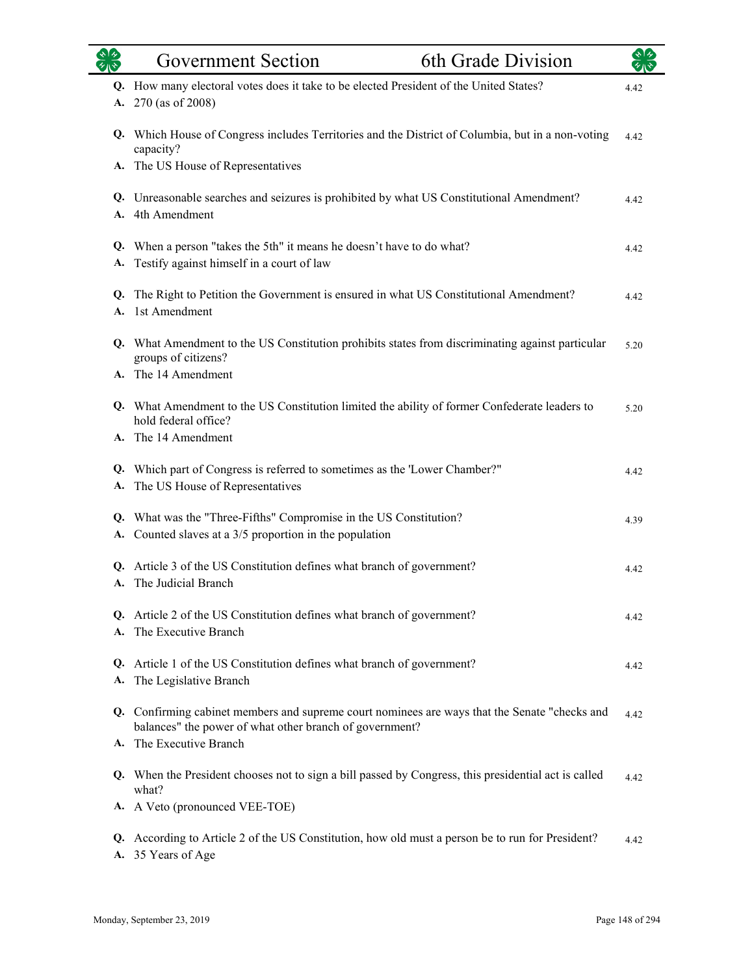|          | <b>Government Section</b>                                                                                                                                | 6th Grade Division |      |
|----------|----------------------------------------------------------------------------------------------------------------------------------------------------------|--------------------|------|
| A.       | Q. How many electoral votes does it take to be elected President of the United States?<br>270 (as of 2008)                                               |                    | 4.42 |
|          | Q. Which House of Congress includes Territories and the District of Columbia, but in a non-voting<br>capacity?                                           |                    | 4.42 |
|          | A. The US House of Representatives                                                                                                                       |                    |      |
|          | Q. Unreasonable searches and seizures is prohibited by what US Constitutional Amendment?<br>A. 4th Amendment                                             |                    | 4.42 |
| Q.<br>А. | When a person "takes the 5th" it means he doesn't have to do what?<br>Testify against himself in a court of law                                          |                    | 4.42 |
|          | Q. The Right to Petition the Government is ensured in what US Constitutional Amendment?<br>A. 1st Amendment                                              |                    | 4.42 |
|          | Q. What Amendment to the US Constitution prohibits states from discriminating against particular<br>groups of citizens?                                  |                    | 5.20 |
|          | A. The 14 Amendment                                                                                                                                      |                    |      |
|          | Q. What Amendment to the US Constitution limited the ability of former Confederate leaders to<br>hold federal office?                                    |                    | 5.20 |
|          | A. The 14 Amendment                                                                                                                                      |                    |      |
| А.       | Q. Which part of Congress is referred to sometimes as the 'Lower Chamber?"<br>The US House of Representatives                                            |                    | 4.42 |
|          | Q. What was the "Three-Fifths" Compromise in the US Constitution?<br>A. Counted slaves at a 3/5 proportion in the population                             |                    | 4.39 |
|          | Q. Article 3 of the US Constitution defines what branch of government?<br>A. The Judicial Branch                                                         |                    | 4.42 |
|          | Q. Article 2 of the US Constitution defines what branch of government?<br>The Executive Branch                                                           |                    | 4.42 |
| A.       | Q. Article 1 of the US Constitution defines what branch of government?<br>The Legislative Branch                                                         |                    | 4.42 |
|          | Q. Confirming cabinet members and supreme court nominees are ways that the Senate "checks and<br>balances" the power of what other branch of government? |                    | 4.42 |
|          | A. The Executive Branch                                                                                                                                  |                    |      |
|          | Q. When the President chooses not to sign a bill passed by Congress, this presidential act is called<br>what?                                            |                    | 4.42 |
|          | A. A Veto (pronounced VEE-TOE)                                                                                                                           |                    |      |
|          | Q. According to Article 2 of the US Constitution, how old must a person be to run for President?<br>A. 35 Years of Age                                   |                    | 4.42 |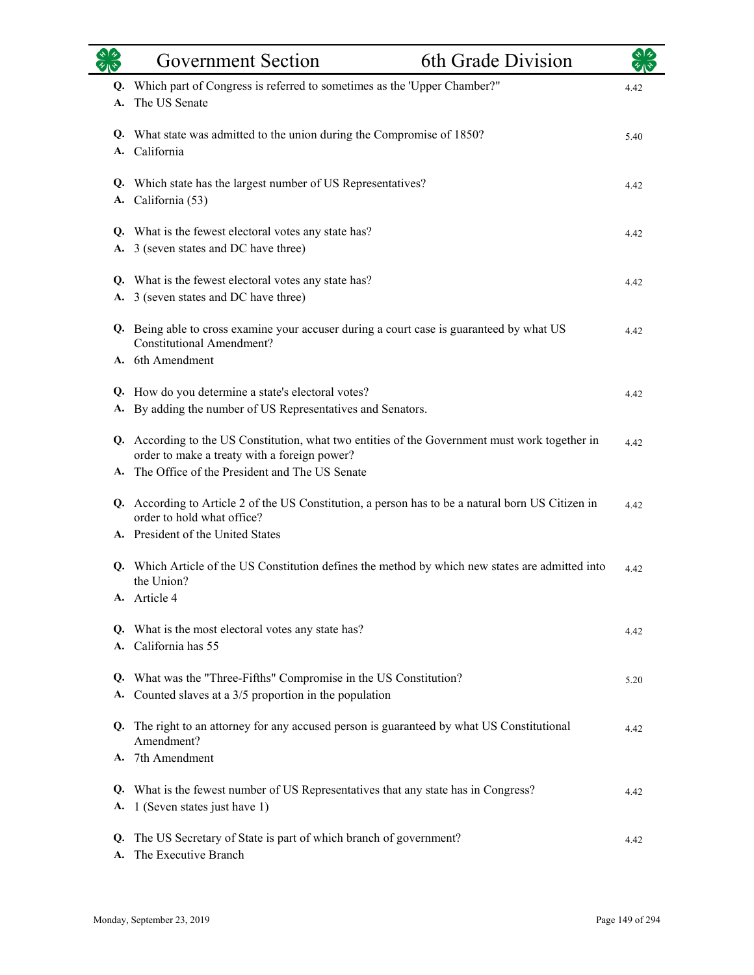|          | <b>Government Section</b>                                                                                                                                                           | 6th Grade Division |      |
|----------|-------------------------------------------------------------------------------------------------------------------------------------------------------------------------------------|--------------------|------|
| Q.<br>A. | Which part of Congress is referred to sometimes as the 'Upper Chamber?"<br>The US Senate                                                                                            |                    | 4.42 |
|          | Q. What state was admitted to the union during the Compromise of 1850?<br>A. California                                                                                             |                    | 5.40 |
|          | Q. Which state has the largest number of US Representatives?<br>A. California (53)                                                                                                  |                    | 4.42 |
|          | Q. What is the fewest electoral votes any state has?<br>A. 3 (seven states and DC have three)                                                                                       |                    | 4.42 |
|          | Q. What is the fewest electoral votes any state has?<br>A. 3 (seven states and DC have three)                                                                                       |                    | 4.42 |
|          | Q. Being able to cross examine your accuser during a court case is guaranteed by what US<br><b>Constitutional Amendment?</b><br>A. 6th Amendment                                    |                    | 4.42 |
|          | Q. How do you determine a state's electoral votes?<br>A. By adding the number of US Representatives and Senators.                                                                   |                    | 4.42 |
|          | Q. According to the US Constitution, what two entities of the Government must work together in<br>order to make a treaty with a foreign power?                                      |                    | 4.42 |
|          | A. The Office of the President and The US Senate<br>Q. According to Article 2 of the US Constitution, a person has to be a natural born US Citizen in<br>order to hold what office? |                    | 4.42 |
|          | A. President of the United States<br>Q. Which Article of the US Constitution defines the method by which new states are admitted into<br>the Union?                                 |                    | 4.42 |
|          | A. Article 4<br>Q. What is the most electoral votes any state has?<br>A. California has 55                                                                                          |                    | 4.42 |
| A.       | Q. What was the "Three-Fifths" Compromise in the US Constitution?<br>Counted slaves at a 3/5 proportion in the population                                                           |                    | 5.20 |
|          | Q. The right to an attorney for any accused person is guaranteed by what US Constitutional<br>Amendment?<br>A. 7th Amendment                                                        |                    | 4.42 |
|          | Q. What is the fewest number of US Representatives that any state has in Congress?<br>A. 1 (Seven states just have 1)                                                               |                    | 4.42 |
| Q.<br>А. | The US Secretary of State is part of which branch of government?<br>The Executive Branch                                                                                            |                    | 4.42 |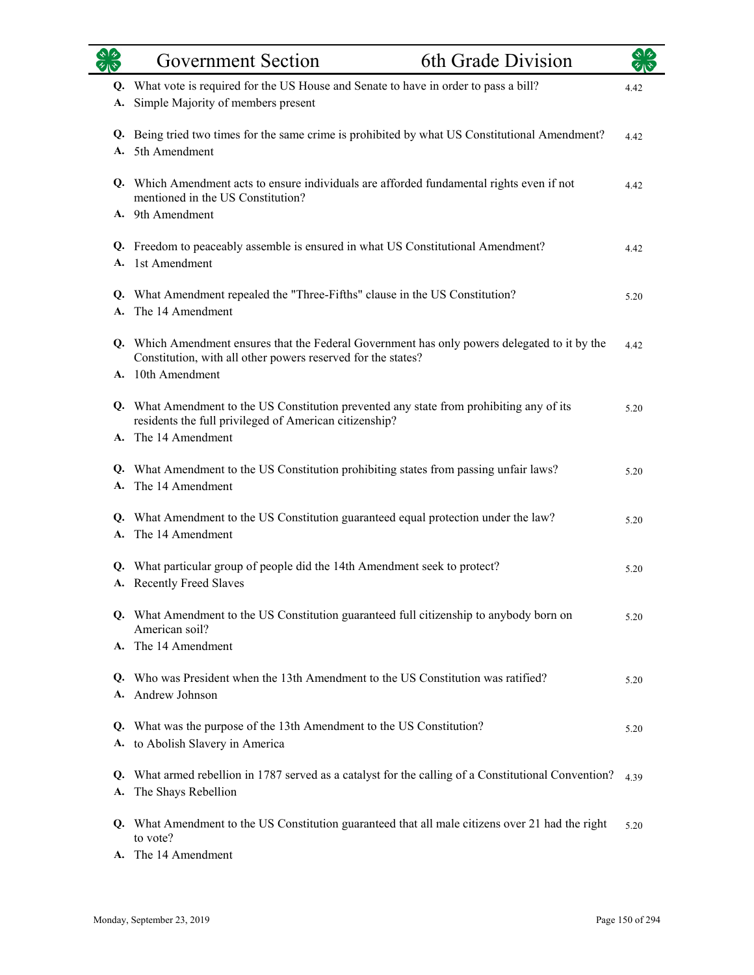|    | 6th Grade Division<br><b>Government Section</b>                                                                                                                                    |      |
|----|------------------------------------------------------------------------------------------------------------------------------------------------------------------------------------|------|
| А. | Q. What vote is required for the US House and Senate to have in order to pass a bill?<br>Simple Majority of members present                                                        | 4.42 |
| А. | Q. Being tried two times for the same crime is prohibited by what US Constitutional Amendment?<br>5th Amendment                                                                    | 4.42 |
|    | Q. Which Amendment acts to ensure individuals are afforded fundamental rights even if not<br>mentioned in the US Constitution?<br>A. 9th Amendment                                 | 4.42 |
| A. | Q. Freedom to peaceably assemble is ensured in what US Constitutional Amendment?<br>1st Amendment                                                                                  | 4.42 |
|    | Q. What Amendment repealed the "Three-Fifths" clause in the US Constitution?<br>A. The 14 Amendment                                                                                | 5.20 |
|    | Q. Which Amendment ensures that the Federal Government has only powers delegated to it by the<br>Constitution, with all other powers reserved for the states?<br>A. 10th Amendment | 4.42 |
|    | Q. What Amendment to the US Constitution prevented any state from prohibiting any of its<br>residents the full privileged of American citizenship?<br>A. The 14 Amendment          | 5.20 |
|    | Q. What Amendment to the US Constitution prohibiting states from passing unfair laws?<br>A. The 14 Amendment                                                                       | 5.20 |
|    | Q. What Amendment to the US Constitution guaranteed equal protection under the law?<br>A. The 14 Amendment                                                                         | 5.20 |
|    | Q. What particular group of people did the 14th Amendment seek to protect?<br>A. Recently Freed Slaves                                                                             | 5.20 |
|    | Q. What Amendment to the US Constitution guaranteed full citizenship to anybody born on<br>American soil?<br>A. The 14 Amendment                                                   | 5.20 |
|    | Q. Who was President when the 13th Amendment to the US Constitution was ratified?<br>A. Andrew Johnson                                                                             | 5.20 |
| Q. | What was the purpose of the 13th Amendment to the US Constitution?<br>A. to Abolish Slavery in America                                                                             | 5.20 |
| A. | Q. What armed rebellion in 1787 served as a catalyst for the calling of a Constitutional Convention?<br>The Shays Rebellion                                                        | 4.39 |
|    | Q. What Amendment to the US Constitution guaranteed that all male citizens over 21 had the right<br>to vote?<br>A. The 14 Amendment                                                | 5.20 |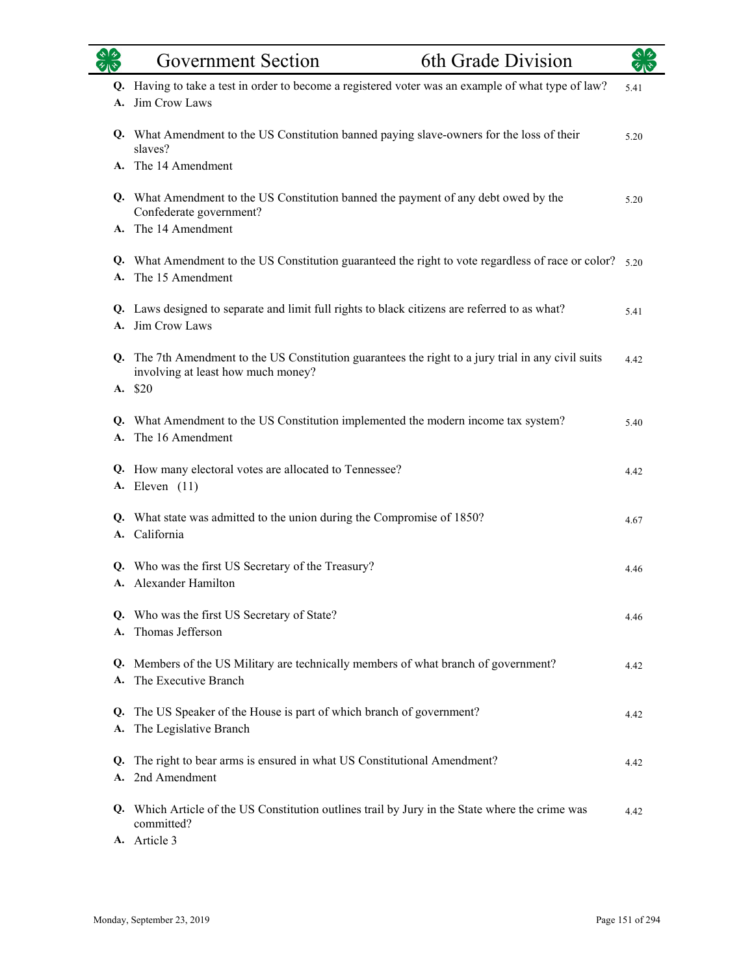|          | 6th Grade Division<br><b>Government Section</b>                                                                                                   |      |
|----------|---------------------------------------------------------------------------------------------------------------------------------------------------|------|
| А.       | Q. Having to take a test in order to become a registered voter was an example of what type of law?<br>Jim Crow Laws                               | 5.41 |
|          | Q. What Amendment to the US Constitution banned paying slave-owners for the loss of their<br>slaves?                                              | 5.20 |
|          | A. The 14 Amendment                                                                                                                               |      |
|          | Q. What Amendment to the US Constitution banned the payment of any debt owed by the<br>Confederate government?                                    | 5.20 |
|          | A. The 14 Amendment                                                                                                                               |      |
|          | Q. What Amendment to the US Constitution guaranteed the right to vote regardless of race or color? $5.20$<br>A. The 15 Amendment                  |      |
|          | Q. Laws designed to separate and limit full rights to black citizens are referred to as what?<br>A. Jim Crow Laws                                 | 5.41 |
| A.       | Q. The 7th Amendment to the US Constitution guarantees the right to a jury trial in any civil suits<br>involving at least how much money?<br>\$20 | 4.42 |
| A.       | Q. What Amendment to the US Constitution implemented the modern income tax system?<br>The 16 Amendment                                            | 5.40 |
|          | Q. How many electoral votes are allocated to Tennessee?<br><b>A.</b> Eleven (11)                                                                  | 4.42 |
|          | Q. What state was admitted to the union during the Compromise of 1850?<br>A. California                                                           | 4.67 |
|          | Q. Who was the first US Secretary of the Treasury?<br>A. Alexander Hamilton                                                                       | 4.46 |
| A.       | Q. Who was the first US Secretary of State?<br>Thomas Jefferson                                                                                   | 4.46 |
| А.       | Q. Members of the US Military are technically members of what branch of government?<br>The Executive Branch                                       | 4.42 |
| Q.<br>A. | The US Speaker of the House is part of which branch of government?<br>The Legislative Branch                                                      | 4.42 |
| Q.<br>A. | The right to bear arms is ensured in what US Constitutional Amendment?<br>2nd Amendment                                                           | 4.42 |
|          | Q. Which Article of the US Constitution outlines trail by Jury in the State where the crime was<br>committed?<br>A. Article 3                     | 4.42 |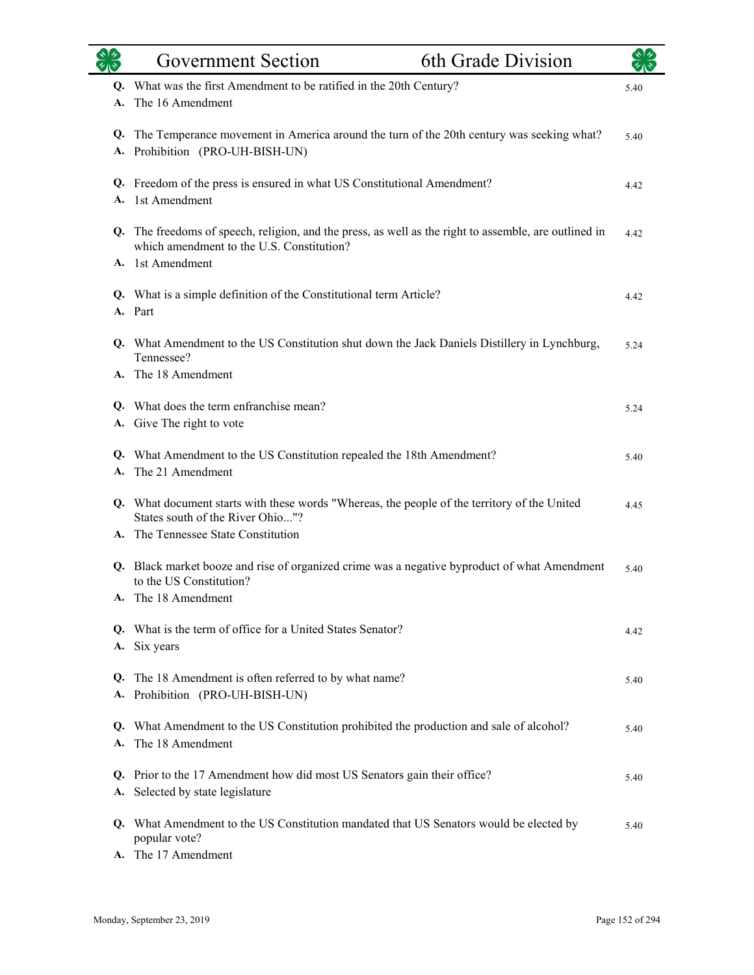|          | 6th Grade Division<br><b>Government Section</b>                                                                                                                        |      |  |
|----------|------------------------------------------------------------------------------------------------------------------------------------------------------------------------|------|--|
| A.       | Q. What was the first Amendment to be ratified in the 20th Century?<br>The 16 Amendment                                                                                | 5.40 |  |
| Q.       | The Temperance movement in America around the turn of the 20th century was seeking what?<br>A. Prohibition (PRO-UH-BISH-UN)                                            | 5.40 |  |
|          | Q. Freedom of the press is ensured in what US Constitutional Amendment?<br>A. 1st Amendment                                                                            | 4.42 |  |
|          | Q. The freedoms of speech, religion, and the press, as well as the right to assemble, are outlined in<br>which amendment to the U.S. Constitution?<br>A. 1st Amendment | 4.42 |  |
|          | Q. What is a simple definition of the Constitutional term Article?<br>A. Part                                                                                          | 4.42 |  |
|          | Q. What Amendment to the US Constitution shut down the Jack Daniels Distillery in Lynchburg,<br>Tennessee?                                                             | 5.24 |  |
|          | A. The 18 Amendment                                                                                                                                                    |      |  |
|          | Q. What does the term enfranchise mean?<br>A. Give The right to vote                                                                                                   | 5.24 |  |
|          | Q. What Amendment to the US Constitution repealed the 18th Amendment?<br>A. The 21 Amendment                                                                           | 5.40 |  |
|          | Q. What document starts with these words "Whereas, the people of the territory of the United<br>States south of the River Ohio"?                                       | 4.45 |  |
|          | A. The Tennessee State Constitution                                                                                                                                    |      |  |
| Q.<br>A. | Black market booze and rise of organized crime was a negative byproduct of what Amendment<br>to the US Constitution?<br>The 18 Amendment                               | 5.40 |  |
| Q.       | What is the term of office for a United States Senator?<br>A. Six years                                                                                                | 4.42 |  |
| Q.<br>A. | The 18 Amendment is often referred to by what name?<br>Prohibition (PRO-UH-BISH-UN)                                                                                    | 5.40 |  |
| Q.       | What Amendment to the US Constitution prohibited the production and sale of alcohol?<br>The 18 Amendment                                                               | 5.40 |  |
| Q.<br>А. | Prior to the 17 Amendment how did most US Senators gain their office?<br>Selected by state legislature                                                                 | 5.40 |  |
| Q.       | What Amendment to the US Constitution mandated that US Senators would be elected by<br>popular vote?<br>A. The 17 Amendment                                            | 5.40 |  |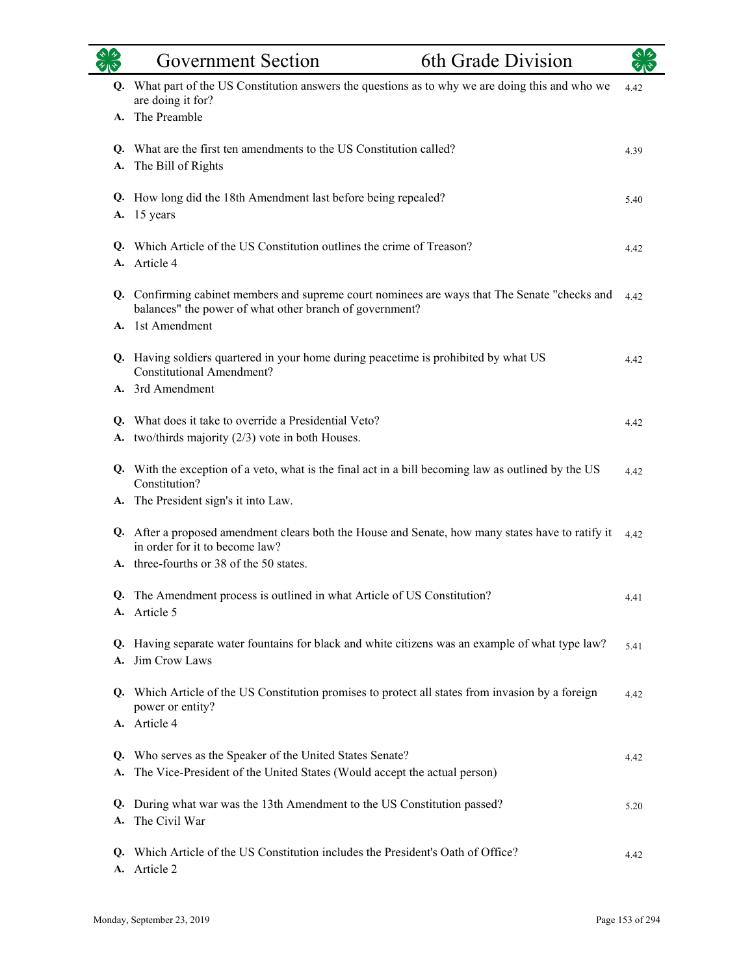|          | 6th Grade Division<br><b>Government Section</b>                                                                                                                              |      |
|----------|------------------------------------------------------------------------------------------------------------------------------------------------------------------------------|------|
|          | Q. What part of the US Constitution answers the questions as to why we are doing this and who we<br>are doing it for?<br>A. The Preamble                                     | 4.42 |
| А.       | Q. What are the first ten amendments to the US Constitution called?<br>The Bill of Rights                                                                                    | 4.39 |
|          | Q. How long did the 18th Amendment last before being repealed?<br>A. 15 years                                                                                                | 5.40 |
| Q.<br>A. | Which Article of the US Constitution outlines the crime of Treason?<br>Article 4                                                                                             | 4.42 |
|          | Q. Confirming cabinet members and supreme court nominees are ways that The Senate "checks and<br>balances" the power of what other branch of government?<br>A. 1st Amendment | 4.42 |
|          | Q. Having soldiers quartered in your home during peacetime is prohibited by what US<br><b>Constitutional Amendment?</b>                                                      | 4.42 |
|          | A. 3rd Amendment                                                                                                                                                             |      |
|          | Q. What does it take to override a Presidential Veto?<br>A. two/thirds majority (2/3) vote in both Houses.                                                                   | 4.42 |
|          | Q. With the exception of a veto, what is the final act in a bill becoming law as outlined by the US<br>Constitution?                                                         | 4.42 |
|          | A. The President sign's it into Law.                                                                                                                                         |      |
|          | Q. After a proposed amendment clears both the House and Senate, how many states have to ratify it<br>in order for it to become law?                                          | 4.42 |
|          | A. three-fourths or 38 of the 50 states.                                                                                                                                     |      |
|          | The Amendment process is outlined in what Article of US Constitution?<br>A. Article 5                                                                                        | 4.41 |
| Q.<br>А. | Having separate water fountains for black and white citizens was an example of what type law?<br>Jim Crow Laws                                                               | 5.41 |
|          | Q. Which Article of the US Constitution promises to protect all states from invasion by a foreign<br>power or entity?                                                        | 4.42 |
|          | A. Article 4                                                                                                                                                                 |      |
| Q.<br>А. | Who serves as the Speaker of the United States Senate?<br>The Vice-President of the United States (Would accept the actual person)                                           | 4.42 |
|          |                                                                                                                                                                              |      |
| А.       | Q. During what war was the 13th Amendment to the US Constitution passed?<br>The Civil War                                                                                    | 5.20 |
| Q.<br>А. | Which Article of the US Constitution includes the President's Oath of Office?<br>Article 2                                                                                   | 4.42 |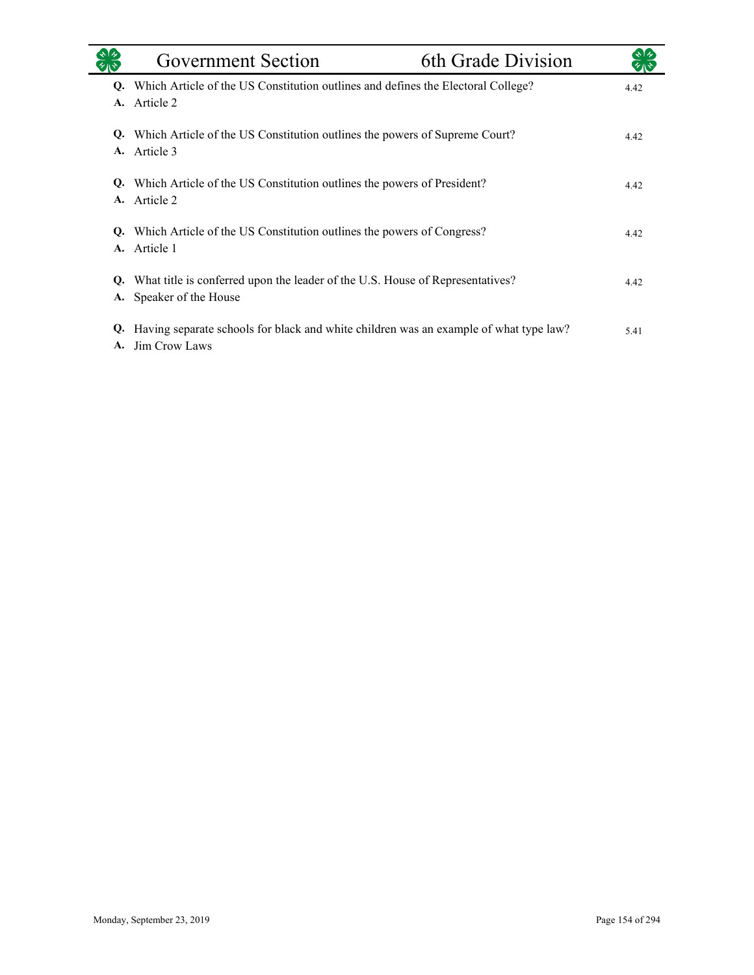|    | Government Section                                                                    | 6th Grade Division |      |
|----|---------------------------------------------------------------------------------------|--------------------|------|
| Q. | Which Article of the US Constitution outlines and defines the Electoral College?      |                    | 4.42 |
| A. | Article 2                                                                             |                    |      |
| Q. | Which Article of the US Constitution outlines the powers of Supreme Court?            |                    | 4.42 |
|    | A. Article 3                                                                          |                    |      |
| Q. | Which Article of the US Constitution outlines the powers of President?                |                    | 4.42 |
| A. | Article 2                                                                             |                    |      |
| Q. | Which Article of the US Constitution outlines the powers of Congress?                 |                    | 4.42 |
| A. | Article 1                                                                             |                    |      |
| Q. | What title is conferred upon the leader of the U.S. House of Representatives?         |                    | 4.42 |
|    | A. Speaker of the House                                                               |                    |      |
| Q. | Having separate schools for black and white children was an example of what type law? |                    | 5.41 |
|    | A. Jim Crow Laws                                                                      |                    |      |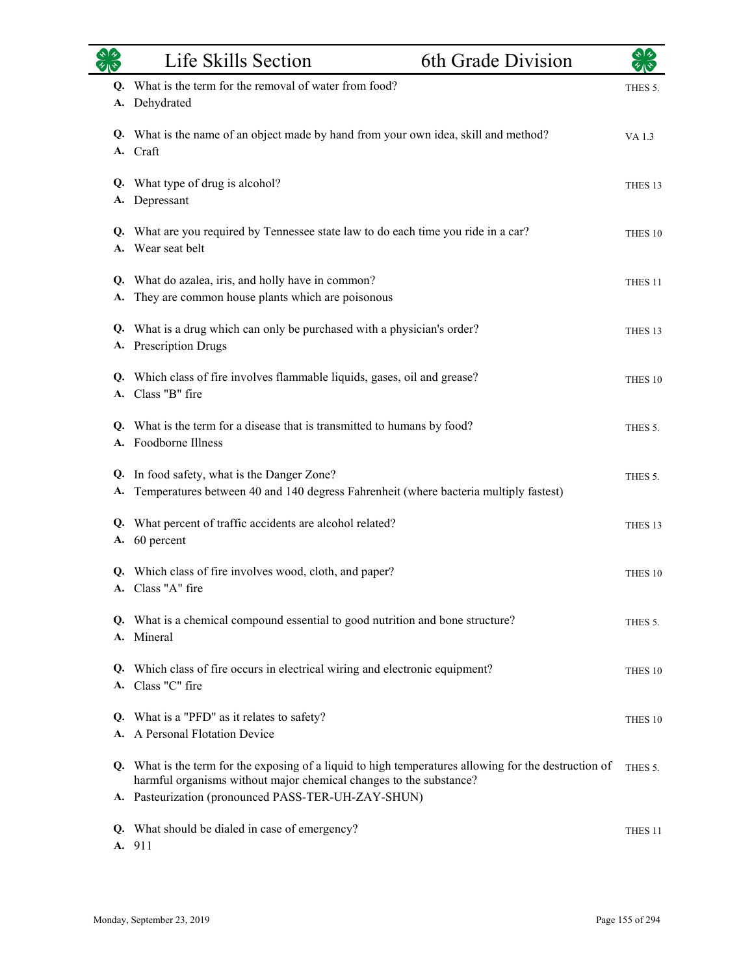|    | Life Skills Section                                                                                                                                                                                                                | 6th Grade Division | কাক                |
|----|------------------------------------------------------------------------------------------------------------------------------------------------------------------------------------------------------------------------------------|--------------------|--------------------|
|    | Q. What is the term for the removal of water from food?<br>A. Dehydrated                                                                                                                                                           |                    | THES 5.            |
|    | Q. What is the name of an object made by hand from your own idea, skill and method?<br>A. Craft                                                                                                                                    |                    | VA 1.3             |
|    | Q. What type of drug is alcohol?<br>A. Depressant                                                                                                                                                                                  |                    | THES <sub>13</sub> |
|    | Q. What are you required by Tennessee state law to do each time you ride in a car?<br>A. Wear seat belt                                                                                                                            |                    | THES 10            |
| А. | Q. What do azalea, iris, and holly have in common?<br>They are common house plants which are poisonous                                                                                                                             |                    | THES <sub>11</sub> |
|    | Q. What is a drug which can only be purchased with a physician's order?<br>A. Prescription Drugs                                                                                                                                   |                    | THES <sub>13</sub> |
|    | Q. Which class of fire involves flammable liquids, gases, oil and grease?<br>A. Class "B" fire                                                                                                                                     |                    | THES 10            |
| Q. | What is the term for a disease that is transmitted to humans by food?<br>A. Foodborne Illness                                                                                                                                      |                    | THES 5.            |
| A. | Q. In food safety, what is the Danger Zone?<br>Temperatures between 40 and 140 degress Fahrenheit (where bacteria multiply fastest)                                                                                                |                    | THES 5.            |
|    | Q. What percent of traffic accidents are alcohol related?<br>A. 60 percent                                                                                                                                                         |                    | THES <sub>13</sub> |
|    | Q. Which class of fire involves wood, cloth, and paper?<br>A. Class "A" fire                                                                                                                                                       |                    | THES 10            |
|    | Q. What is a chemical compound essential to good nutrition and bone structure?<br>A. Mineral                                                                                                                                       |                    | THES 5.            |
|    | Q. Which class of fire occurs in electrical wiring and electronic equipment?<br>A. Class "C" fire                                                                                                                                  |                    | THES 10            |
|    | Q. What is a "PFD" as it relates to safety?<br>A. A Personal Flotation Device                                                                                                                                                      |                    | THES 10            |
|    | Q. What is the term for the exposing of a liquid to high temperatures allowing for the destruction of<br>harmful organisms without major chemical changes to the substance?<br>A. Pasteurization (pronounced PASS-TER-UH-ZAY-SHUN) |                    | THES 5.            |
| A. | Q. What should be dialed in case of emergency?<br>911                                                                                                                                                                              |                    | THES 11            |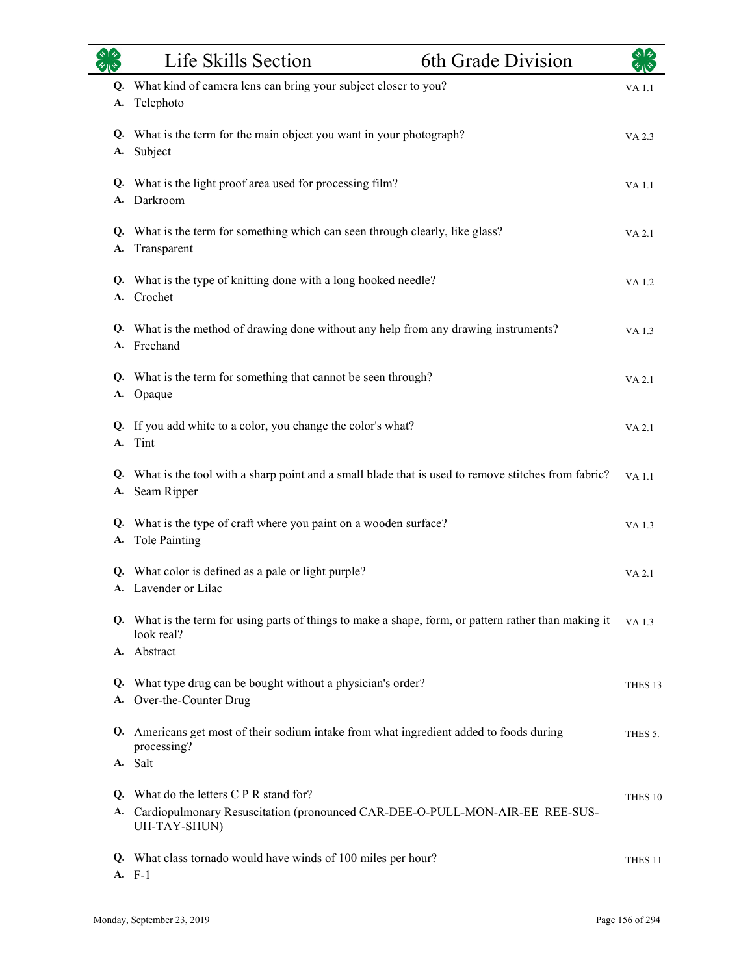|          | Life Skills Section                                                                                                                  | 6th Grade Division |              |
|----------|--------------------------------------------------------------------------------------------------------------------------------------|--------------------|--------------|
|          | Q. What kind of camera lens can bring your subject closer to you?<br>A. Telephoto                                                    |                    | VA 1.1       |
|          | Q. What is the term for the main object you want in your photograph?<br>A. Subject                                                   |                    | VA 2.3       |
|          | Q. What is the light proof area used for processing film?<br>A. Darkroom                                                             |                    | VA 1.1       |
|          | Q. What is the term for something which can seen through clearly, like glass?<br>A. Transparent                                      |                    | VA 2.1       |
|          | Q. What is the type of knitting done with a long hooked needle?<br>A. Crochet                                                        |                    | VA 1.2       |
|          | Q. What is the method of drawing done without any help from any drawing instruments?<br>A. Freehand                                  |                    | VA 1.3       |
|          | Q. What is the term for something that cannot be seen through?<br>A. Opaque                                                          |                    | VA 2.1       |
|          | Q. If you add white to a color, you change the color's what?<br>A. Tint                                                              |                    | VA 2.1       |
|          | Q. What is the tool with a sharp point and a small blade that is used to remove stitches from fabric?<br>A. Seam Ripper              |                    | <b>VA1.1</b> |
|          | Q. What is the type of craft where you paint on a wooden surface?<br>A. Tole Painting                                                |                    | VA 1.3       |
|          | Q. What color is defined as a pale or light purple?<br>A. Lavender or Lilac                                                          |                    | VA 2.1       |
| А.       | Q. What is the term for using parts of things to make a shape, form, or pattern rather than making it<br>look real?<br>Abstract      |                    | VA 1.3       |
| Q.<br>А. | What type drug can be bought without a physician's order?<br>Over-the-Counter Drug                                                   |                    | THES 13      |
| Q.       | Americans get most of their sodium intake from what ingredient added to foods during<br>processing?<br>A. Salt                       |                    | THES 5.      |
| O.<br>А. | What do the letters C P R stand for?<br>Cardiopulmonary Resuscitation (pronounced CAR-DEE-O-PULL-MON-AIR-EE REE-SUS-<br>UH-TAY-SHUN) |                    | THES 10      |
| Q.       | What class tornado would have winds of 100 miles per hour?<br>A. F-1                                                                 |                    | THES 11      |

L.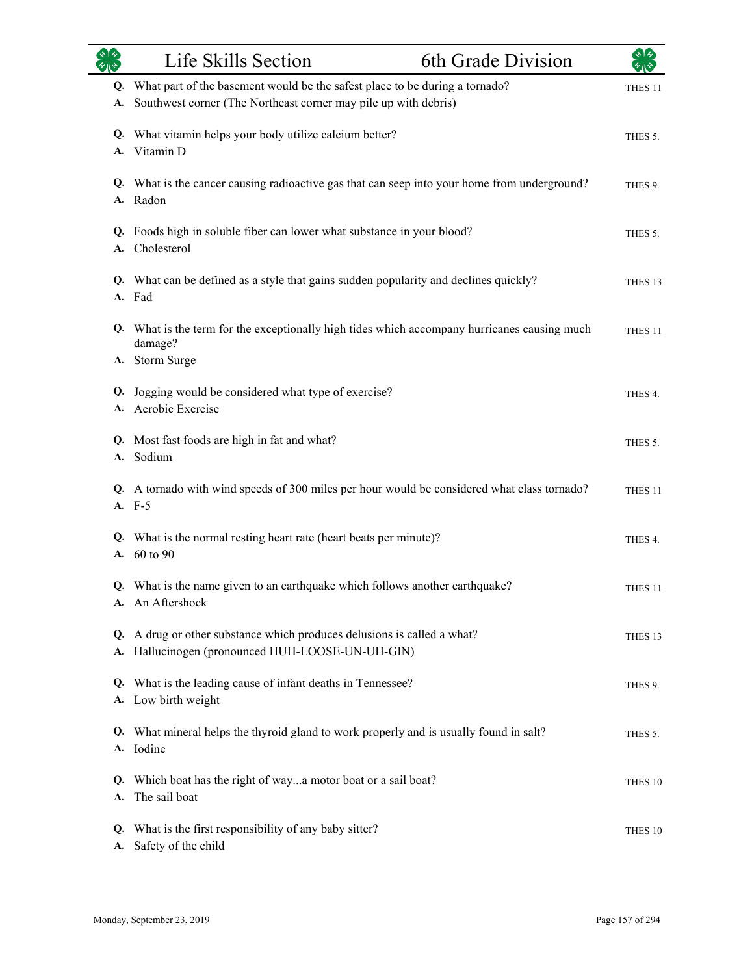| $\sqrt{4}$ | Life Skills Section                                                                                                                            | 6th Grade Division | কাক                 |
|------------|------------------------------------------------------------------------------------------------------------------------------------------------|--------------------|---------------------|
| Q.<br>А.   | What part of the basement would be the safest place to be during a tornado?<br>Southwest corner (The Northeast corner may pile up with debris) |                    | THES <sub>11</sub>  |
|            | Q. What vitamin helps your body utilize calcium better?<br>A. Vitamin D                                                                        |                    | THES 5.             |
|            | Q. What is the cancer causing radioactive gas that can seep into your home from underground?<br>A. Radon                                       |                    | THES <sub>9</sub> . |
|            | Q. Foods high in soluble fiber can lower what substance in your blood?<br>A. Cholesterol                                                       |                    | THES 5.             |
| Q.         | What can be defined as a style that gains sudden popularity and declines quickly?<br>A. Fad                                                    |                    | THES 13             |
|            | Q. What is the term for the exceptionally high tides which accompany hurricanes causing much<br>damage?                                        |                    | THES <sub>11</sub>  |
|            | A. Storm Surge                                                                                                                                 |                    |                     |
| Q.         | Jogging would be considered what type of exercise?<br>A. Aerobic Exercise                                                                      |                    | THES 4.             |
| A.         | Q. Most fast foods are high in fat and what?<br>Sodium                                                                                         |                    | THES 5.             |
|            | Q. A tornado with wind speeds of 300 miles per hour would be considered what class tornado?<br>A. F-5                                          |                    | THES <sub>11</sub>  |
|            | Q. What is the normal resting heart rate (heart beats per minute)?<br>A. 60 to 90                                                              |                    | THES 4.             |
|            | Q. What is the name given to an earthquake which follows another earthquake?<br>A. An Aftershock                                               |                    | THES 11             |
|            | Q. A drug or other substance which produces delusions is called a what?<br>A. Hallucinogen (pronounced HUH-LOOSE-UN-UH-GIN)                    |                    | THES 13             |
| Q.         | What is the leading cause of infant deaths in Tennessee?<br>A. Low birth weight                                                                |                    | THES 9.             |
|            | Q. What mineral helps the thyroid gland to work properly and is usually found in salt?<br>A. Iodine                                            |                    | THES 5.             |
| Q.<br>A.   | Which boat has the right of waya motor boat or a sail boat?<br>The sail boat                                                                   |                    | THES 10             |
|            | Q. What is the first responsibility of any baby sitter?<br>A. Safety of the child                                                              |                    | THES 10             |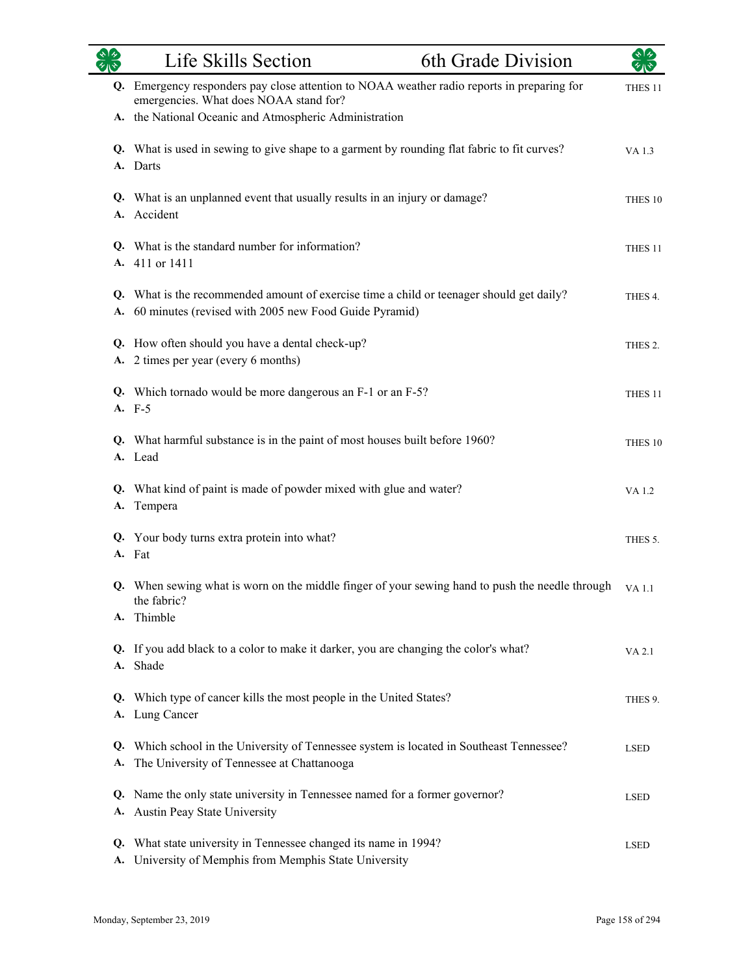|    | Life Skills Section                                                                                                                                                                            | 6th Grade Division |                     |
|----|------------------------------------------------------------------------------------------------------------------------------------------------------------------------------------------------|--------------------|---------------------|
|    | Q. Emergency responders pay close attention to NOAA weather radio reports in preparing for<br>emergencies. What does NOAA stand for?<br>A. the National Oceanic and Atmospheric Administration |                    | THES <sub>11</sub>  |
|    | Q. What is used in sewing to give shape to a garment by rounding flat fabric to fit curves?<br>A. Darts                                                                                        |                    | VA 1.3              |
|    | Q. What is an unplanned event that usually results in an injury or damage?<br>A. Accident                                                                                                      |                    | THES 10             |
|    | Q. What is the standard number for information?<br>A. 411 or 1411                                                                                                                              |                    | THES <sub>11</sub>  |
|    | Q. What is the recommended amount of exercise time a child or teenager should get daily?<br>A. 60 minutes (revised with 2005 new Food Guide Pyramid)                                           |                    | THES <sub>4</sub> . |
| A. | Q. How often should you have a dental check-up?<br>2 times per year (every 6 months)                                                                                                           |                    | THES 2.             |
|    | Q. Which tornado would be more dangerous an F-1 or an F-5?<br>A. F-5                                                                                                                           |                    | THES <sub>11</sub>  |
|    | Q. What harmful substance is in the paint of most houses built before 1960?<br>A. Lead                                                                                                         |                    | THES 10             |
| A. | Q. What kind of paint is made of powder mixed with glue and water?<br>Tempera                                                                                                                  |                    | VA 1.2              |
|    | Q. Your body turns extra protein into what?<br>A. Fat                                                                                                                                          |                    | THES 5.             |
| A. | Q. When sewing what is worn on the middle finger of your sewing hand to push the needle through<br>the fabric?<br>Thimble                                                                      |                    | VA 1.1              |
|    | Q. If you add black to a color to make it darker, you are changing the color's what?<br>A. Shade                                                                                               |                    | VA 2.1              |
|    | Q. Which type of cancer kills the most people in the United States?<br>A. Lung Cancer                                                                                                          |                    | THES 9.             |
| A. | Q. Which school in the University of Tennessee system is located in Southeast Tennessee?<br>The University of Tennessee at Chattanooga                                                         |                    | <b>LSED</b>         |
|    | Q. Name the only state university in Tennessee named for a former governor?<br>A. Austin Peay State University                                                                                 |                    | <b>LSED</b>         |
| Q. | What state university in Tennessee changed its name in 1994?<br>A. University of Memphis from Memphis State University                                                                         |                    | <b>LSED</b>         |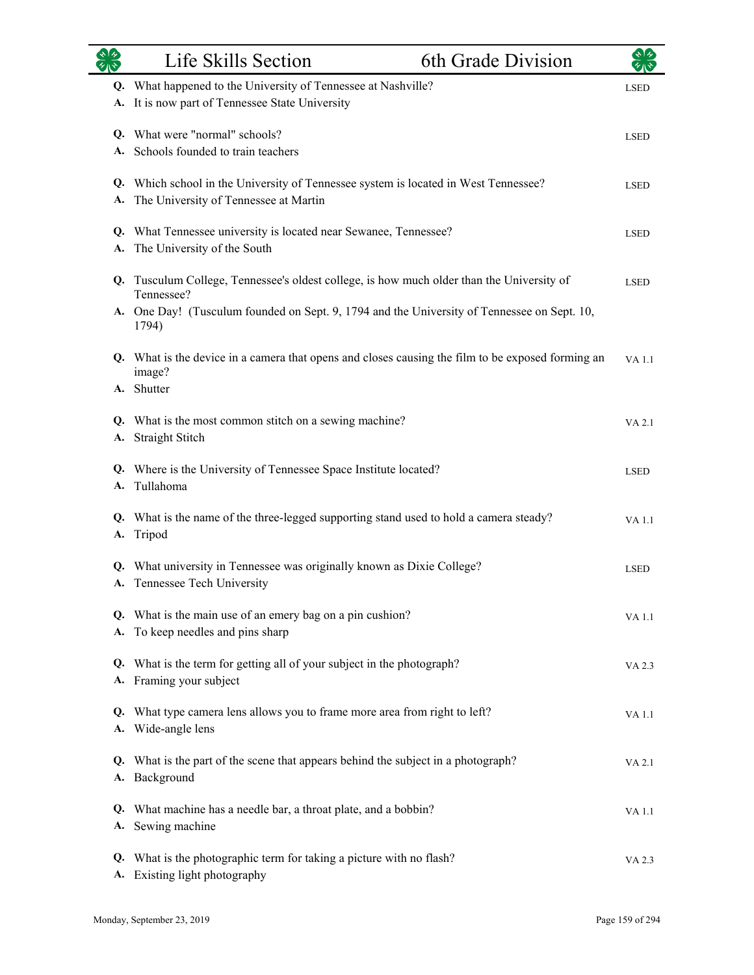| 外心       | Life Skills Section<br>6th Grade Division                                                                                    | ぐしゃ          |
|----------|------------------------------------------------------------------------------------------------------------------------------|--------------|
| Q.<br>А. | What happened to the University of Tennessee at Nashville?<br>It is now part of Tennessee State University                   | <b>LSED</b>  |
|          | Q. What were "normal" schools?<br>Schools founded to train teachers                                                          | <b>LSED</b>  |
| А.       | Q. Which school in the University of Tennessee system is located in West Tennessee?<br>The University of Tennessee at Martin | <b>LSED</b>  |
| Q.<br>А. | What Tennessee university is located near Sewanee, Tennessee?<br>The University of the South                                 | <b>LSED</b>  |
|          | Q. Tusculum College, Tennessee's oldest college, is how much older than the University of<br>Tennessee?                      | <b>LSED</b>  |
|          | A. One Day! (Tusculum founded on Sept. 9, 1794 and the University of Tennessee on Sept. 10,<br>1794)                         |              |
|          | Q. What is the device in a camera that opens and closes causing the film to be exposed forming an<br>image?<br>A. Shutter    | VA 1.1       |
| А.       | Q. What is the most common stitch on a sewing machine?<br>Straight Stitch                                                    | VA 2.1       |
| А.       | Q. Where is the University of Tennessee Space Institute located?<br>Tullahoma                                                | <b>LSED</b>  |
| А.       | Q. What is the name of the three-legged supporting stand used to hold a camera steady?<br>Tripod                             | VA 1.1       |
| Q.       | What university in Tennessee was originally known as Dixie College?<br>A. Tennessee Tech University                          | <b>LSED</b>  |
| А.       | Q. What is the main use of an emery bag on a pin cushion?<br>To keep needles and pins sharp                                  | <b>VA1.1</b> |
| А.       | Q. What is the term for getting all of your subject in the photograph?<br>Framing your subject                               | VA 2.3       |
| Q.       | What type camera lens allows you to frame more area from right to left?<br>A. Wide-angle lens                                | VA 1.1       |
| А.       | Q. What is the part of the scene that appears behind the subject in a photograph?<br>Background                              | VA 2.1       |
| Q.       | What machine has a needle bar, a throat plate, and a bobbin?<br>A. Sewing machine                                            | VA 1.1       |
| Q.<br>А. | What is the photographic term for taking a picture with no flash?<br>Existing light photography                              | VA 2.3       |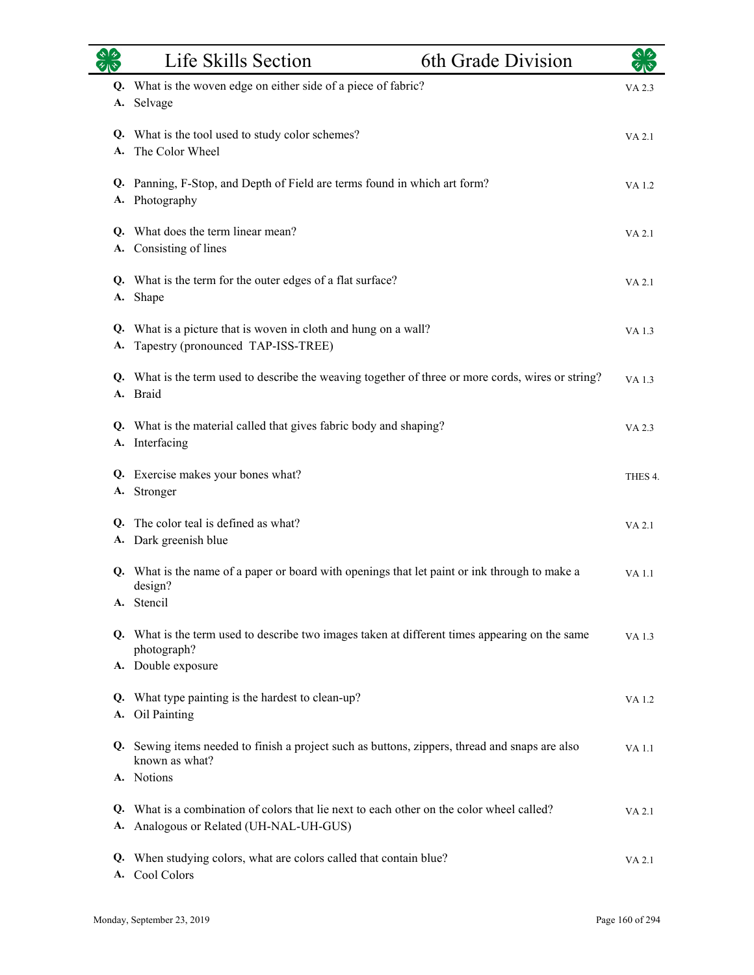|          | Life Skills Section<br>6th Grade Division                                                                                      | $\sqrt{4}$   |
|----------|--------------------------------------------------------------------------------------------------------------------------------|--------------|
| A.       | Q. What is the woven edge on either side of a piece of fabric?<br>Selvage                                                      | VA 2.3       |
| А.       | Q. What is the tool used to study color schemes?<br>The Color Wheel                                                            | VA 2.1       |
|          | Q. Panning, F-Stop, and Depth of Field are terms found in which art form?<br>A. Photography                                    | VA 1.2       |
| A.       | Q. What does the term linear mean?<br>Consisting of lines                                                                      | VA 2.1       |
|          | Q. What is the term for the outer edges of a flat surface?<br>A. Shape                                                         | VA 2.1       |
| А.       | Q. What is a picture that is woven in cloth and hung on a wall?<br>Tapestry (pronounced TAP-ISS-TREE)                          | VA 1.3       |
|          | Q. What is the term used to describe the weaving together of three or more cords, wires or string?<br>A. Braid                 | VA 1.3       |
| А.       | Q. What is the material called that gives fabric body and shaping?<br>Interfacing                                              | VA 2.3       |
| A.       | Q. Exercise makes your bones what?<br>Stronger                                                                                 | THES 4.      |
| Q.<br>А. | The color teal is defined as what?<br>Dark greenish blue                                                                       | VA 2.1       |
|          | Q. What is the name of a paper or board with openings that let paint or ink through to make a<br>design?                       | VA 1.1       |
|          | A. Stencil<br>Q. What is the term used to describe two images taken at different times appearing on the same<br>photograph?    | VA 1.3       |
|          | A. Double exposure                                                                                                             |              |
| Q.<br>А. | What type painting is the hardest to clean-up?<br>Oil Painting                                                                 | VA 1.2       |
|          | Q. Sewing items needed to finish a project such as buttons, zippers, thread and snaps are also<br>known as what?               | <b>VA1.1</b> |
|          | A. Notions                                                                                                                     |              |
| Q.<br>А. | What is a combination of colors that lie next to each other on the color wheel called?<br>Analogous or Related (UH-NAL-UH-GUS) | VA 2.1       |
| Q.<br>A. | When studying colors, what are colors called that contain blue?<br>Cool Colors                                                 | VA 2.1       |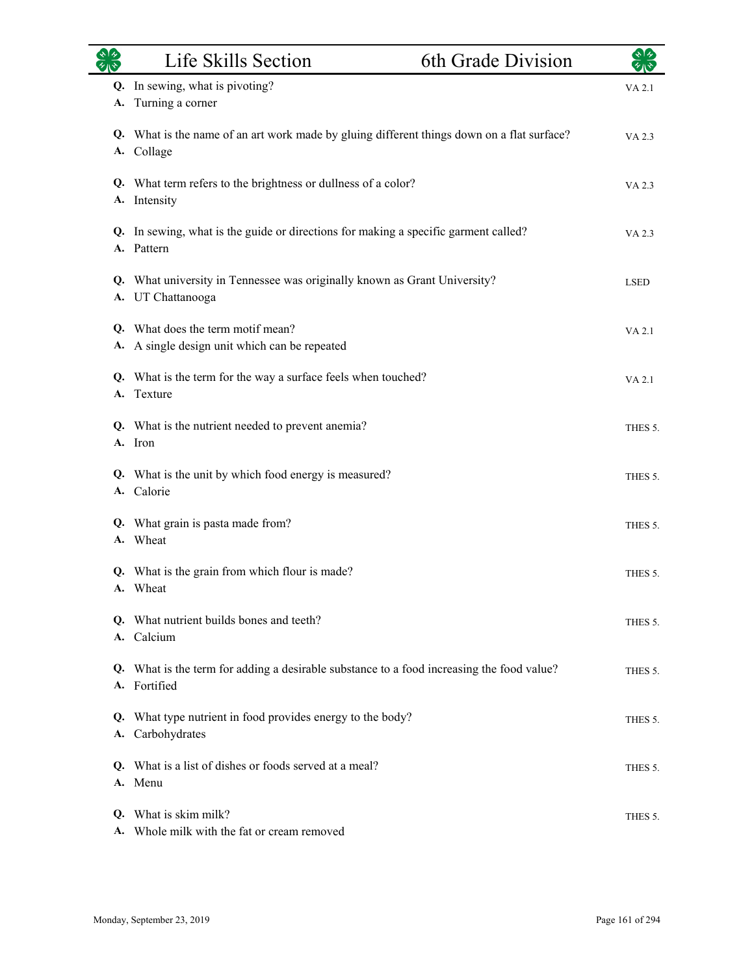|    | Life Skills Section                                                                                       | 6th Grade Division | $\star$ 1 $\star$ |
|----|-----------------------------------------------------------------------------------------------------------|--------------------|-------------------|
| А. | Q. In sewing, what is pivoting?<br>Turning a corner                                                       |                    | VA 2.1            |
|    | Q. What is the name of an art work made by gluing different things down on a flat surface?<br>A. Collage  |                    | VA 2.3            |
|    | Q. What term refers to the brightness or dullness of a color?<br>A. Intensity                             |                    | VA 2.3            |
|    | Q. In sewing, what is the guide or directions for making a specific garment called?<br>A. Pattern         |                    | VA 2.3            |
|    | Q. What university in Tennessee was originally known as Grant University?<br>A. UT Chattanooga            |                    | <b>LSED</b>       |
|    | Q. What does the term motif mean?<br>A. A single design unit which can be repeated                        |                    | VA 2.1            |
|    | Q. What is the term for the way a surface feels when touched?<br>A. Texture                               |                    | VA 2.1            |
|    | Q. What is the nutrient needed to prevent anemia?<br>A. Iron                                              |                    | THES 5.           |
|    | Q. What is the unit by which food energy is measured?<br>A. Calorie                                       |                    | THES 5.           |
|    | Q. What grain is pasta made from?<br>A. Wheat                                                             |                    | THES 5.           |
|    | Q. What is the grain from which flour is made?<br>A. Wheat                                                |                    | THES 5.           |
| O. | What nutrient builds bones and teeth?<br>A. Calcium                                                       |                    | THES 5.           |
|    | Q. What is the term for adding a desirable substance to a food increasing the food value?<br>A. Fortified |                    | THES 5.           |
| Q. | What type nutrient in food provides energy to the body?<br>A. Carbohydrates                               |                    | THES 5.           |
| O. | What is a list of dishes or foods served at a meal?<br>A. Menu                                            |                    | THES 5.           |
| A. | Q. What is skim milk?<br>Whole milk with the fat or cream removed                                         |                    | THES 5.           |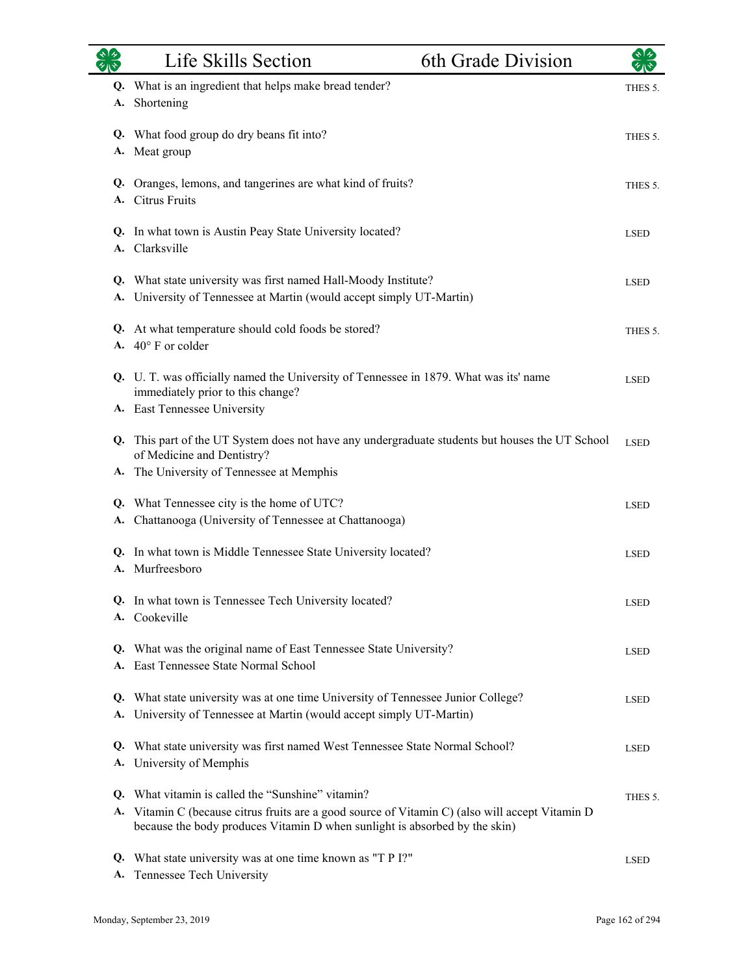|          | Life Skills Section                                                                                                                                                                                                             | 6th Grade Division |             |
|----------|---------------------------------------------------------------------------------------------------------------------------------------------------------------------------------------------------------------------------------|--------------------|-------------|
| А.       | Q. What is an ingredient that helps make bread tender?<br>Shortening                                                                                                                                                            |                    | THES 5.     |
| А.       | Q. What food group do dry beans fit into?<br>Meat group                                                                                                                                                                         |                    | THES 5.     |
| Q.<br>A. | Oranges, lemons, and tangerines are what kind of fruits?<br><b>Citrus Fruits</b>                                                                                                                                                |                    | THES 5.     |
| Q.<br>A. | In what town is Austin Peay State University located?<br>Clarksville                                                                                                                                                            |                    | <b>LSED</b> |
|          | Q. What state university was first named Hall-Moody Institute?<br>A. University of Tennessee at Martin (would accept simply UT-Martin)                                                                                          |                    | <b>LSED</b> |
| Q.       | At what temperature should cold foods be stored?<br>A. $40^{\circ}$ F or colder                                                                                                                                                 |                    | THES 5.     |
|          | Q. U. T. was officially named the University of Tennessee in 1879. What was its' name<br>immediately prior to this change?                                                                                                      |                    | <b>LSED</b> |
|          | A. East Tennessee University<br>Q. This part of the UT System does not have any undergraduate students but houses the UT School                                                                                                 |                    | <b>LSED</b> |
| А.       | of Medicine and Dentistry?<br>The University of Tennessee at Memphis                                                                                                                                                            |                    |             |
| Q.<br>A. | What Tennessee city is the home of UTC?<br>Chattanooga (University of Tennessee at Chattanooga)                                                                                                                                 |                    | <b>LSED</b> |
| Q.<br>А. | In what town is Middle Tennessee State University located?<br>Murfreesboro                                                                                                                                                      |                    | <b>LSED</b> |
|          | Q. In what town is Tennessee Tech University located?<br>A. Cookeville                                                                                                                                                          |                    | <b>LSED</b> |
|          | Q. What was the original name of East Tennessee State University?<br>A. East Tennessee State Normal School                                                                                                                      |                    | <b>LSED</b> |
| Q.       | What state university was at one time University of Tennessee Junior College?<br>A. University of Tennessee at Martin (would accept simply UT-Martin)                                                                           |                    | <b>LSED</b> |
| Q.       | What state university was first named West Tennessee State Normal School?<br>A. University of Memphis                                                                                                                           |                    | <b>LSED</b> |
| А.       | Q. What vitamin is called the "Sunshine" vitamin?<br>Vitamin C (because citrus fruits are a good source of Vitamin C) (also will accept Vitamin D<br>because the body produces Vitamin D when sunlight is absorbed by the skin) |                    | THES 5.     |
| Q.<br>А. | What state university was at one time known as "T P I?"<br>Tennessee Tech University                                                                                                                                            |                    | <b>LSED</b> |

L.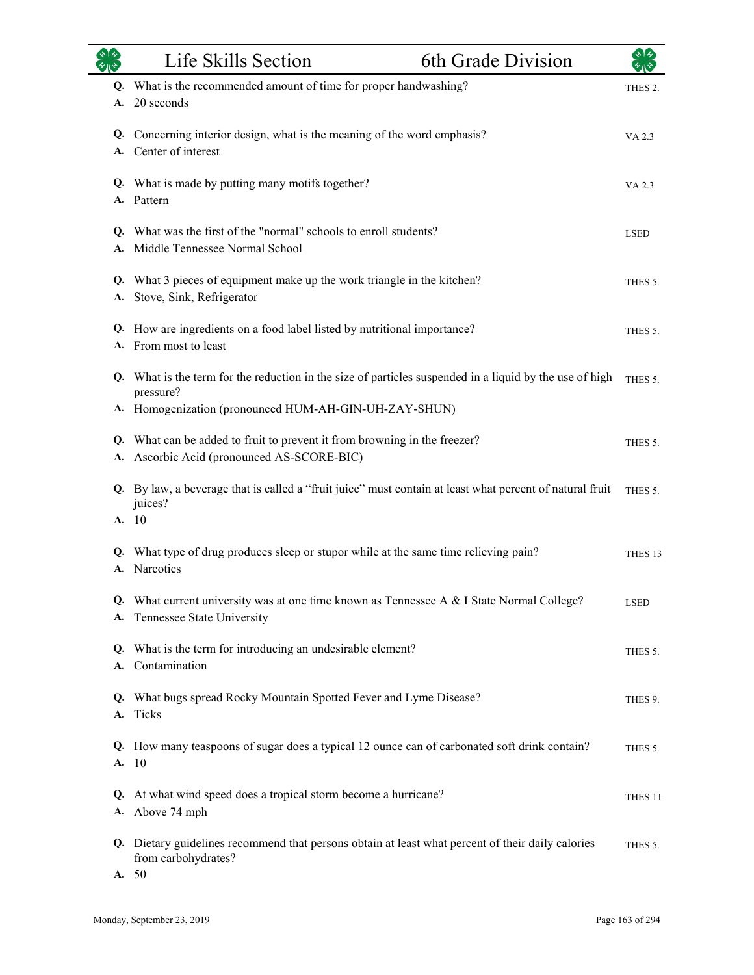|    | Life Skills Section                                                                                                                                                           | 6th Grade Division | কাক                |
|----|-------------------------------------------------------------------------------------------------------------------------------------------------------------------------------|--------------------|--------------------|
|    | Q. What is the recommended amount of time for proper handwashing?<br>A. 20 seconds                                                                                            |                    | THES 2.            |
|    | Q. Concerning interior design, what is the meaning of the word emphasis?<br>A. Center of interest                                                                             |                    | VA 2.3             |
|    | Q. What is made by putting many motifs together?<br>A. Pattern                                                                                                                |                    | VA 2.3             |
|    | Q. What was the first of the "normal" schools to enroll students?<br>A. Middle Tennessee Normal School                                                                        |                    | <b>LSED</b>        |
|    | Q. What 3 pieces of equipment make up the work triangle in the kitchen?<br>A. Stove, Sink, Refrigerator                                                                       |                    | THES 5.            |
|    | Q. How are ingredients on a food label listed by nutritional importance?<br>A. From most to least                                                                             |                    | THES 5.            |
|    | Q. What is the term for the reduction in the size of particles suspended in a liquid by the use of high<br>pressure?<br>A. Homogenization (pronounced HUM-AH-GIN-UH-ZAY-SHUN) |                    | THES 5.            |
|    | Q. What can be added to fruit to prevent it from browning in the freezer?<br>A. Ascorbic Acid (pronounced AS-SCORE-BIC)                                                       |                    | THES 5.            |
|    | Q. By law, a beverage that is called a "fruit juice" must contain at least what percent of natural fruit<br>juices?<br>A. 10                                                  |                    | THES 5.            |
|    | Q. What type of drug produces sleep or stupor while at the same time relieving pain?<br>A. Narcotics                                                                          |                    | THES <sub>13</sub> |
|    | What current university was at one time known as Tennessee A & I State Normal College?<br>A. Tennessee State University                                                       |                    | <b>LSED</b>        |
|    | Q. What is the term for introducing an undesirable element?<br>A. Contamination                                                                                               |                    | THES 5.            |
|    | Q. What bugs spread Rocky Mountain Spotted Fever and Lyme Disease?<br>A. Ticks                                                                                                |                    | THES 9.            |
| Q. | How many teaspoons of sugar does a typical 12 ounce can of carbonated soft drink contain?<br>A. 10                                                                            |                    | THES 5.            |
|    | Q. At what wind speed does a tropical storm become a hurricane?<br>A. Above 74 mph                                                                                            |                    | THES 11            |
|    | Q. Dietary guidelines recommend that persons obtain at least what percent of their daily calories<br>from carbohydrates?<br>A. 50                                             |                    | THES 5.            |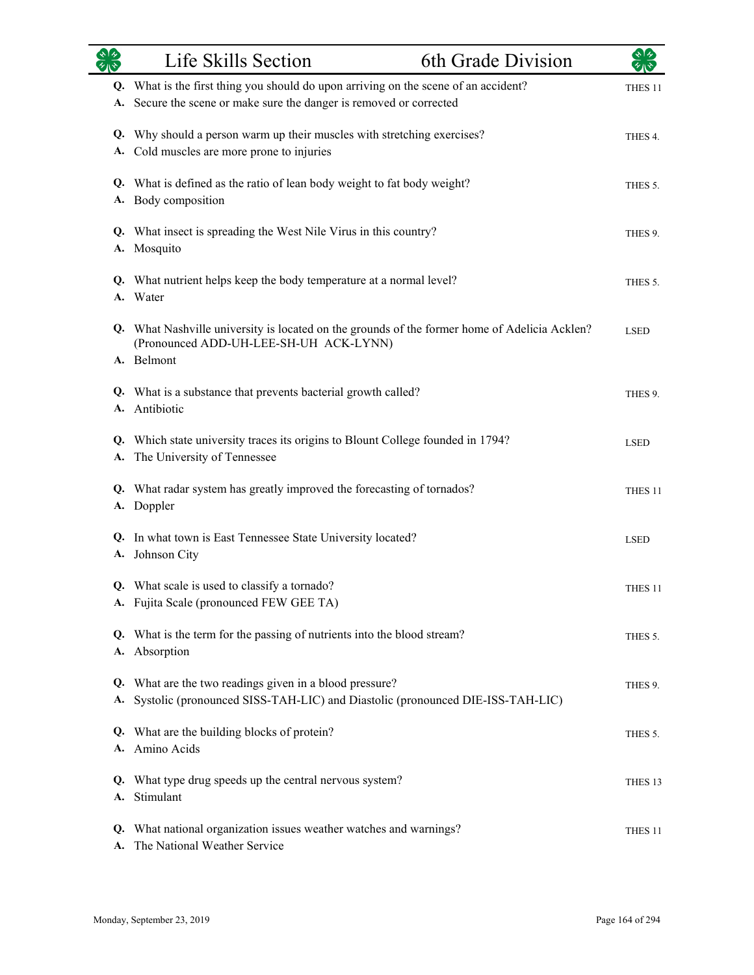| $\gamma_{\rm A}$ | Life Skills Section                                                                                                                                     | 6th Grade Division |                    |
|------------------|---------------------------------------------------------------------------------------------------------------------------------------------------------|--------------------|--------------------|
| A.               | Q. What is the first thing you should do upon arriving on the scene of an accident?<br>Secure the scene or make sure the danger is removed or corrected |                    | THES <sub>11</sub> |
|                  | Q. Why should a person warm up their muscles with stretching exercises?<br>A. Cold muscles are more prone to injuries                                   |                    | THES 4.            |
| A.               | Q. What is defined as the ratio of lean body weight to fat body weight?<br>Body composition                                                             |                    | THES 5.            |
| А.               | Q. What insect is spreading the West Nile Virus in this country?<br>Mosquito                                                                            |                    | THES 9.            |
|                  | Q. What nutrient helps keep the body temperature at a normal level?<br>A. Water                                                                         |                    | THES 5.            |
|                  | Q. What Nashville university is located on the grounds of the former home of Adelicia Acklen?<br>(Pronounced ADD-UH-LEE-SH-UH ACK-LYNN)<br>A. Belmont   |                    | <b>LSED</b>        |
|                  | Q. What is a substance that prevents bacterial growth called?<br>A. Antibiotic                                                                          |                    | THES 9.            |
| А.               | Q. Which state university traces its origins to Blount College founded in 1794?<br>The University of Tennessee                                          |                    | <b>LSED</b>        |
| А.               | Q. What radar system has greatly improved the forecasting of tornados?<br>Doppler                                                                       |                    | THES <sub>11</sub> |
| А.               | Q. In what town is East Tennessee State University located?<br>Johnson City                                                                             |                    | <b>LSED</b>        |
|                  | Q. What scale is used to classify a tornado?<br>A. Fujita Scale (pronounced FEW GEE TA)                                                                 |                    | THES <sub>11</sub> |
|                  | Q. What is the term for the passing of nutrients into the blood stream?<br>A. Absorption                                                                |                    | THES 5.            |
| Q.<br>A.         | What are the two readings given in a blood pressure?<br>Systolic (pronounced SISS-TAH-LIC) and Diastolic (pronounced DIE-ISS-TAH-LIC)                   |                    | THES 9.            |
|                  | Q. What are the building blocks of protein?<br>A. Amino Acids                                                                                           |                    | THES 5.            |
| Q.<br>A.         | What type drug speeds up the central nervous system?<br>Stimulant                                                                                       |                    | THES <sub>13</sub> |
| Q.<br><b>A.</b>  | What national organization issues weather watches and warnings?<br>The National Weather Service                                                         |                    | THES <sub>11</sub> |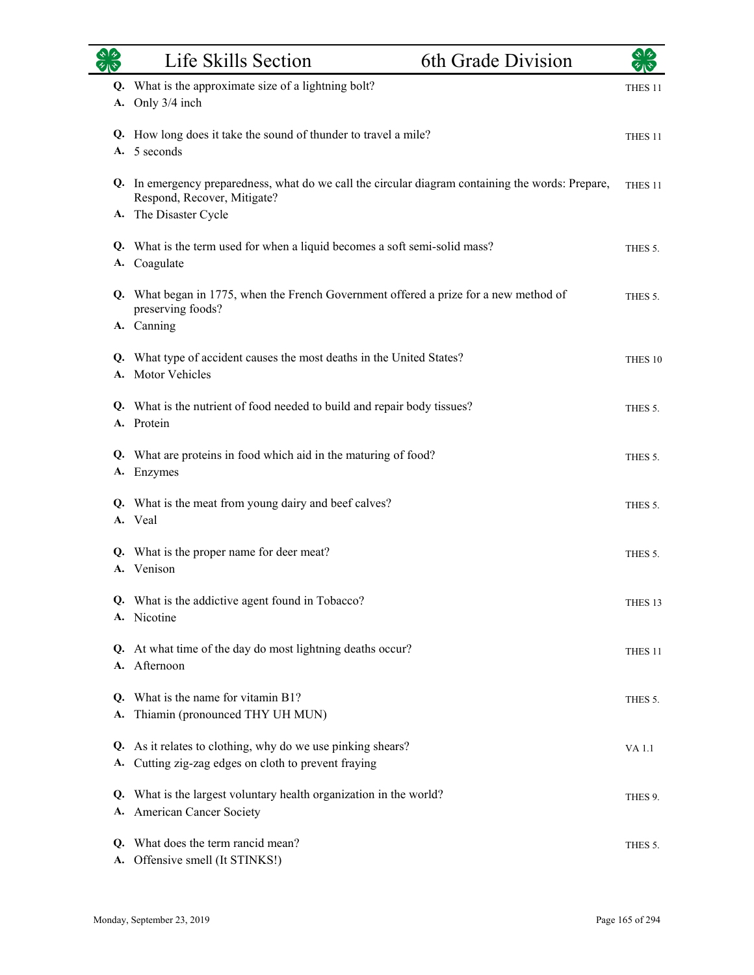|          | Life Skills Section<br>6th Grade Division                                                                                        | $\star$ $\star$    |
|----------|----------------------------------------------------------------------------------------------------------------------------------|--------------------|
| А.       | Q. What is the approximate size of a lightning bolt?<br>Only 3/4 inch                                                            | THES <sub>11</sub> |
|          | Q. How long does it take the sound of thunder to travel a mile?<br>A. 5 seconds                                                  | THES <sub>11</sub> |
|          | Q. In emergency preparedness, what do we call the circular diagram containing the words: Prepare,<br>Respond, Recover, Mitigate? | THES <sub>11</sub> |
| A.       | The Disaster Cycle                                                                                                               |                    |
|          | Q. What is the term used for when a liquid becomes a soft semi-solid mass?<br>A. Coagulate                                       | THES 5.            |
|          | Q. What began in 1775, when the French Government offered a prize for a new method of<br>preserving foods?<br>A. Canning         | THES 5.            |
|          | Q. What type of accident causes the most deaths in the United States?<br>A. Motor Vehicles                                       | THES 10            |
|          | Q. What is the nutrient of food needed to build and repair body tissues?<br>A. Protein                                           | THES 5.            |
| Q.<br>А. | What are proteins in food which aid in the maturing of food?<br>Enzymes                                                          | THES 5.            |
|          | Q. What is the meat from young dairy and beef calves?<br>A. Veal                                                                 | THES 5.            |
|          | Q. What is the proper name for deer meat?<br>A. Venison                                                                          | THES 5.            |
|          | Q. What is the addictive agent found in Tobacco?<br>A. Nicotine                                                                  | THES <sub>13</sub> |
|          | Q. At what time of the day do most lightning deaths occur?<br>A. Afternoon                                                       | THES <sub>11</sub> |
| А.       | Q. What is the name for vitamin B1?<br>Thiamin (pronounced THY UH MUN)                                                           | THES 5.            |
|          | Q. As it relates to clothing, why do we use pinking shears?<br>A. Cutting zig-zag edges on cloth to prevent fraying              | VA 1.1             |
|          | Q. What is the largest voluntary health organization in the world?<br>A. American Cancer Society                                 | THES 9.            |
|          | Q. What does the term rancid mean?<br>A. Offensive smell (It STINKS!)                                                            | THES 5.            |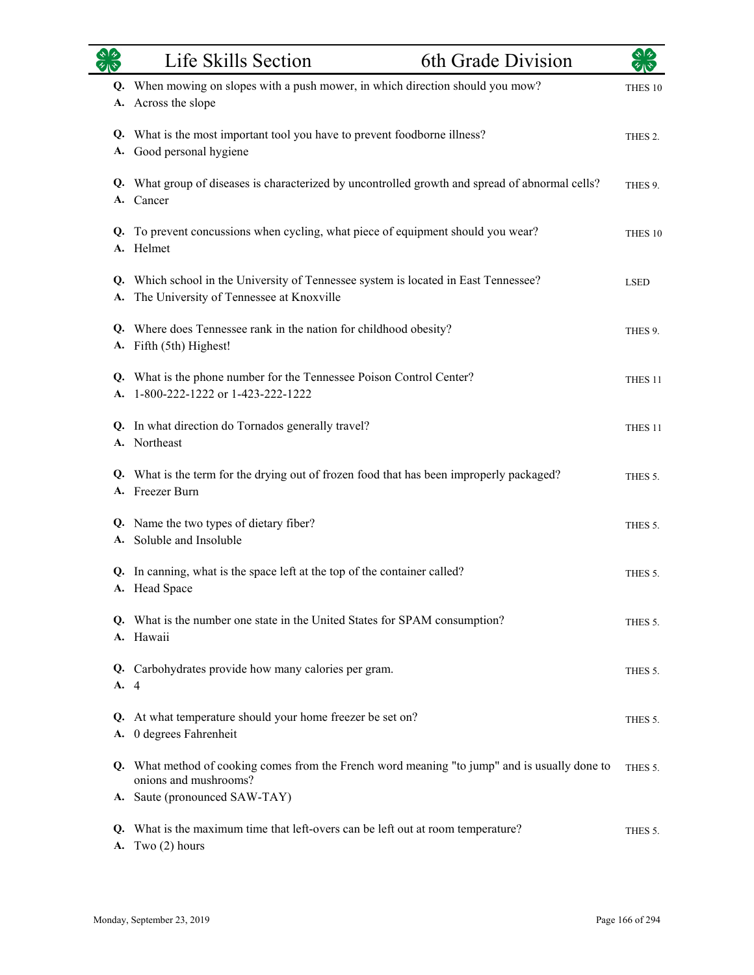|          | Life Skills Section<br>6th Grade Division                                                                                         | $\star$ 1 $\star$  |
|----------|-----------------------------------------------------------------------------------------------------------------------------------|--------------------|
| А.       | Q. When mowing on slopes with a push mower, in which direction should you mow?<br>Across the slope                                | THES 10            |
| A.       | Q. What is the most important tool you have to prevent foodborne illness?<br>Good personal hygiene                                | THES 2.            |
|          | Q. What group of diseases is characterized by uncontrolled growth and spread of abnormal cells?<br>A. Cancer                      | THES 9.            |
|          | Q. To prevent concussions when cycling, what piece of equipment should you wear?<br>A. Helmet                                     | THES <sub>10</sub> |
| A.       | Q. Which school in the University of Tennessee system is located in East Tennessee?<br>The University of Tennessee at Knoxville   | <b>LSED</b>        |
|          | Q. Where does Tennessee rank in the nation for childhood obesity?<br>A. Fifth (5th) Highest!                                      | THES 9.            |
| А.       | Q. What is the phone number for the Tennessee Poison Control Center?<br>1-800-222-1222 or 1-423-222-1222                          | THES <sub>11</sub> |
|          | Q. In what direction do Tornados generally travel?<br>A. Northeast                                                                | THES <sub>11</sub> |
|          | Q. What is the term for the drying out of frozen food that has been improperly packaged?<br>A. Freezer Burn                       | THES 5.            |
|          | Q. Name the two types of dietary fiber?<br>A. Soluble and Insoluble                                                               | THES 5.            |
|          | Q. In canning, what is the space left at the top of the container called?<br>A. Head Space                                        | THES 5.            |
|          | Q. What is the number one state in the United States for SPAM consumption?<br>A. Hawaii                                           | THES 5.            |
| A.       | Q. Carbohydrates provide how many calories per gram.<br>$\overline{4}$                                                            | THES 5.            |
| Q.<br>А. | At what temperature should your home freezer be set on?<br>0 degrees Fahrenheit                                                   | THES 5.            |
|          | Q. What method of cooking comes from the French word meaning "to jump" and is usually done to<br>onions and mushrooms?            | THES 5.            |
| Q.<br>A. | A. Saute (pronounced SAW-TAY)<br>What is the maximum time that left-overs can be left out at room temperature?<br>Two $(2)$ hours | THES 5.            |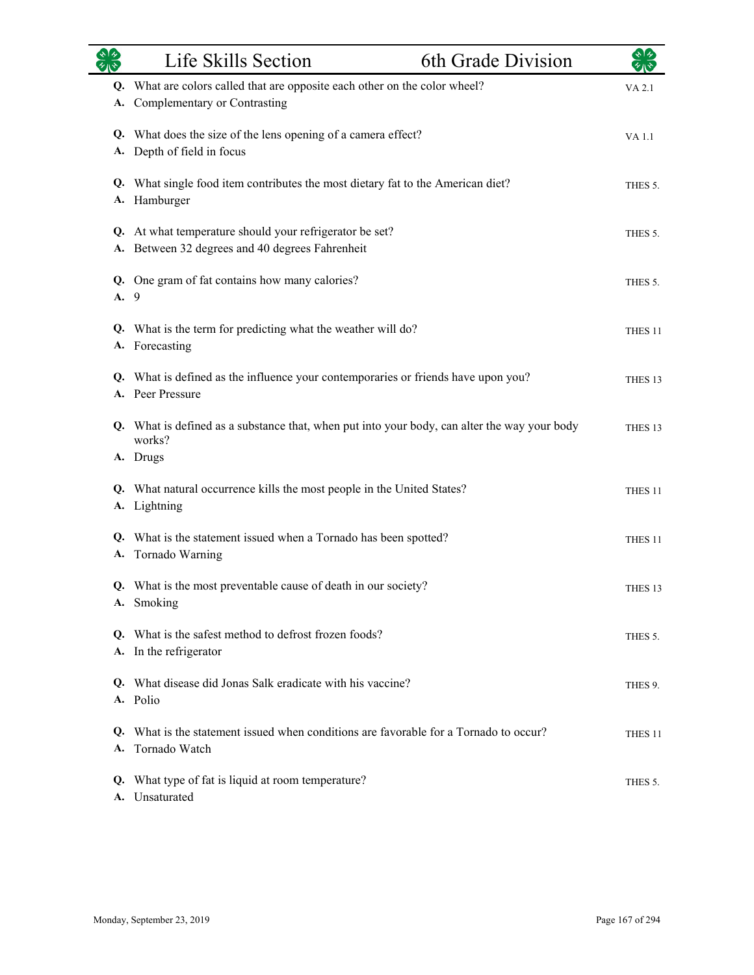| $rac{\sqrt{2}}{\sqrt{2}}$ | Life Skills Section                                                                                                | 6th Grade Division | কাক                |
|---------------------------|--------------------------------------------------------------------------------------------------------------------|--------------------|--------------------|
| А.                        | Q. What are colors called that are opposite each other on the color wheel?<br>Complementary or Contrasting         |                    | VA 2.1             |
|                           | Q. What does the size of the lens opening of a camera effect?<br>A. Depth of field in focus                        |                    | VA 1.1             |
|                           | Q. What single food item contributes the most dietary fat to the American diet?<br>A. Hamburger                    |                    | THES 5.            |
|                           | Q. At what temperature should your refrigerator be set?<br>A. Between 32 degrees and 40 degrees Fahrenheit         |                    | THES 5.            |
| A. 9                      | Q. One gram of fat contains how many calories?                                                                     |                    | THES 5.            |
|                           | Q. What is the term for predicting what the weather will do?<br>A. Forecasting                                     |                    | THES <sub>11</sub> |
|                           | Q. What is defined as the influence your contemporaries or friends have upon you?<br>A. Peer Pressure              |                    | THES <sub>13</sub> |
|                           | Q. What is defined as a substance that, when put into your body, can alter the way your body<br>works?<br>A. Drugs |                    | THES <sub>13</sub> |
|                           | Q. What natural occurrence kills the most people in the United States?<br>A. Lightning                             |                    | THES <sub>11</sub> |
| А.                        | Q. What is the statement issued when a Tornado has been spotted?<br>Tornado Warning                                |                    | THES <sub>11</sub> |
|                           | Q. What is the most preventable cause of death in our society?<br>A. Smoking                                       |                    | THES 13            |
|                           | Q. What is the safest method to defrost frozen foods?<br>A. In the refrigerator                                    |                    | THES 5.            |
|                           | Q. What disease did Jonas Salk eradicate with his vaccine?<br>A. Polio                                             |                    | THES 9.            |
|                           | Q. What is the statement issued when conditions are favorable for a Tornado to occur?<br>A. Tornado Watch          |                    | THES <sub>11</sub> |
| Q.                        | What type of fat is liquid at room temperature?<br>A. Unsaturated                                                  |                    | THES 5.            |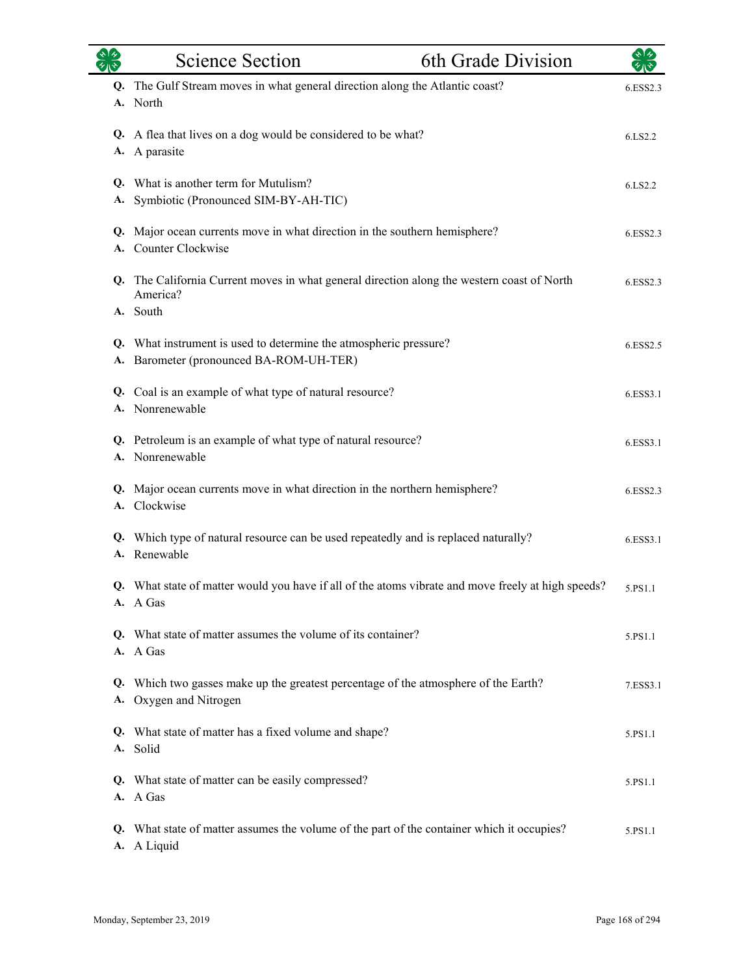|    | <b>Science Section</b>                                                                                             | 6th Grade Division | কাক      |
|----|--------------------------------------------------------------------------------------------------------------------|--------------------|----------|
|    | Q. The Gulf Stream moves in what general direction along the Atlantic coast?<br>A. North                           |                    | 6.ESS2.3 |
|    | Q. A flea that lives on a dog would be considered to be what?<br>A. A parasite                                     |                    | 6.LS2.2  |
| A. | Q. What is another term for Mutulism?<br>Symbiotic (Pronounced SIM-BY-AH-TIC)                                      |                    | 6.LS2.2  |
|    | Q. Major ocean currents move in what direction in the southern hemisphere?<br>A. Counter Clockwise                 |                    | 6.ESS2.3 |
|    | Q. The California Current moves in what general direction along the western coast of North<br>America?<br>A. South |                    | 6.ESS2.3 |
|    | Q. What instrument is used to determine the atmospheric pressure?<br>A. Barometer (pronounced BA-ROM-UH-TER)       |                    | 6.ESS2.5 |
|    | Q. Coal is an example of what type of natural resource?<br>A. Nonrenewable                                         |                    | 6.ESS3.1 |
|    | Q. Petroleum is an example of what type of natural resource?<br>A. Nonrenewable                                    |                    | 6.ESS3.1 |
|    | Q. Major ocean currents move in what direction in the northern hemisphere?<br>A. Clockwise                         |                    | 6.ESS2.3 |
|    | Q. Which type of natural resource can be used repeatedly and is replaced naturally?<br>A. Renewable                |                    | 6.ESS3.1 |
|    | Q. What state of matter would you have if all of the atoms vibrate and move freely at high speeds?<br>A. A Gas     |                    | 5.PS1.1  |
|    | Q. What state of matter assumes the volume of its container?<br>A. A Gas                                           |                    | 5.PS1.1  |
|    | Q. Which two gasses make up the greatest percentage of the atmosphere of the Earth?<br>A. Oxygen and Nitrogen      |                    | 7.ESS3.1 |
|    | Q. What state of matter has a fixed volume and shape?<br>A. Solid                                                  |                    | 5.PS1.1  |
|    | Q. What state of matter can be easily compressed?<br>A. A Gas                                                      |                    | 5.PS1.1  |
|    | Q. What state of matter assumes the volume of the part of the container which it occupies?<br>A. A Liquid          |                    | 5.PS1.1  |

 $\overline{\phantom{0}}$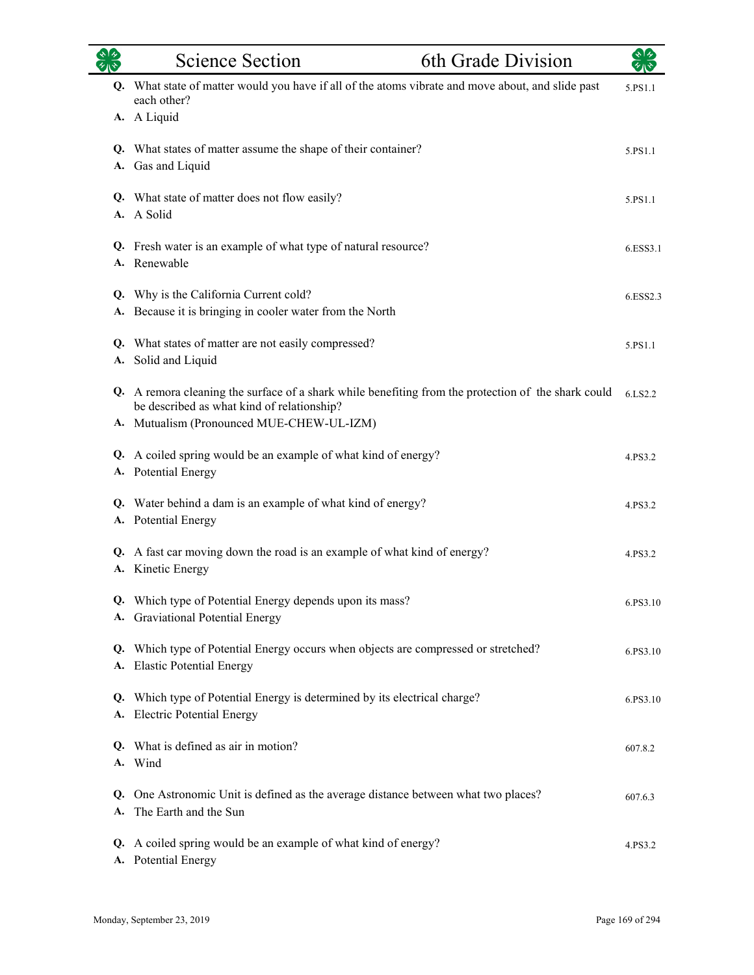|    | Science Section<br>6th Grade Division                                                                                                                                                          | ৰ বি     |
|----|------------------------------------------------------------------------------------------------------------------------------------------------------------------------------------------------|----------|
|    | Q. What state of matter would you have if all of the atoms vibrate and move about, and slide past<br>each other?<br>A. A Liquid                                                                | 5.PS1.1  |
|    | Q. What states of matter assume the shape of their container?<br>A. Gas and Liquid                                                                                                             | 5.PS1.1  |
|    | Q. What state of matter does not flow easily?<br>A. A Solid                                                                                                                                    | 5.PS1.1  |
|    | Q. Fresh water is an example of what type of natural resource?<br>A. Renewable                                                                                                                 | 6.ESS3.1 |
|    | Q. Why is the California Current cold?<br>A. Because it is bringing in cooler water from the North                                                                                             | 6.ESS2.3 |
| А. | Q. What states of matter are not easily compressed?<br>Solid and Liquid                                                                                                                        | 5.PS1.1  |
|    | Q. A remora cleaning the surface of a shark while benefiting from the protection of the shark could<br>be described as what kind of relationship?<br>A. Mutualism (Pronounced MUE-CHEW-UL-IZM) | 6.LS2.2  |
| А. | Q. A coiled spring would be an example of what kind of energy?<br>Potential Energy                                                                                                             | 4.PS3.2  |
|    | Q. Water behind a dam is an example of what kind of energy?<br>A. Potential Energy                                                                                                             | 4.PS3.2  |
| A. | Q. A fast car moving down the road is an example of what kind of energy?<br>Kinetic Energy                                                                                                     | 4.PS3.2  |
|    | Q. Which type of Potential Energy depends upon its mass?<br>A. Graviational Potential Energy                                                                                                   | 6.PS3.10 |
|    | Q. Which type of Potential Energy occurs when objects are compressed or stretched?<br>A. Elastic Potential Energy                                                                              | 6.PS3.10 |
| А. | Q. Which type of Potential Energy is determined by its electrical charge?<br><b>Electric Potential Energy</b>                                                                                  | 6.PS3.10 |
| O. | What is defined as air in motion?<br>A. Wind                                                                                                                                                   | 607.8.2  |
| А. | Q. One Astronomic Unit is defined as the average distance between what two places?<br>The Earth and the Sun                                                                                    | 607.6.3  |
|    | Q. A coiled spring would be an example of what kind of energy?<br>A. Potential Energy                                                                                                          | 4.PS3.2  |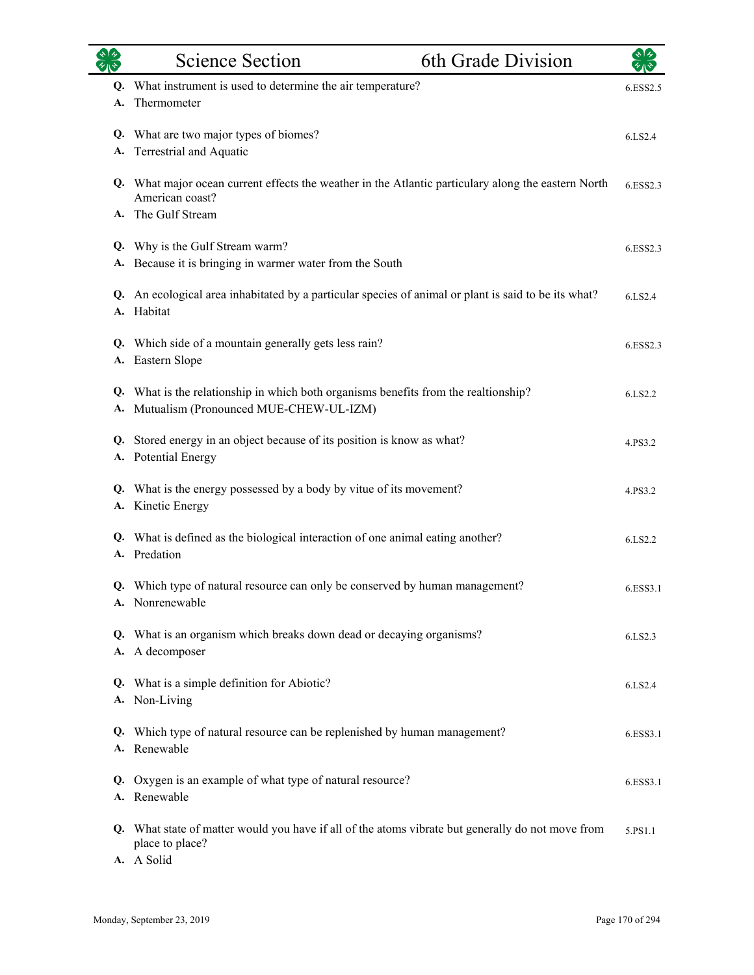| 6th Grade Division<br><b>Science Section</b>                                                                                     | $\sqrt[3]{\sqrt{2}}$                                                                         |
|----------------------------------------------------------------------------------------------------------------------------------|----------------------------------------------------------------------------------------------|
| Q. What instrument is used to determine the air temperature?<br>A. Thermometer                                                   | 6.ESS2.5                                                                                     |
| Q. What are two major types of biomes?<br>A. Terrestrial and Aquatic                                                             | 6.LS2.4                                                                                      |
| Q. What major ocean current effects the weather in the Atlantic particulary along the eastern North<br>American coast?           | 6.ESS2.3                                                                                     |
| Q. Why is the Gulf Stream warm?                                                                                                  | 6.ESS2.3                                                                                     |
| Q. An ecological area inhabitated by a particular species of animal or plant is said to be its what?<br>A. Habitat               | 6.LS2.4                                                                                      |
| Q. Which side of a mountain generally gets less rain?<br>A. Eastern Slope                                                        | 6.ESS2.3                                                                                     |
| Q. What is the relationship in which both organisms benefits from the realtionship?<br>A. Mutualism (Pronounced MUE-CHEW-UL-IZM) | 6.LS2.2                                                                                      |
| Q. Stored energy in an object because of its position is know as what?<br>A. Potential Energy                                    | 4.PS3.2                                                                                      |
| Q. What is the energy possessed by a body by vitue of its movement?<br>A. Kinetic Energy                                         | 4.PS3.2                                                                                      |
| Q. What is defined as the biological interaction of one animal eating another?<br>A. Predation                                   | 6.LS2.2                                                                                      |
| Q. Which type of natural resource can only be conserved by human management?<br>A. Nonrenewable                                  | 6.ESS3.1                                                                                     |
| Q. What is an organism which breaks down dead or decaying organisms?<br>A decomposer                                             | 6.LS2.3                                                                                      |
| Q. What is a simple definition for Abiotic?<br>A. Non-Living                                                                     | 6.LS2.4                                                                                      |
| Which type of natural resource can be replenished by human management?<br>A. Renewable                                           | 6.ESS3.1                                                                                     |
| Oxygen is an example of what type of natural resource?<br>A. Renewable                                                           | 6.ESS3.1                                                                                     |
| Q. What state of matter would you have if all of the atoms vibrate but generally do not move from<br>place to place?             | 5.PS1.1                                                                                      |
|                                                                                                                                  | A. The Gulf Stream<br>A. Because it is bringing in warmer water from the South<br>A. A Solid |

÷,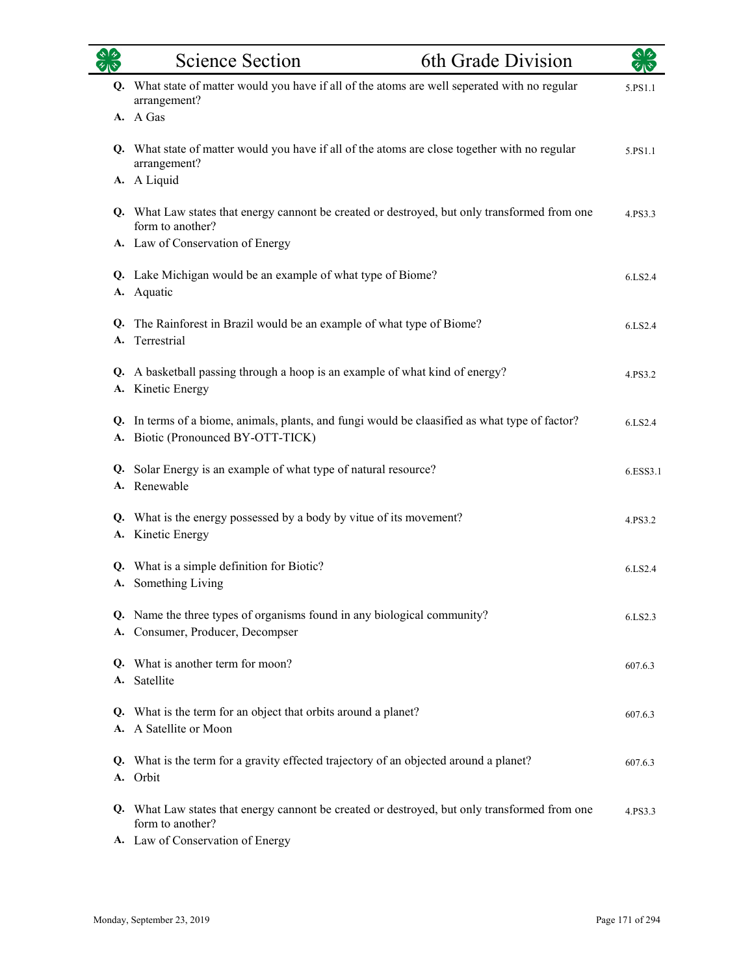|          | <b>Science Section</b>                                                                                                               | 6th Grade Division |          |
|----------|--------------------------------------------------------------------------------------------------------------------------------------|--------------------|----------|
|          | Q. What state of matter would you have if all of the atoms are well seperated with no regular<br>arrangement?                        |                    | 5.PS1.1  |
|          | A. A Gas                                                                                                                             |                    |          |
|          | Q. What state of matter would you have if all of the atoms are close together with no regular<br>arrangement?                        |                    | 5.PS1.1  |
|          | A. A Liquid                                                                                                                          |                    |          |
|          | Q. What Law states that energy cannont be created or destroyed, but only transformed from one<br>form to another?                    |                    | 4.PS3.3  |
|          | A. Law of Conservation of Energy                                                                                                     |                    |          |
|          | Q. Lake Michigan would be an example of what type of Biome?<br>A. Aquatic                                                            |                    | 6.LS2.4  |
| Q.       | The Rainforest in Brazil would be an example of what type of Biome?<br>A. Terrestrial                                                |                    | 6.LS2.4  |
|          | Q. A basketball passing through a hoop is an example of what kind of energy?<br>A. Kinetic Energy                                    |                    | 4.PS3.2  |
|          | Q. In terms of a biome, animals, plants, and fungi would be claasified as what type of factor?<br>A. Biotic (Pronounced BY-OTT-TICK) |                    | 6.LS2.4  |
|          | Q. Solar Energy is an example of what type of natural resource?<br>A. Renewable                                                      |                    | 6.ESS3.1 |
|          | Q. What is the energy possessed by a body by vitue of its movement?<br>A. Kinetic Energy                                             |                    | 4.PS3.2  |
|          | Q. What is a simple definition for Biotic?<br>A. Something Living                                                                    |                    | 6.LS2.4  |
|          | Q. Name the three types of organisms found in any biological community?<br>A. Consumer, Producer, Decompser                          |                    | 6.LS2.3  |
|          | Q. What is another term for moon?<br>A. Satellite                                                                                    |                    | 607.6.3  |
| Q.<br>A. | What is the term for an object that orbits around a planet?<br>A Satellite or Moon                                                   |                    | 607.6.3  |
|          |                                                                                                                                      |                    |          |
| Q.       | What is the term for a gravity effected trajectory of an objected around a planet?<br>A. Orbit                                       |                    | 607.6.3  |
|          | Q. What Law states that energy cannont be created or destroyed, but only transformed from one<br>form to another?                    |                    | 4.PS3.3  |
|          | A. Law of Conservation of Energy                                                                                                     |                    |          |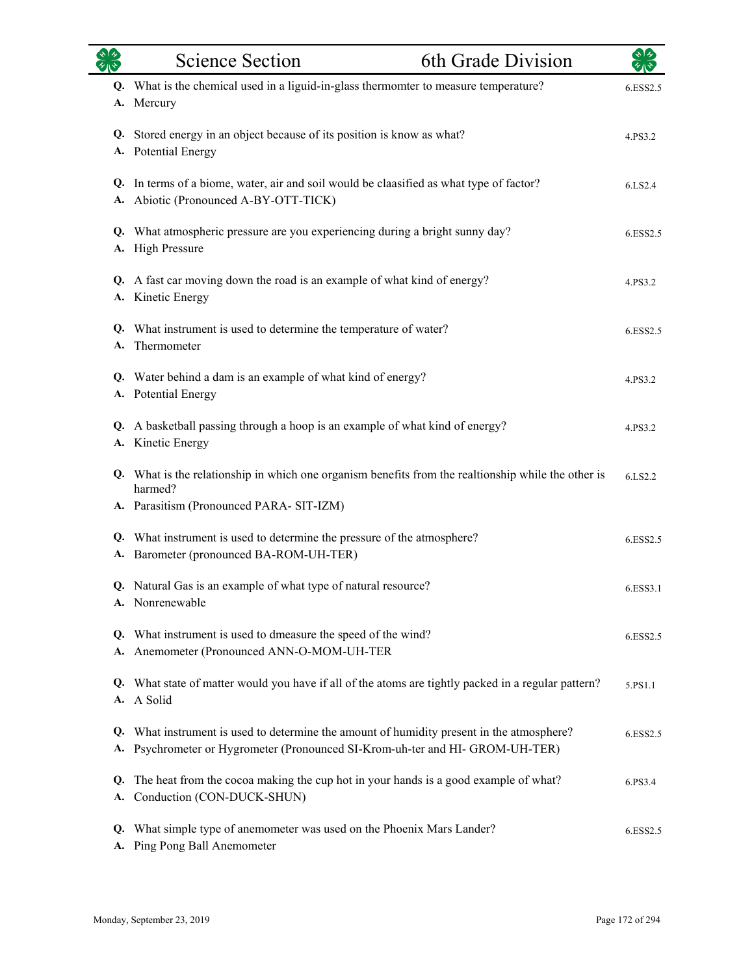|          | <b>Science Section</b>                                                                                                                                                     | 6th Grade Division |          |
|----------|----------------------------------------------------------------------------------------------------------------------------------------------------------------------------|--------------------|----------|
| A.       | Q. What is the chemical used in a liguid-in-glass thermomter to measure temperature?<br>Mercury                                                                            |                    | 6.ESS2.5 |
|          | Q. Stored energy in an object because of its position is know as what?<br>A. Potential Energy                                                                              |                    | 4.PS3.2  |
|          | Q. In terms of a biome, water, air and soil would be claasified as what type of factor?<br>A. Abiotic (Pronounced A-BY-OTT-TICK)                                           |                    | 6.LS2.4  |
| А.       | Q. What atmospheric pressure are you experiencing during a bright sunny day?<br><b>High Pressure</b>                                                                       |                    | 6.ESS2.5 |
|          | Q. A fast car moving down the road is an example of what kind of energy?<br>A. Kinetic Energy                                                                              |                    | 4.PS3.2  |
|          | Q. What instrument is used to determine the temperature of water?<br>A. Thermometer                                                                                        |                    | 6.ESS2.5 |
|          | Q. Water behind a dam is an example of what kind of energy?<br>A. Potential Energy                                                                                         |                    | 4.PS3.2  |
|          | Q. A basketball passing through a hoop is an example of what kind of energy?<br>A. Kinetic Energy                                                                          |                    | 4.PS3.2  |
|          | Q. What is the relationship in which one organism benefits from the realtionship while the other is<br>harmed?                                                             |                    | 6.LS2.2  |
|          | A. Parasitism (Pronounced PARA- SIT-IZM)                                                                                                                                   |                    |          |
|          | Q. What instrument is used to determine the pressure of the atmosphere?<br>A. Barometer (pronounced BA-ROM-UH-TER)                                                         |                    | 6.ESS2.5 |
|          | Q. Natural Gas is an example of what type of natural resource?<br>A. Nonrenewable                                                                                          |                    | 6.ESS3.1 |
|          | Q. What instrument is used to dmeasure the speed of the wind?<br>A. Anemometer (Pronounced ANN-O-MOM-UH-TER                                                                |                    | 6.ESS2.5 |
|          | Q. What state of matter would you have if all of the atoms are tightly packed in a regular pattern?<br>A. A Solid                                                          |                    | 5.PS1.1  |
|          | Q. What instrument is used to determine the amount of humidity present in the atmosphere?<br>A. Psychrometer or Hygrometer (Pronounced SI-Krom-uh-ter and HI- GROM-UH-TER) |                    | 6.ESS2.5 |
| Q.       | The heat from the cocoa making the cup hot in your hands is a good example of what?<br>A. Conduction (CON-DUCK-SHUN)                                                       |                    | 6.PS3.4  |
| Q.<br>A. | What simple type of anemometer was used on the Phoenix Mars Lander?<br>Ping Pong Ball Anemometer                                                                           |                    | 6.ESS2.5 |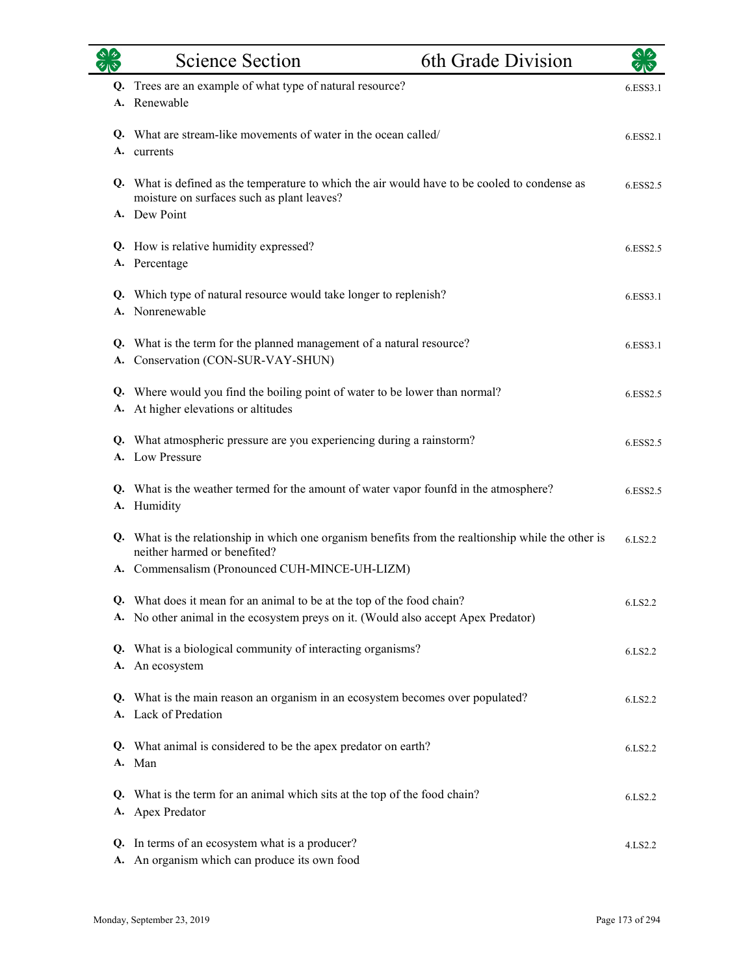|          | 6th Grade Division<br><b>Science Section</b>                                                                                                                | কাক      |
|----------|-------------------------------------------------------------------------------------------------------------------------------------------------------------|----------|
|          | Q. Trees are an example of what type of natural resource?<br>A. Renewable                                                                                   | 6.ESS3.1 |
|          | Q. What are stream-like movements of water in the ocean called/<br>A. currents                                                                              | 6.ESS2.1 |
|          | Q. What is defined as the temperature to which the air would have to be cooled to condense as<br>moisture on surfaces such as plant leaves?<br>A. Dew Point | 6.ESS2.5 |
|          | Q. How is relative humidity expressed?<br>A. Percentage                                                                                                     | 6.ESS2.5 |
| Q.       | Which type of natural resource would take longer to replenish?<br>A. Nonrenewable                                                                           | 6.ESS3.1 |
|          | Q. What is the term for the planned management of a natural resource?<br>A. Conservation (CON-SUR-VAY-SHUN)                                                 | 6.ESS3.1 |
| Q.       | Where would you find the boiling point of water to be lower than normal?<br>A. At higher elevations or altitudes                                            | 6.ESS2.5 |
| Q.       | What atmospheric pressure are you experiencing during a rainstorm?<br>A. Low Pressure                                                                       | 6.ESS2.5 |
|          | Q. What is the weather termed for the amount of water vapor founfd in the atmosphere?<br>A. Humidity                                                        | 6.ESS2.5 |
|          | Q. What is the relationship in which one organism benefits from the realtionship while the other is<br>neither harmed or benefited?                         | 6.LS2.2  |
|          | A. Commensalism (Pronounced CUH-MINCE-UH-LIZM)                                                                                                              |          |
| Q.       | What does it mean for an animal to be at the top of the food chain?<br>A. No other animal in the ecosystem preys on it. (Would also accept Apex Predator)   | 6.LS2.2  |
| А.       | Q. What is a biological community of interacting organisms?<br>An ecosystem                                                                                 | 6.LS2.2  |
|          | Q. What is the main reason an organism in an ecosystem becomes over populated?<br>A. Lack of Predation                                                      | 6.LS2.2  |
|          | Q. What animal is considered to be the apex predator on earth?<br>A. Man                                                                                    | 6.LS2.2  |
| Q.<br>A. | What is the term for an animal which sits at the top of the food chain?<br>Apex Predator                                                                    | 6.LS2.2  |
|          | Q. In terms of an ecosystem what is a producer?<br>A. An organism which can produce its own food                                                            | 4.LS2.2  |

 $\overline{\phantom{0}}$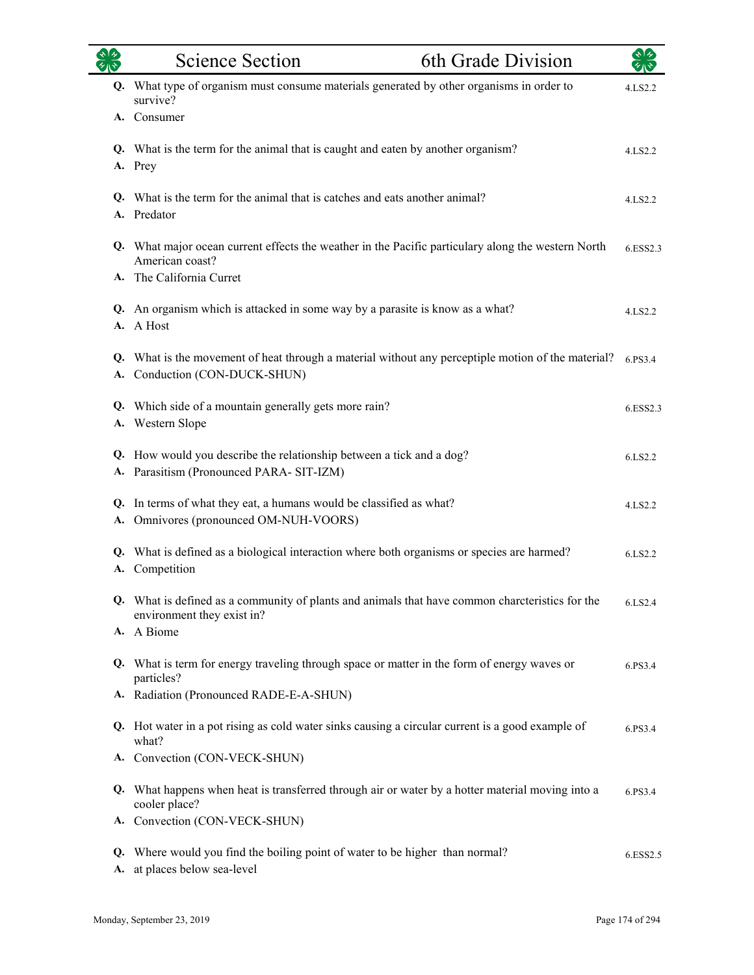| $\star$ 1 $\star$ | <b>Science Section</b><br>6th Grade Division                                                                                                      | ২⊺∢      |
|-------------------|---------------------------------------------------------------------------------------------------------------------------------------------------|----------|
|                   | Q. What type of organism must consume materials generated by other organisms in order to<br>survive?                                              | 4.LS2.2  |
|                   | A. Consumer                                                                                                                                       |          |
|                   | Q. What is the term for the animal that is caught and eaten by another organism?<br>A. Prey                                                       | 4.LS2.2  |
|                   | Q. What is the term for the animal that is catches and eats another animal?<br>A. Predator                                                        | 4.LS2.2  |
|                   | Q. What major ocean current effects the weather in the Pacific particulary along the western North<br>American coast?<br>A. The California Curret | 6.ESS2.3 |
| A.                | Q. An organism which is attacked in some way by a parasite is know as a what?<br>A Host                                                           | 4.LS2.2  |
|                   | Q. What is the movement of heat through a material without any perceptiple motion of the material?<br>A. Conduction (CON-DUCK-SHUN)               | 6.PS3.4  |
|                   | Q. Which side of a mountain generally gets more rain?<br>A. Western Slope                                                                         | 6.ESS2.3 |
| Q.<br>A.          | How would you describe the relationship between a tick and a dog?<br>Parasitism (Pronounced PARA- SIT-IZM)                                        | 6.LS2.2  |
| Q.<br>А.          | In terms of what they eat, a humans would be classified as what?<br>Omnivores (pronounced OM-NUH-VOORS)                                           | 4.LS2.2  |
| А.                | Q. What is defined as a biological interaction where both organisms or species are harmed?<br>Competition                                         | 6.LS2.2  |
|                   | Q. What is defined as a community of plants and animals that have common charcteristics for the<br>environment they exist in?<br>A. A Biome       | 6.LS2.4  |
|                   | Q. What is term for energy traveling through space or matter in the form of energy waves or<br>particles?                                         | 6.PS3.4  |
|                   | A. Radiation (Pronounced RADE-E-A-SHUN)                                                                                                           |          |
|                   | Q. Hot water in a pot rising as cold water sinks causing a circular current is a good example of<br>what?                                         | 6.PS3.4  |
|                   | A. Convection (CON-VECK-SHUN)                                                                                                                     |          |
| Q.                | What happens when heat is transferred through air or water by a hotter material moving into a<br>cooler place?                                    | 6.PS3.4  |
|                   | A. Convection (CON-VECK-SHUN)                                                                                                                     |          |
| А.                | Q. Where would you find the boiling point of water to be higher than normal?<br>at places below sea-level                                         | 6.ESS2.5 |